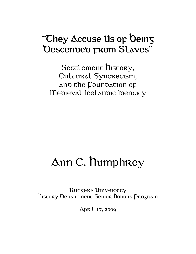# "They Accuse Us or Deins" Descended prom Slaves"

Secclemenc hiscory, Culcural Syncrecism, ano che Counoacion op Medieval Icelandic Identity

# Ann C. Humphrey

Ruczers University History Department Senior Honors Program

April 17, 2009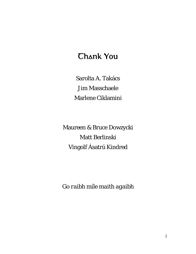# Thank You

Sarolta A. Takács Jim Masschaele Marlene Ciklamini

Maureen & Bruce Dowzycki Matt Berlinski Vingolf Ásatrú Kindred

*Go raibh míle maith agaibh*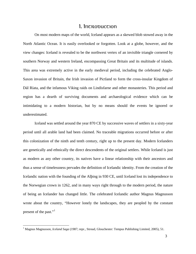# 1. Incroduccion

<span id="page-2-0"></span>On most modern maps of the world, Iceland appears as a skewed blob stowed away in the North Atlantic Ocean. It is easily overlooked or forgotten. Look at a globe, however, and the view changes: Iceland is revealed to be the northwest vertex of an invisible triangle cornered by southern Norway and western Ireland, encompassing Great Britain and its multitude of islands. This area was extremely active in the early medieval period, including the celebrated Anglo-Saxon invasion of Britain, the Irish invasion of Pictland to form the cross-insular Kingdom of Dál Ríata, and the infamous Viking raids on Lindisfarne and other monasteries. This period and region has a dearth of surviving documents and archaeological evidence which can be intimidating to a modern historian, but by no means should the events be ignored or underestimated.

Iceland was settled around the year 870 CE by successive waves of settlers in a sixty-year period until all arable land had been claimed. No traceable migrations occurred before or after this colonization of the ninth and tenth century, right up to the present day. Modern Icelanders are genetically and ethnically the direct descendents of the original settlers. While Iceland is just as modern as any other country, its natives have a linear relationship with their ancestors and thus a sense of timelessness pervades the definition of Icelandic identity. From the creation of the Icelandic nation with the founding of the Alþing in 930 CE, until Iceland lost its independence to the Norwegian crown in 1262, and in many ways right through to the modern period, the nature of being an Icelander has changed little. The celebrated Icelandic author Magnus Magnusson wrote about the country, "However lonely the landscapes, they are peopled by the constant present of the past."<sup>[1](#page-2-0)</sup>

<sup>&</sup>lt;sup>1</sup> Magnus Magnusson, *Iceland Saga* (1987; repr., Stroud, Glouchester: Tempus Publishing Limited, 2005), 51.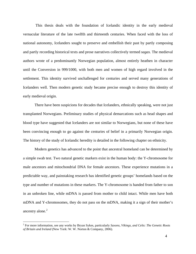<span id="page-3-0"></span> This thesis deals with the foundation of Icelandic identity in the early medieval vernacular literature of the late twelfth and thirteenth centuries. When faced with the loss of national autonomy, Icelanders sought to preserve and embellish their past by partly composing and partly recording historical texts and prose narratives collectively termed *sagas*. The medieval authors wrote of a predominantly Norwegian population, almost entirely heathen in character until the Conversion in 999/1000, with both men and women of high regard involved in the settlement. This identity survived unchallenged for centuries and served many generations of Icelanders well. Then modern genetic study became precise enough to destroy this identity of early medieval origin.

There have been suspicions for decades that Icelanders, ethnically speaking, were not just transplanted Norwegians. Preliminary studies of physical demarcations such as head shapes and blood type have suggested that Icelanders are not similar to Norwegians, but none of these have been convincing enough to go against the centuries of belief in a primarily Norwegian origin. The history of the study of Icelandic heredity is detailed in the following chapter on ethnicity.

Modern genetics has advanced to the point that ancestral homeland can be determined by a simple swab test. Two natural genetic markers exist in the human body: the Y-chromosome for male ancestors and mitochondrial DNA for female ancestors. These experience mutations in a predictable way, and painstaking research has identified genetic groups' homelands based on the type and number of mutations in these markers. The Y-chromosome is handed from father to son in an unbroken line, while mDNA is passed from mother to child intact. While men have both mDNA and Y-chromosomes, they do not pass on the mDNA, making it a sign of their mother's ancestry alone.<sup>[2](#page-3-0)</sup>

<sup>2</sup> For more information, see any works by Bryan Sykes, particularly *Saxons, Vikings, and Celts: The Genetic Roots of Britain and Ireland* (New York: W. W. Norton & Company, 2006).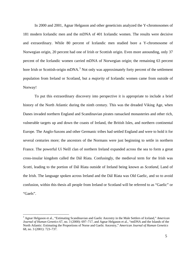<span id="page-4-0"></span>In 2000 and 2001, Agnar Helgason and other geneticists analyzed the Y-chromosomes of 181 modern Icelandic men and the mDNA of 401 Icelandic women. The results were decisive and extraordinary. While 80 percent of Icelandic men studied bore a Y-chromosome of Norwegian origin, 20 percent had one of Irish or Scottish origin. Even more astounding, only 37 percent of the Icelandic women carried mDNA of Norwegian origin; the remaining 63 percent bore Irish or Scottish-origin mDNA.<sup>[3](#page-4-0)</sup> Not only was approximately forty percent of the settlement population from Ireland or Scotland, but a *majority* of Icelandic women came from outside of Norway!

To put this extraordinary discovery into perspective it is appropriate to include a brief history of the North Atlantic during the ninth century. This was the dreaded Viking Age, when Danes invaded northern England and Scandinavian pirates ransacked monasteries and other rich, vulnerable targets up and down the coasts of Ireland, the British Isles, and northern continental Europe. The Anglo-Saxons and other Germanic tribes had settled England and were to hold it for several centuries more; the ancestors of the Normans were just beginning to settle in northern France. The powerful Uí Neíll clan of northern Ireland expanded across the sea to form a great cross-insular kingdom called the Dál Ríata. Confusingly, the medieval term for the Irish was *Scotti*, leading to the portion of Dál Ríata outside of Ireland being known as *Scotland*, Land of the Irish. The language spoken across Ireland and the Dál Ríata was Old Gaelic, and so to avoid confusion, within this thesis all people from Ireland or Scotland will be referred to as "Gaelic" or "Gaels".

<sup>3</sup> Agnar Helgason et al., "Estimating Scandinavian and Gaelic Ancestry in the Male Settlers of Iceland," *American Journal of Human Genetics* 67, no. 3 (2000): 697–717, and Agnar Helgason et al., "mtDNA and the Islands of the North Atlantic: Estimating the Proportions of Norse and Gaelic Ancestry," *American Journal of Human Genetics*  68, no. 3 (2001): 723–737.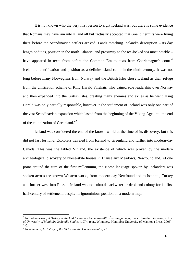<span id="page-5-0"></span>It is not known who the very first person to sight Iceland was, but there is some evidence that Romans may have run into it, and all but factually accepted that Gaelic hermits were living there before the Scandinavian settlers arrived. Lands matching Iceland's description – its day length oddities, position in the north Atlantic, and proximity to the ice-locked sea most notable – have appeared in texts from before the Common Era to texts from Charlemagne's court.<sup>[4](#page-5-0)</sup> Iceland's identification and position as a definite island came in the ninth century. It was not long before many Norwegians from Norway and the British Isles chose Iceland as their refuge from the unification scheme of King Harald Finehair, who gained sole leadership over Norway and then expanded into the British Isles, creating many enemies and exiles as he went. King Harald was only partially responsible, however. "The settlement of Iceland was only one part of the vast Scandinavian expansion which lasted from the beginning of the Viking Age until the end of the colonization of Greenland."[5](#page-5-0)

Iceland was considered the end of the known world at the time of its discovery, but this did not last for long. Explorers traveled from Iceland to Greenland and further into modern-day Canada. This was the fabled Vínland, the existence of which was proven by the modern archaeological discovery of Norse-style houses in L'anse aux Meadows, Newfoundland. At one point around the turn of the first millennium, the Norse language spoken by Icelanders was spoken across the known Western world, from modern-day Newfoundland to Istanbul, Turkey and further west into Russia. Iceland was no cultural backwater or dead-end colony for its first half-century of settlement, despite its ignominious position on a modern map.

<sup>4</sup> Jón Jóhannesson, *A History of the Old Icelandic Commonwealth: Íslendinga Saga*, trans. Haraldur Bessason, vol. 2 of *University of Manitoba Icelandic Studies* (1974; repr., Winnipeg, Manitoba: University of Manitoba Press, 2006), 1-5.

<sup>5</sup> Jóhannesson, *A History of the Old Icelandic Commonwealth*, 27.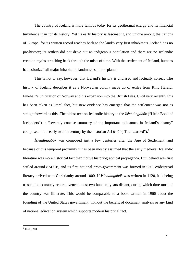<span id="page-6-0"></span>The country of Iceland is more famous today for its geothermal energy and its financial turbulence than for its history. Yet its early history is fascinating and unique among the nations of Europe, for its written record reaches back to the land's very first inhabitants. Iceland has no pre-history; its settlers did not drive out an indigenous population and there are no Icelandic creation myths stretching back through the mists of time. With the settlement of Iceland, humans had colonized all major inhabitable landmasses on the planet.

 This is not to say, however, that Iceland's history is unbiased and factually correct. The history of Iceland describes it as a Norwegian colony made up of exiles from King Haraldr Finehair's unification of Norway and his expansion into the British Isles. Until very recently this has been taken as literal fact, but new evidence has emerged that the settlement was not as straightforward as this. The oldest text on Icelandic history is the *Íslendingabók* ("Little Book of Icelanders"), a "severely concise summary of the important milestones in Iceland's history" composed in the early twelfth century by the historian Ari *froði* ("The Learned").[6](#page-6-0)

*Íslendingabók* was composed just a few centuries after the Age of Settlement, and because of this temporal proximity it has been mostly assumed that the early medieval Icelandic literature was more historical fact than fictive historiographical propaganda. But Iceland was first settled around 874 CE, and its first national proto-government was formed in 930. Widespread literacy arrived with Christianity around 1000. If *Íslendingabók* was written in 1120, it is being trusted to accurately record events almost two hundred years distant, during which time most of the country was illiterate. This would be comparable to a book written in 1966 about the founding of the United States government, without the benefit of document analysis or any kind of national education system which supports modern historical fact.

<sup>6</sup> Ibid., 201.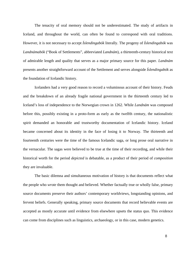The tenacity of oral memory should not be underestimated. The study of artifacts in Iceland, and throughout the world, can often be found to correspond with oral traditions. However, it is not necessary to accept *Íslendingabók* literally. The progeny of *Íslendingabók* was *Landnámabók* ("Book of Settlements", abbreviated *Landnám*), a thirteenth-century historical text of admirable length and quality that serves as a major primary source for this paper. *Landnám* presents another straightforward account of the Settlement and serves alongside *Íslendingabók* as the foundation of Icelandic history.

Icelanders had a very good reason to record a voluminous account of their history. Feuds and the breakdown of an already fragile national government in the thirteenth century led to Iceland's loss of independence to the Norwegian crown in 1262. While *Landnám* was composed before this, possibly existing in a proto-form as early as the twelfth century, the nationalistic spirit demanded an honorable and trustworthy documentation of Icelandic history. Iceland became concerned about its identity in the face of losing it to Norway. The thirteenth and fourteenth centuries were the time of the famous Icelandic saga, or long prose oral narrative in the vernacular. The sagas were believed to be true at the time of their recording, and while their historical worth for the period *depicted* is debatable, as a product of their period of *composition*  they are invaluable.

The basic dilemna and simultaneous motivation of history is that documents reflect what the people who *wrote* them thought and believed. Whether factually true or wholly false, primary source documents preserve their authors' contemporary worldviews, longstanding opinions, and fervent beliefs. Generally speaking, primary source documents that record believable events are accepted as mostly accurate until evidence from elsewhere upsets the status quo. This evidence can come from disciplines such as linguistics, archaeology, or in this case, modern genetics.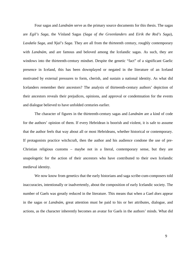Four sagas and *Landnám* serve as the primary source documents for this thesis. The sagas are *Egil's Saga*, the Vínland Sagas (*Saga of the Greenlanders* and *Eirik the Red's Saga*), *Laxdæla Saga*, and *Njal's Saga*. They are all from the thirteenth century, roughly contemporary with *Landnám*, and are famous and beloved among the Icelandic sagas. As such, they are windows into the thirteenth-century mindset. Despite the genetic "fact" of a significant Gaelic presence in Iceland, this has been downplayed or negated in the literature of an Iceland motivated by external pressures to form, cherish, and sustain a national identity. As what did Icelanders remember their ancestors? The analysis of thirteenth-century authors' depiction of their ancestors reveals their prejudices, opinions, and approval or condemnation for the events and dialogue believed to have unfolded centuries earlier.

 The character of figures in the thirteenth-century sagas and *Landnám* are a kind of code for the authors' opinion of them. If every Hebridean is boorish and violent, it is safe to assume that the author feels that way about all or most Hebrideans, whether historical or contemporary. If protagonists practice witchcraft, then the author and his audience condone the use of pre-Christian religious customs – maybe not in a literal, contemporary sense, but they are unapologetic for the action of their ancestors who have contributed to their own Icelandic medieval identity.

 We now know from genetics that the early historians and saga scribe-cum-composers told inaccuracies, intentionally or inadvertently, about the composition of early Icelandic society. The number of Gaels was greatly reduced in the literature. This means that when a Gael *does* appear in the sagas or *Landnám*, great attention must be paid to his or her attributes, dialogue, and actions, as the character inherently becomes an avatar for Gaels in the authors' minds. What did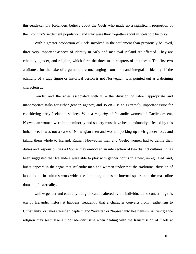thirteenth-century Icelanders believe about the Gaels who made up a significant proportion of their country's settlement population, and why were they forgotten about in Icelandic history?

With a greater proportion of Gaels involved in the settlement than previously believed, three very important aspects of identity in early and medieval Iceland are affected. They are ethnicity, gender, and religion, which form the three main chapters of this thesis. The first two attributes, for the sake of argument, are unchanging from birth and integral to identity. If the ethnicity of a saga figure or historical person is not Norwegian, it is pointed out as a defining characteristic.

Gender and the roles associated with it – the division of labor, appropriate and inappropriate tasks for either gender, agency, and so on – is an extremely important issue for considering early Icelandic society. With a *majority* of Icelandic women of Gaelic descent, Norwegian women were in the minority and society must have been profoundly affected by this imbalance. It was not a case of Norwegian men and women packing up their gender roles and taking them whole to Iceland. Rather, Norwegian men and Gaelic women had to define their duties and responsibilities *ad hoc* as they embodied an intersection of two distinct cultures. It has been suggested that Icelanders were able to play with gender norms in a new, unregulated land, but it appears in the sagas that Icelandic men and women underwent the traditional division of labor found in cultures worldwide: the feminine, domestic, internal sphere and the masculine domain of externality.

Unlike gender and ethnicity, religion can be altered by the individual, and concerning this era of Icelandic history it happens frequently that a character converts from heathenism to Christianity, or takes Christian baptism and "reverts" or "lapses" into heathenism. At first glance religion may seem like a moot identity issue when dealing with the transmission of Gaels at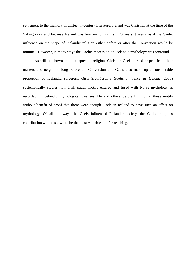settlement to the memory in thirteenth-century literature. Ireland was Christian at the time of the Viking raids and because Iceland was heathen for its first 120 years it seems as if the Gaelic influence on the shape of Icelandic religion either before or after the Conversion would be minimal. However, in many ways the Gaelic impression on Icelandic mythology was profound.

As will be shown in the chapter on religion, Christian Gaels earned respect from their masters and neighbors long before the Conversion and Gaels also make up a considerable proportion of Icelandic sorcerers. Gísli Sigurðsson's *Gaelic Influence in Iceland* (2000) systematically studies how Irish pagan motifs entered and fused with Norse mythology as recorded in Icelandic mythological treatises. He and others before him found these motifs without benefit of proof that there were enough Gaels in Iceland to have such an effect on mythology. Of all the ways the Gaels influenced Icelandic society, the Gaelic religious contribution will be shown to be the most valuable and far-reaching.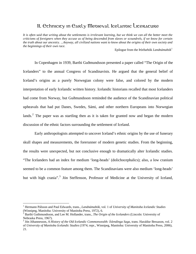# 11. Ethnicity in Early Medieval Icelandic Literature

<span id="page-11-0"></span>*It is often said that writing about the settlements is irrelevant learning, but we think we can all the better meet the criticisms of foreigners when they accuse us of being descended from slaves or scoundrels, if we know for certain the truth about our ancestry.* ...*Anyway, all civilized nations want to know about the origins of their own society and the beginnings of their own race.* 

Epilogue from the Þórðarbók *Landnámabók*[1](#page-11-0)

In Copenhagen in 1939, Barthi Guðmundsson presented a paper called "The Origin of the Icelanders" to the annual Congress of Scandinavists. He argued that the general belief of Iceland's origins as a purely Norwegian colony were false, and colored by the modern interpretation of early Icelandic written history. Icelandic historians recalled that most Icelanders had come from Norway, but Guðmundsson reminded the audience of the Scandinavian political upheavals that had put Danes, Swedes, Sámi, and other northern Europeans into Norwegian lands.<sup>[2](#page-11-0)</sup> The paper was as startling then as it is taken for granted now and began the modern discussion of the ethnic factors surrounding the settlement of Iceland.

 Early anthropologists attempted to uncover Iceland's ethnic origins by the use of funerary skull shapes and measurements, the forerunner of modern genetic studies. From the beginning, the results were unexpected, but not conclusive enough to dramatically alter Icelandic studies. "The Icelanders had an index for medium 'long-heads' (dolichocephalics); also, a low cranium seemed to be a common feature among them. The Scandinavians were also medium 'long-heads' but with high crania".<sup>[3](#page-11-0)</sup> Jón Steffenson, Professor of Medicine at the University of Iceland,

<sup>1</sup> Hermann Pálsson and Paul Edwards, trans., *Landnámabók*, vol. 1 of *University of Manitoba Icelandic Studies* (Winnipeg, Manitoba: University of Manitoba Press, 1972), 6.

<sup>2</sup> Barthi Guthmundsson, and Lee M. Hollander, trans., *The Origin of the Icelanders* (Lincoln: University of Nebraska Press, 1967).

<sup>3</sup> Jón Jóhannesson, *A History of the Old Icelandic Commonwealth: Íslendinga Saga*, trans. Haraldur Bessason, vol. 2 of *University of Manitoba Icelandic Studies* (1974; repr., Winnipeg, Manitoba: University of Manitoba Press, 2006), 21.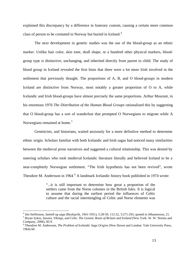<span id="page-12-0"></span>explained this discrepancy by a difference in funerary custom, causing a certain more common class of person to be cremated in Norway but buried in Iceland.<sup>[4](#page-12-0)</sup>

 The next development in genetic studies was the use of the blood-group as an ethnic marker. Unlike hair color, skin tone, skull shape, or a hundred other physical markers, bloodgroup type is distinctive, unchanging, and inherited directly from parent to child. The study of blood group in Iceland revealed the first hints that there were a lot more Irish involved in the settlement that previously thought. The proportions of A, B, and O blood-groups in modern Iceland are distinctive from Norway, most notably a greater proportion of O to A, while Icelandic and Irish blood-groups have almost precisely the same proportions. Arthur Mourant, in his enormous 1976 *The Distribution of the Human Blood Groups* rationalized this by suggesting that O blood-group has a sort of wanderlust that prompted O Norwegians to migrate while A Norwegians remained at home.<sup>[5](#page-12-0)</sup>

 Geneticists, and historians, waited anxiously for a more definitive method to determine ethnic origin. Scholars familiar with both Icelandic and Irish sagas had noticed many similarities between the medieval prose narratives and suggested a cultural relationship. This was denied by sneering scholars who took medieval Icelandic literature literally and believed Iceland to be a near-completely Norwegian settlement. "The Irish hypothesis has not been revived", wrote Theodore M. Andersson in 19[6](#page-12-0)4.<sup>6</sup> A landmark Icelandic history book published in 1974 wrote:

> "...it is still important to determine how great a proportion of the settlers came from the Norse colonies in the British Isles. It is logical to assume that during the earliest period the influences of Celtic culture and the racial intermingling of Celtic and Norse elements was

<sup>&</sup>lt;sup>4</sup> Jón Steffenson, *Samtið og saga* (Reykjavík, 1941-1951), 5:28-59, 112-22, 3:271-293, quoted in Jóhannesson, 21.<br><sup>5</sup> Pruan Suksa, *Saxona, Vikings, and Colta The Canatia Boots of Pritzin and Ireland* (Now York: W. W. No

<sup>&</sup>lt;sup>5</sup> Bryan Sykes, *Saxons, Vikings, and Celts: The Genetic Roots of Britain and Ireland* (New York: W. W. Norton and Company, 2006), 85-9.

<sup>6</sup> Theodore M. Andersson, *The Problem of Icelandic Saga Origins* (New Haven and London: Yale University Press, 1964) 60.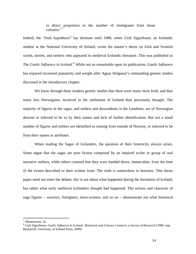in direct proportion to the number of immigrants from those colonies."<sup>[7](#page-13-0)</sup>

<span id="page-13-0"></span>Indeed, the "Irish hypothesis" lay dormant until 1988, when Gísli Sigurðsson, an Icelandic student at the National University of Ireland, wrote his master's thesis on Irish and Scottish words, stories, and settlers who appeared in medieval Icelandic literature. This was published as The Gaelic Influence in Iceland.<sup>[8](#page-13-0)</sup> While not so remarkable upon its publication, *Gaelic Influence* has enjoyed increased popularity and weight after Agnar Helgason's outstanding genetic studies discussed in the introductory chapter.

We know through these modern genetic studies that there were many more Irish, and thus many less Norwegians, involved in the settlement of Iceland than previously thought. The majority of figures in the sagas, and settlers and descendents in the *Landnám*, are of Norwegian descent or inferred to be so by their names and lack of further identification. But not a small number of figures and settlers are identified as coming from outside of Norway, or inferred to be from their names or attributes.

 When reading the Sagas of Icelanders, the question of their historicity always arises. Some argue that the sagas are pure fiction composed by an inspired scribe or group of oral narrative authors, while others contend that they were handed down, immaculate, from the time of the events described to their written form. The truth is somewhere in between. This thesis paper need not enter the debate; this is not about what happened during the formation of Iceland, but rather what early medieval Icelanders *thought* had happened. The actions and character of saga figures – warriors, foreigners, slave-women, and so on – demonstrate not what historical

<sup>7</sup> Jóhannesson, 16.

<sup>8</sup> Gísli Sigurðsson, *Gaelic Influence in Iceland: Historical and Literary Contacts, a Survey of Research* (1988, repr. Reykjavík: University of Iceland Press, 2000).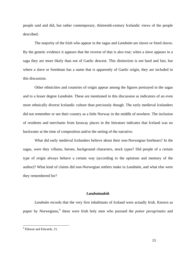<span id="page-14-0"></span>people said and did, but rather contemporary, thirteenth-century Icelandic views of the people described.

The majority of the Irish who appear in the sagas and *Landnám* are slaves or freed slaves. By the genetic evidence it appears that the reverse of that is also true; when a slave appears in a saga they are more likely than not of Gaelic descent. This distinction is not hard and fast, but where a slave or freedman has a name that is apparently of Gaelic origin, they are included in this discussion.

 Other ethnicities and countries of origin appear among the figures portrayed in the sagas and to a lesser degree *Landnám*. These are mentioned in this discussion as indicators of an even more ethnically diverse Icelandic culture than preciously though. The early medieval Icelanders did not remember or see their country as a little Norway in the middle of nowhere. The inclusion of residents and merchants from faraway places in the literature indicates that Iceland was no backwater at the time of composition and/or the setting of the narrative.

 What did early medieval Icelanders believe about their non-Norwegian forebears? In the sagas, were they villains, heroes, background characters, stock types? Did people of a certain type of origin always behave a certain way (according to the opinions and memory of the author)? What kind of claims did non-Norwegian settlers make in *Landnám,* and what else were they remembered for?

### *Landnámabók*

*Landnám* records that the very first inhabitants of Iceland were actually Irish. Known as papar by Norwegians,<sup>[9](#page-14-0)</sup> these were Irish holy men who pursued the *potior peregrinatio* and

<sup>&</sup>lt;sup>9</sup> Pálsson and Edwards, 15.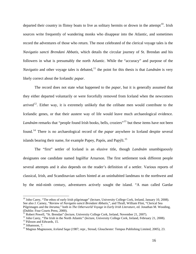<span id="page-15-0"></span>departed their country in flimsy boats to live as solitary hermits or drown in the attempt<sup>[10](#page-15-0)</sup>. Irish sources write frequently of wandering monks who disappear into the Atlantic, and sometimes record the adventures of those who return. The most celebrated of the clerical voyage tales is the *Navigatio sancti Brendani Abbatis*, which details the circular journey of St. Brendan and his followers in what is presumably the north Atlantic. While the "accuracy" and purpose of the *Navigatio* and other voyage tales is debated,<sup>[11](#page-15-0)</sup> the point for this thesis is that *Landnám* is very likely correct about the Icelandic *papar*.

 The record does not state what happened to the *papar*, but it is generally assumed that they either departed voluntarily or were forcefully removed from Iceland when the newcomers arrived<sup>[12](#page-15-0)</sup>. Either way, it is extremely unlikely that the celibate men would contribute to the Icelandic genes, or that their austere way of life would leave much archaeological evidence. *Landnám* remarks that "people found Irish books, bells, croziers"<sup>[13](#page-15-0)</sup> but these items have not been found.[14](#page-15-0) There is no archaeological record of the *papar* anywhere in Iceland despite several islands bearing their name, for example Papey, Papós, and Papýli.<sup>[15](#page-15-0)</sup>

 The "first" settler of Iceland is an elusive title, though *Landnám* unambiguously designates one candidate named Ingólfur Arnarson. The first settlement took different people several attempts and it also depends on the reader's definition of a settler. Various reports of classical, Irish, and Scandinavian sailors hinted at an uninhabited landmass to the northwest and by the mid-ninth century, adventurers actively sought the island. "A man called Gardar

<sup>&</sup>lt;sup>10</sup> John Carey, "The ethos of early Irish pilgrimage" (lecture, University College Cork, Ireland, January 10, 2008). See also J. Carney, "Review of *Navigatio sancti Brendani Abbatis,*", and Thrall, William Flint, "Clerical Sea Pilgrimages and the *Imrama,*" both in *The Otherworld Voyage in Early Irish Literature*, ed. Jonathan M. Wooding, (Dublin: Four Courts Press, 2000).

<sup>&</sup>lt;sup>11</sup> Robert Powell, "St. Brendan" (lecture, University College Cork, Ireland, November 21, 2007).

<sup>&</sup>lt;sup>12</sup> John Carey, "The Irish in the North Atlantic" (lecture, University College Cork, Ireland, February 21, 2008). <sup>13</sup> Pálsson and Edwards, 15.

 $14$  Jóhansson, 7.

<sup>15</sup> Magnus Magnusson, *Iceland Saga* (1987; repr., Stroud, Glouchester: Tempus Publishing Limited, 2005), 23.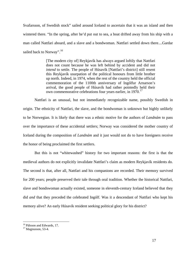<span id="page-16-0"></span>Svafarsson, of Swedish stock" sailed around Iceland to ascertain that it was an island and then wintered there. "In the spring, after he'd put out to sea, a boat drifted away from his ship with a man called Nattfari aboard, and a slave and a bondwoman. Nattfari settled down there....Gardar sailed back to Norway".<sup>[16](#page-16-0)</sup>

> [The modern city of] Reykjavík has always argued loftily that Nattfari does not count because he was left behind by accident and did not *intend* to settle. The people of Húsavík [Nattfari's district] still resent this Reykjavík usurpation of the political honours from little brother up north. Indeed, in 1974, when the rest of the country held the official commemoration of the 1100th anniversary of Ingólfur Arnarson's arrival, the good people of Húsavík had rather pointedly held their own commemorative celebrations four years earlier, in 1970.<sup>[17](#page-16-0)</sup>

Nattfari is an unusual, but not immediately recognizable name, possibly Swedish in origin. The ethnicity of Nattfari, the slave, and the bondwoman is unknown but highly unlikely to be Norwegian. It is likely that there was a ethnic motive for the authors of *Landnám* to pass over the importance of these accidental settlers; Norway was considered the mother country of Iceland during the composition of *Landnám* and it just would not do to have foreigners receive the honor of being proclaimed the first settlers.

But this is not "whitewashed" history for two important reasons: the first is that the medieval authors do not explicitly invalidate Nattfari's claim as modern Reykjavík residents do. The second is that, after all, Nattfari and his companions are recorded. Their memory survived for 200 years; people preserved their tale through oral tradition. Whether the historical Nattfari, slave and bondswoman actually existed, someone in eleventh-century Iceland believed that they did *and* that they preceded the celebrated Ingólf. Was it a descendant of Nattfari who kept his memory alive? An early Húsavík resident seeking political glory for his district?

<sup>&</sup>lt;sup>16</sup> Pálsson and Edwards, 17.

 $17$  Magnusson, 53-4.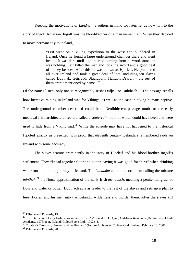<span id="page-17-0"></span>Keeping the motivations of *Landnám*'s authors in mind for later, let us now turn to the story of Ingólf Arnarson. Ingólf was the blood-brother of a man named Leif. When they decided to move permanently to Iceland,

> "Leif went on a viking expedition to the west and plundered in Ireland. Once he found a large underground chamber there and went inside. It was dark until light started coming from a sword someone was holding. Leif killed the man and took the sword and a good deal of money besides. After this he was known as Hjorleif. He plundered all over Ireland and took a great deal of loot, including ten slaves called Dubthak, Geirraud, Skjaldborn, Halldor, Drafdit – the rest of them aren't mentioned by name."<sup>[18](#page-17-0)</sup>

Of the names listed, only one is recognizably Irish: Dufbak or Dubthach.<sup>[19](#page-17-0)</sup> The passage recalls how lucrative raiding in Ireland was for Vikings, as well as the ease in taking humans captive. The underground chamber described could be a Neolithic-era passage tomb, or the early medieval Irish architectural feature called a *souterrain*, both of which could have been and were used to hide from a Viking raid. $^{20}$  $^{20}$  $^{20}$  While the episode may have not happened to the historical Hjorleif exactly as presented, it is proof that eleventh century Icelanders remembered raids on Ireland with some accuracy.

 The slaves feature prominently in the story of Hjorleif and his blood-brother Ingólf's settlement. They "knead together flour and butter, saying it was good for thirst" when drinking water runs out on the journey to Iceland. The *Landnám* authors record them calling the mixture *minthak*, [21](#page-17-0) the Norse approximation of the Early Irish *menadach*, meaning a penitential gruel of flour and water or butter. Dubthach acts as leader to the rest of the slaves and sets up a plan to lure Hjorleif and his men into the Icelandic wilderness and murder them. After the slaves kill

<sup>&</sup>lt;sup>18</sup> Pálsson and Edwards, 19.

<sup>&</sup>lt;sup>19</sup> The internal *b* of Early Irish is pronounced with a "v" sound. E. G. Quin, *Old-Irish Workbook* (Dublin: Royal Irish Academy, 1975; repr. Ireland: ColourBooks Ltd., 1992), 4.

<sup>&</sup>lt;sup>20</sup> Tomás Ó Carragáin, "Ireland and the Romans" (lecture, University College Cork, Ireland, February 13, 2008).<br><sup>21</sup> Pálsson and Edwards, 20.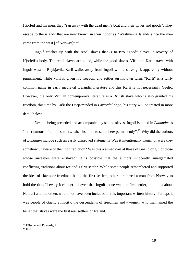<span id="page-18-0"></span>Hjorleif and his men, they "ran away with the dead men's boat and their wives and goods". They escape to the islands that are now known in their honor as "Westmanna Islands since the men came from the west [of Norway]". $^{22}$  $^{22}$  $^{22}$ 

 Ingólf catches up with the rebel slaves thanks to two "good" slaves' discovery of Hjorleif's body. The rebel slaves are killed, while the good slaves, Vifil and Karli, travel with Ingólf west to Reykjavík. Karli walks away from Ingólf with a slave girl, apparently without punishment, while Vifil is given his freedom and settles on his own farm. "Karli" is a fairly common name in early medieval Icelandic literature and this Karli is not necessarily Gaelic. However, the only Vifil in contemporary literature is a British slave who is also granted his freedom, this time by Auðr the Deep-minded in *Laxærdal Saga*, his story will be treated in more detail below.

 Despite being preceded and accompanied by settled slaves, Ingólf is noted in *Landnám* as "most famous of all the settlers...the first man to settle here permanently".<sup>[23](#page-18-0)</sup> Why did the authors of *Landnám* include such an easily disproved statement? Was it intentionally ironic, or were they somehow unaware of their contradiction? Was this a aimed dart at those of Gaelic origin or those whose ancestors were enslaved? It is possible that the authors innocently amalgamated conflicting traditions about Iceland's first settler. While some people remembered and supported the idea of slaves or freedmen being the first settlers, others preferred a man from Norway to hold the title. If every Icelander believed that Ingólf alone was the first settler, traditions about Nattfari and the others would not have been included in this important written history. Perhaps it was people of Gaelic ethnicity, the descendents of freedmen and –women, who maintained the belief that slaves were the first real settlers of Iceland.

<sup>&</sup>lt;sup>22</sup> Pálsson and Edwards, 21.

 $^{23}$  Ibid.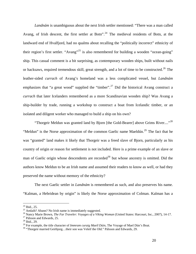<span id="page-19-0"></span>*Landnám* is unambiguous about the next Irish settler mentioned: "There was a man called Avang, of Irish descent, the first settler at Botn".<sup>[24](#page-19-0)</sup> The medieval residents of Botn, at the landward end of Hvalfjord, had no qualms about recalling the "politically incorrect" ethnicity of their region's first settler. "Avang"<sup>[25](#page-19-0)</sup> is also remembered for building a wooden "ocean-going" ship. This casual comment is a bit surprising, as contemporary wooden ships, built without nails or hacksaws, required tremendous skill, great strength, and a lot of time to be constructed.<sup>[26](#page-19-0)</sup> The leather-sided *currach* of Avang's homeland was a less complicated vessel, but *Landnám*  emphasizes that "a great wood" supplied the "timber".<sup>[27](#page-19-0)</sup> Did the historical Avang construct a *currach* that later Icelanders remembered as a more Scandinavian wooden ship? Was Avang a ship-builder by trade, running a workshop to construct a boat from Icelandic timber, or an isolated and diligent worker who managed to build a ship on his own?

"Thorgeir Meldun was granted land by Bjorn [the Gold-Bearer] above Grims River...."<sup>[28](#page-19-0)</sup> "Meldun" is the Norse approximation of the common Gaelic name Maeldún.<sup>[29](#page-19-0)</sup> The fact that he was "granted" land makes it likely that Thorgeir was a freed slave of Bjorn, particularly as his country of origin or reason for settlement is not included. Here is a prime example of an slave or man of Gaelic origin whose descendents are recorded<sup>[30](#page-19-0)</sup> but whose ancestry is omitted. Did the authors know Meldun to be an Irish name and assumed their readers to know as well, or had they preserved the name without memory of the ethnicity?

 The next Gaelic settler in *Landnám* is remembered as such, and also preserves his name. "Kalman, a Hebridean by origin" is likely the Norse approximation of Colman. Kalman has a

 $24$  Ibid., 25.

<sup>&</sup>lt;sup>25</sup> Amlaib? Abann? No Irish name is immediately suggested.

<sup>&</sup>lt;sup>26</sup> Nancy Marie Brown, *The Far Traveler: Voyages of a Viking Woman* (United States: Harcourt, Inc., 2007), 14-17.<br><sup>27</sup> Pálsson and Edwards, 25.

 $28$  Ibid., 29.

<sup>&</sup>lt;sup>29</sup> For example, the title character of *Immram curaig Maeíl Dúin*, The Voyage of Mael Dún's Boat. <sup>30</sup> "Thorgeir married Geirbjorg...their son was Veleif the Old." Pálsson and Edwards, 29.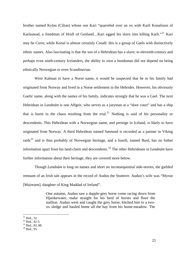<span id="page-20-0"></span>brother named Kylan (Cilian) whose son Kari "quarreled over an ox with Karli Konalsson of Karlastead, a freedman of Hrolf of Geitland...Kari egged his slave into killing Karli."<sup>[31](#page-20-0)</sup> Kari may be Corre, while Konal is almost certainly Conall: this is a group of Gaels with distinctively ethnic names. Also fascinating is that the son of a Hebridean has a slave; to eleventh-century and perhaps even ninth-century Icelanders, the ability to own a bondsman did not depend on being ethnically Norwegian or even Scandinavian.

Were Kalman to have a Norse name, it would be suspected that he or his family had originated from Norway and lived in a Norse settlement in the Hebrides. However, his obviously Gaelic name, along with the names of his family, indicates strongly that he was a Gael. The next Hebridean in *Landnám* is one Alfgeir, who serves as a juryman at a "door court" and has a ship that is burnt in the chaos resulting from the trial.<sup>[32](#page-20-0)</sup> Nothing is said of his personality or descendents. This Hebridean with a Norwegian name, and prestige in Iceland, is likely to have originated from Norway. A third Hebridean named Sæmund is recorded as a partner in Viking raids<sup>[33](#page-20-0)</sup> and is thus probably of Norwegian heritage, and a fourth, named Bard, has no futher information apart from his land-claim and descendents.[34](#page-20-0) The other Hebrideans in *Landnám* have further information about their heritage; they are covered more below.

Though *Landnám* is long on names and short on inconsequential side-stories, the garbled remnant of an Irish tale appears in the record of Audun the Stutterer. Audun's wife was "Myrun [Muireann], daughter of King Maddad of Ireland".

> One autumn, Audun saw a dapple-grey horse come racing down from Hjardarwater, make straight for his herd of horses and floor the stallion. Audun went and caught the grey horse, hitched him to a twoox sledge and hauled home all the hay from his home-meadow. The

 $31$  Ibid., 32.

 $32$  Ibid., 42-3.

 $33$  Ibid., 83, 88.

<sup>34</sup> Ibid., 95.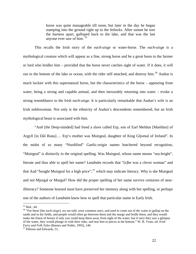horse was quite manageable till noon, but later in the day he began stamping into the ground right up to the fetlocks. After sunset he tore the harness apart, galloped back to the lake, and that was the last anyone ever saw of him.<sup>35</sup>

<span id="page-21-0"></span> This recalls the Irish story of the *each-uisge* or water-horse. The *each-uisge* is a mythological creature which will appear as a fine, strong horse and be a great boon to the farmer or lord who bridles him – provided that the horse never catches sight of water. If it does, it will run to the bottom of the lake or ocean, with the rider still attached, and destroy him.<sup>[36](#page-21-0)</sup> Audun is much luckier with this supernatural horse, but the characteristics of the horse – appearing from water, being a strong and capable animal, and then inexorably returning into water – evoke a strong resemblance to the Irish *each-uisge*. It is particularly remarkable that Audun's wife is an Irish noblewoman. Not only is the ethnicity of Audun's descendents remembered, but an Irish mythological beast is associated with him.

 "Auð [the Deep-minded] had freed a slave called Erp, son of Earl Meldun [Maeldun] of Argyll [in Dál Riata]…. Erp's mother was Muirgeal, daughter of King Gljomal of Ireland". In the midst of so many "Nordified" Gaelic-origin names butchered beyond recognition, "Muirgeal" is distinctly in the original spelling. Was Muirgeal, whose name means "sea-bright", literate and thus able to spell her name? *Landnám* records that "[s]he was a clever woman" and that Auð "bought Muirgeal for a high price",  $37$  which may indicate literacy. Why is she Muirgeal and not Mjurgal or Murgol? How did the proper spelling of her name survive centuries of nearilliteracy? Someone learned must have preserved her memory along with her spelling, or perhaps one of the authors of *Landnám* knew how to spell that particular name in Early Irish.

<sup>35</sup> Ibid., 44.

<sup>&</sup>lt;sup>36</sup> "For these [the *each-uisge*], we are told, were common once, and used to come out of the water to gallop on the sands and in the fields, and people would often go between them and the marge and bridle them, and they would make the finest of horses if only you could keep them away from sight of the water; but if once they saw a glimpse of the water, they would plunge in with their rider, and tear him to pieces at the bottom." W. B. Yeats, ed. *Irish Fairy and Folk Tales* (Barnes and Noble, 1993), 140.<br><sup>37</sup> Pálsson and Edwards, 51.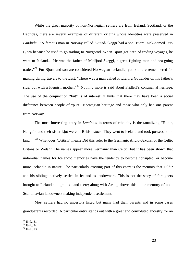<span id="page-22-0"></span> While the great majority of non-Norwegian settlers are from Ireland, Scotland, or the Hebrides, there are several examples of different origins whose identities were preserved in *Landnám*. "A famous man in Norway called Skutad-Skeggi had a son, Bjorn, nick-named Fur-Bjorn because he used to go trading to Novgorod. When Bjorn got tired of trading voyages, he went to Iceland.... He was the father of Midfjord-Skeggi, a great fighting man and sea-going trader."<sup>[38](#page-22-0)</sup> Fur-Bjorn and son are considered Norwegian-Icelandic, yet both are remembered for making daring travels to the East. "There was a man called Fridleif, a Gotlander on his father's side, but with a Flemish mother."<sup>[39](#page-22-0)</sup> Nothing more is said about Fridleif's continental heritage. The use of the conjunction "but" is of interest; it hints that there may have been a social difference between people of "pure" Norwegian heritage and those who only had one parent from Norway.

The most interesting entry in *Landnám* in terms of ethnicity is the tantalizing "Hildir, Hallgeir, and their sister Ljot were of British stock. They went to Iceland and took possession of land...."<sup>[40](#page-22-0)</sup> What does "British" mean? Did this refer to the Germanic Anglo-Saxons, or the Celtic Britons or Welsh? The names appear more Germanic than Celtic, but it has been shown that unfamiliar names for Icelandic memories have the tendency to become corrupted, or become more Icelandic in nature. The particularly exciting part of this entry is the memory that Hildir and his siblings actively settled in Iceland as landowners. This is not the story of foreigners brought to Iceland and granted land there; along with Avang above, this is the memory of non-Scandinavian landowners making independent settlement.

Most settlers had no ancestors listed but many had their parents and in some cases grandparents recorded. A particular entry stands out with a great and convoluted ancestry for an

<sup>38</sup> Ibid., 81.

<sup>39</sup> Ibid., 94.

 $40$  Ibid., 133.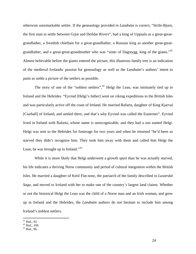<span id="page-23-0"></span>otherwise unremarkable settler. If the geneaology provided in *Landnám* is correct, "Strife-Bjorn, the first man to settle between Grjot and Deildar Rivers", had a king of Uppsala as a great-greatgrandfather, a Swedish chieftain for a great-grandfather, a Russian king as another great-great-grandfather, and a great-great-grandmother who was "sister of Dagstygg, king of the giants."<sup>[41](#page-23-0)</sup> Almost believable before the giants entered the picture, this illustrous family tree is an indication of the medieval Icelandic passion for geneaology as well as the *Landnám*'s authors' intent to paint as noble a picture of the settlers as possible.

The story of one of the "noblest settlers",  $42$  Helgi the Lean, was intimately tied up in Ireland and the Hebrides. "Eyvind [Helgi's father] went on viking expeditions to the British Isles and was particularly active off the coast of Ireland. He married Rafarta, daughter of King Kjarval [Ciarball] of Ireland, and settled there, and that's why Eyvind was called the Easterner". Eyvind lived in Ireland with Rafarta, whose name is unrecognizable, and they had a son named Helgi. Helgi was sent to the Hebrides for fosterage for two years and when he returned "he'd been so starved they didn't recognize him. They took him away with them and called him Helgi the Lean; he was brought up in Ireland."<sup>[43](#page-23-0)</sup>

While it is more likely that Helgi underwent a growth spurt than he was actually starved, his life indicates a thriving Norse community and period of cultural integration within the British Isles. He married a daughter of Ketil Flat-nose, the patriarch of the family described in *Laxærdal Saga*, and moved to Iceland with her to make one of the country´s largest land claims. Whether or not the historical Helgi the Lean was the child of a Norse man and an Irish woman, and grew up in Ireland and the Hebrides, the *Landnám* authors do not hesitate to include him among Iceland's noblest settlers.

 $41$  Ibid., 92.

 $42$  Ibid., 109.

 $43$  Ibid., 96.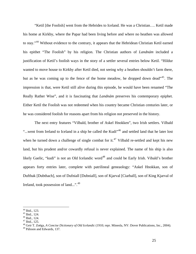<span id="page-24-0"></span>"Ketil [the Foolish] went from the Hebrides to Iceland. He was a Christian…. Ketil made his home at Kirkby, where the Papar had been living before and where no heathen was allowed to stay."[44](#page-24-0) Without evidence to the contrary, it appears that the Hebridean Christian Ketil earned his epithet "The Foolish" by his religion. The Christian authors of *Landnám* included a justification of Ketil's foolish ways in the story of a settler several entries below Ketil. "Hildur wanted to move house to Kirkby after Ketil died, not seeing why a heathen shouldn't farm there, but as he was coming up to the fence of the home meadow, he dropped down dead"[45](#page-24-0). The impression is that, were Ketil still alive during this episode, he would have been renamed "The Really Rather Wise", and it is fascinating that *Landnám* preserves his contemporary epiphet. Either Ketil the Foolish was not redeemed when his country became Christian centuries later, or he was considered foolish for reasons apart from his religion not preserved in the history.

The next entry features "Vilbald, brother of Askel Hnokken", two Irish settlers. Vilbald "...went from Ireland to Iceland in a ship he called the Kudi"<sup>[46](#page-24-0)</sup> and settled land that he later lost when he turned down a challenge of single combat for it.<sup>[47](#page-24-0)</sup> Vilbald re-settled and kept his new land, but his prudent and/or cowardly refusal is never explained. The name of his ship is also likely Gaelic, "kudi" is not an Old Icelandic word<sup>[48](#page-24-0)</sup> and could be Early Irish. Vibald's brother appears forty entries later, complete with patrilineal geneaology: "Askel Hnokkan, son of Dufthak [Dubthach], son of Dufniall [Dubniall], son of Kjarval [Ciarball], son of King Kjarval of Ireland, took possession of land...".<sup>[49](#page-24-0)</sup>

<u>.</u>

<sup>44</sup> Ibid., 123.

<sup>45</sup> Ibid., 124.

<sup>46</sup> Ibid., 124.

<sup>47</sup> Ibid., 125.

<sup>48</sup> Geir T. Zoëga, *A Concise Dictionary of Old Icelandic* (1910; repr. Mineola, NY: Dover Publications, Inc., 2004).

<sup>49</sup> Pálsson and Edwards, 137.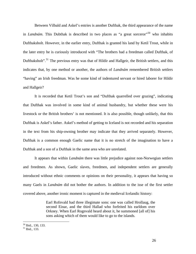<span id="page-25-0"></span>Between Vilbald and Askel's entries is another Dufthak, the third appearance of the name in *Landnám*. This Dubthak is described in two places as "a great sorceror"<sup>[50](#page-25-0)</sup> who inhabits Dufthaksholt. However, in the earlier entry, Dufthak is granted his land by Ketil Trout, while in the later entry he is curiously introduced with "The brothers had a freedman called Dufthak, of Dufthaksholt".<sup>[51](#page-25-0)</sup> The previous entry was that of Hildir and Hallgeir, the British settlers, and this indicates that, by one method or another, the authors of *Landnám* remembered British settlers "having" an Irish freedman. Was he some kind of indentured servant or hired laborer for Hildir and Hallgeir?

It is recorded that Ketil Trout's son and "Dufthak quarrelled over grazing", indicating that Dufthak was involved in some kind of animal husbandry, but whether these were his livestock or the British brothers' is not mentioned. It is also possible, though unlikely, that this Dufthak is Askel's father. Askel's method of getting to Iceland is not recorded and his separation in the text from his ship-owning brother may indicate that they arrived separately. However, Dufthak is a common enough Gaelic name that it is no stretch of the imagination to have a Dufthak and a son of a Dufthak in the same area who are unrelated.

It appears that within *Landnám* there was little prejudice against non-Norwegian settlers and freedmen. As shown, Gaelic slaves, freedmen, and independent settlers are generally introduced without ethnic comments or opinions on their personality, it appears that having so many Gaels in *Landnám* did not bother the authors. In addition to the isse of the first settler covered above, another ironic moment is captured in the medieval Icelandic history:

> Earl Rofnvald had three illegimate sons: one was called Hrollaug, the second Einar, and the third Hallad who forfeited his earldom over Orkney. When Earl Rognvald heard about it, he summoned [all of] his sons asking which of them would like to go to the islands.

<sup>50</sup> Ibid., 130, 133.

<sup>51</sup> Ibid., 133.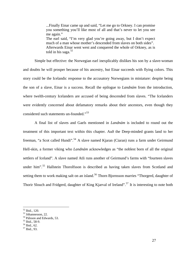...Finally Einar came up and said, "Let me go to Orkney. I can promise you something you'll like most of all and that's never to let you see me again." The earl said, "I'm very glad you're going away, but I don't expect much of a man whose mother's descended from slaves on both sides". Afterwards Einar went west and conquered the whole of Orkney, as is told in his saga. $52$ 

<span id="page-26-0"></span> Simple but effective: the Norwegian earl inexplicably dislikes his son by a slave-woman and doubts he will prosper because of his ancestry, but Einar succeeds with flying colors. This story could be the Icelandic response to the accusatory Norwegians in miniature: despite being the son of a slave, Einar is a success. Recall the epilogue to *Landnám* from the introduction, where twelth-century Icelanders are accused of being descended from slaves. "The Icelanders were evidently concerned about defamatory remarks about their ancestors, even though they considered such statements un-founded."<sup>[53](#page-26-0)</sup>

 A final list of slaves and Gaels mentioned in *Landnám* is included to round out the treatment of this important text within this chapter. Auð the Deep-minded grants land to her freeman, "a Scot called Hundi".<sup>[54](#page-26-0)</sup> A slave named Kjaran (Ciaran) runs a farm under Geirmund Hell-skin, a former viking who *Landnám* acknowledges as "the noblest born of all the original settlers of Iceland". A slave named Atli runs another of Geirmund's farms with "fourteen slaves under him".<sup>[55](#page-26-0)</sup> Hallstein Thorolfsson is described as having taken slaves from Scotland and setting them to work making salt on an island.<sup>[56](#page-26-0)</sup> Thorn Bjornsson marries "Thorgerd, daughter of Thorir Slouch and Fridgerd, daughter of King Kjarval of Ireland".<sup>[57](#page-26-0)</sup> It is interesting to note both

<sup>52</sup> Ibid., 120.

<sup>53</sup> Jóhannesson, 22.

<sup>54</sup> Pálsson and Edwards, 53.

<sup>55</sup> Ibid., 58-9.

<sup>56</sup> Ibid., 62.

<sup>57</sup> Ibid., 93.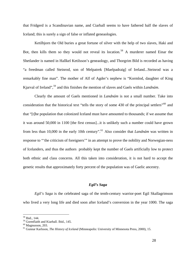<span id="page-27-0"></span>that Fridgerd is a Scandinavian name, and Ciarball seems to have fathered half the slaves of Iceland; this is surely a sign of false or inflated geneaologies.

Ketilbjorn the Old buries a great fortune of silver with the help of two slaves, Haki and Bot, then kills them so they would not reveal its location.<sup>[58](#page-27-0)</sup> A murderer named Einar the Shetlander is named in Hallkel Ketilsson's geneaology, and Thorgrim Bild is recorded as having "a freedman called Steinrod, son of Melpatrek [Maelpadraig] of Ireland...Steinrod was a remarkably fine man". The mother of Alf of Agder's nephew is "Kormlod, daughter of King Kjarval of Ireland",[59](#page-27-0) and this finishes the mention of slaves and Gaels within *Landnám*.

Clearly the amount of Gaels mentioned in *Landnám* is not a small number. Take into consideration that the historical text "tells the story of some 430 of the principal settlers"<sup>[60](#page-27-0)</sup> and that "[t]he population that colonized Iceland must have amounted to thousands; if we assume that it was around 50,000 in 1100 [the first census]...it is unlikely such a number could have grown from less than 10,000 in the early 10th century".<sup>[61](#page-27-0)</sup> Also consider that *Landnám* was written in response to "'the criticism of foreigners'" in an attempt to prove the nobility and Norwegian-ness of Icelanders, and thus the authors probably kept the number of Gaels artificially low to protect both ethnic and class concerns. All this taken into consideration, it is not hard to accept the genetic results that approximately forty percent of the population was of Gaelic ancestry.

## *Egil's Saga*

*Egil's Saga* is the celebrated saga of the tenth-century warrior-poet Egil Skallagrimson who lived a very long life and died soon after Iceland's conversion in the year 1000. The saga

<sup>58</sup> Ibid., 144.

<sup>59</sup> Gormflaith and Kiarball. Ibid., 145.

 $60$  Magnusson, 203.

<sup>61</sup> Gunnar Karlsson, *The History of Iceland* (Minneapolis: University of Minnesota Press, 2000), 15.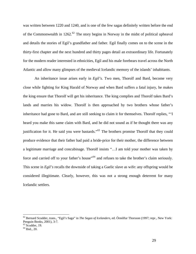<span id="page-28-0"></span>was written between 1220 and 1240, and is one of the few sagas definitely written before the end of the Commonwealth in 12[62](#page-28-0).<sup>62</sup> The story begins in Norway in the midst of political upheaval and details the stories of Egil's grandfather and father. Egil finally comes on to the scene in the thirty-first chapter and the next hundred and thirty pages detail an extraordinary life. Fortunately for the modern reader interested in ethnicities, Egil and his male forebears travel across the North Atlantic and allow many glimpses of the medieval Icelandic memory of the islands' inhabitants.

An inheritance issue arises early in *Egil's*. Two men, Thorolf and Bard, become very close while fighting for King Harald of Norway and when Bard suffers a fatal injury, he makes the king ensure that Thorolf will get his inheritance. The king complies and Thorolf takes Bard's lands and marries his widow. Thorolf is then approached by two brothers whose father's inheritance had gone to Bard, and are still seeking to claim it for themselves. Thorolf replies, "'I heard you make this same claim with Bard, and he did not sound as if he thought there was any justification for it. He said you were bastards."<sup>[63](#page-28-0)</sup> The brothers promise Thorolf that they could produce evidence that their father had paid a bride-price for their mother, the difference between a legitimate marriage and concubinage. Thorolf insists "…I am told your mother was taken by force and carried off to your father's house"<sup>[64](#page-28-0)</sup> and refuses to take the brother's claim seriously. This scene in *Egil's* recalls the downside of taking a Gaelic slave as wife: any offspring would be considered illegitimate. Clearly, however, this was not a strong enough deterrent for many Icelandic settlers.

<sup>62</sup> Bernard Scudder, trans., "Egil's Saga" in *The Sagas of Icelanders*, ed. Örnólfur Thorsson (1997; repr., New York: Penguin Books, 2001), 3-7.

 $63$  Scudder, 19.

<sup>64</sup> Ibid., 20.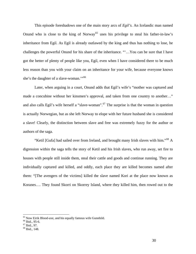<span id="page-29-0"></span>This episode foreshadows one of the main story arcs of *Egil's*. An Icelandic man named Onund who is close to the king of Norway<sup>[65](#page-29-0)</sup> uses his privilege to steal his father-in-law's inheritance from Egil. As Egil is already outlawed by the king and thus has nothing to lose, he challenges the powerful Onund for his share of the inheritance. "'…You can be sure that I have got the better of plenty of people like you, Egil, even when I have considered there to be much less reason than you with your claim on an inheritance for your wife, because everyone knows she's the daughter of a slave-woman."<sup>[66](#page-29-0)</sup>

Later, when arguing in a court, Onund adds that Egil's wife's "mother was captured and made a concubine without her kinsmen's approval, and taken from one country to another…" and also calls Egil's wife herself a "slave-woman".<sup>[67](#page-29-0)</sup> The surprise is that the woman in question is actually Norwegian, but as she left Norway to elope with her future husband she is considered a slave! Clearly, the distinction between slave and free was extremely fuzzy for the author or authors of the saga.

"Ketil [Gufa] had sailed over from Ireland, and brought many Irish slaves with him."<sup>[68](#page-29-0)</sup> A digression within the saga tells the story of Ketil and his Irish slaves, who run away, set fire to houses with people still inside them, steal their cattle and goods and continue running. They are individually captured and killed, and oddly, each place they are killed becomes named after them: "[The avengers of the victims] killed the slave named Kori at the place now known as Koranes…. They found Skorri on Skorrey Island, where they killed him, then rowed out to the

 $65$  Now Eirik Blood-axe, and his equally famous wife Gunnhild.

<sup>&</sup>lt;sup>66</sup> Ibid., 95-6.

<sup>67</sup> Ibid., 97.

<sup>68</sup> Ibid., 148.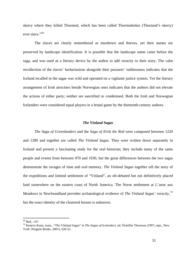<span id="page-30-0"></span>skerry where they killed Thormod, which has been called Thormodssker (Thormod's skerry) ever since."<sup>[69](#page-30-0)</sup>

The slaves are clearly remembered as murderers and thieves, yet their names are preserved by landscape identification. It is possible that the landscape name came before the saga, and was used as a literary device by the author to add veracity to their story. The calm recollection of the slaves' barbarianism alongside their pursuers' ruthlessness indicates that the Iceland recalled in the sagas was wild and operated on a vigilante justice system. Yet the literary arrangement of Irish atrocities beside Norwegian ones indicates that the authors did not elevate the actions of either party; neither are sanctified or condemned. Both the Irish and Norwegian Icelanders were considered equal players in a brutal game by the thirteenth-century authors.

### *The Vínland Sagas*

*The Saga of Greenlanders* and the *Saga of Eirik the Red* were composed between 1220 and 1280 and together are called *The Vinland Sagas*. They were written down separately in Iceland and present a fascinating study for the oral historian; they include many of the same people and events from between 970 and 1030, but the great differences between the two sagas demonstrate the ravages of time and oral memory. *The Vinland Sagas* together tell the story of the expeditions and limited settlement of "Vínland", an oft-debated but not definitively placed land somewhere on the eastern coast of North America. The Norse settlement at L'anse aux Meadows in Newfoundland provides archaeological evidence of *The Vinland Sagas'* veracity,<sup>[70](#page-30-0)</sup> but the exact identity of the clustered houses is unknown.

<u>.</u>

<sup>69</sup> Ibid., 147.

<sup>70</sup> Keneva Kunz, trans., "The Vínland Sagas" in *The Sagas of Icelanders*, ed. Örnólfur Thorsson (1997; repr., New York: Penguin Books, 2001), 626-52.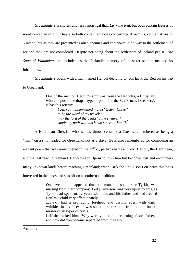<span id="page-31-0"></span>*Greenlanders* is shorter and less fantastical than *Eirik the Red*, but both contain figures of non-Norwegian origin. They also both contain episodes concerning *skraelings*, or the natives of Vinland, but as they are presented as alien enemies and contribute in no way to the settlement of Iceland they are not considered. Despite not being about the settlement of Iceland per se, *The Saga of Vinlanders* are included as the Icelandic memory of its sister settlements and its inhabitants.

*Greenlanders* opens with a man named Herjolf deciding to join Eirik the Red on his trip to Greenland.

> One of the men on Herjolf's ship was from the Hebrides, a Christian, who composed the drapa [type of poem] of the Sea Fences (Breakers). It has this refrain:

*I ask you, unblemished monks' tester [Christ] to be the ward of my travels; may the lord of the peaks' pane [heaven] shade my path with his hawk's perch [hand]*. [71](#page-31-0)

A Hebridean Christian who is thus almost certainly a Gael is remembered as being a "man" on a ship headed for Greenland, not as a slave. He is also remembered for composing an elegant poem that was remembered in the  $13<sup>th</sup>$  c., perhaps in its entirety. Herjolf, the Hebridean, and the rest reach Greenland. Herjolf's son Bjarni follows him but becomes lost and encounters many unknown lands before reaching Greenland; when Eirik the Red's son Leif hears this he is interested in the lands and sets off on a southern expedition.

> One evening it happened that one man, the southerner Tyrkir, was missing from their company. Leif [Eiriksson] was very upset by this, as Tyrkir had spent many years with him and his father and had treated Leif as a child very affectionately.

...Tyrkir had a protruding forehead and darting eyes, with dark wrinkles in his face; he was short in stature and frail-looking but a master of all types of crafts.

Leif then asked him, 'Why were you so late returning, foster-father, and how did you become separated from the rest?'

 $71$  Ibid., 636.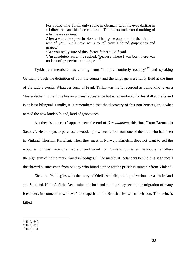<span id="page-32-0"></span>For a long time Tyrkir only spoke in German, with his eyes darting in all directions and his face contorted. The others understood nothing of what he was saying. After a while he spoke in Norse: 'I had gone only a bit farther than the rest of you. But I have news to tell you: I found grapevines and grapes.' 'Are you really sure of this, foster-father?' Leif said. 'I'm absolutely sure,' he replied, 'because where I was born there was no lack of grapevines and grapes.<sup>[72](#page-32-0)</sup>

Tyrkir is remembered as coming from "a more southerly country"<sup>[73](#page-32-0)</sup> and speaking German, though the definition of both the country and the language were fairly fluid at the time of the saga's events. Whatever form of Frank Tyrkir was, he is recorded as being kind, even a "foster-father" to Leif. He has an unusual appearance but is remembered for his skill at crafts and is at least bilingual. Finally, it is remembered that the discovery of this non-Norwegian is what named the new land: Vínland, land of grapevines.

Another "southerner" appears near the end of *Greenlanders*, this time "from Bremen in Saxony". He attempts to purchase a wooden prow decoration from one of the men who had been to Vínland, Thorfinn Karlefsni, when they meet in Norway. Karlefsni does not want to sell the wood, which was made of a maple or burl wood from Vínland, but when the southerner offers the high sum of half a mark Karlefsni obliges.<sup>[74](#page-32-0)</sup> The medieval Icelanders behind this saga recall the shrewd businessman from Saxony who found a price for the priceless souvenir from Vínland.

*Eirik the Red* begins with the story of Oleif [Amlaib], a king of various areas in Ireland and Scotland. He is Auð the Deep-minded's husband and his story sets up the migration of many Icelanders in connection with Auð's escape from the British Isles when their son, Thorstein, is killed.

 $72$  Ibid., 640.

 $73$  Ibid., 638.

 $74$  Ibid., 651.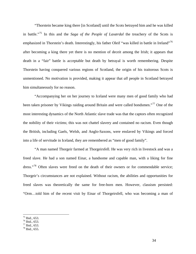<span id="page-33-0"></span>"Thorstein became king there [in Scotland] until the Scots betrayed him and he was killed in battle."[75](#page-33-0) In this and the *Saga of the People of Laxærdal* the treachery of the Scots is emphasized in Thorstein's death. Interestingly, his father Oleif "was killed in battle in Ireland"<sup>[76](#page-33-0)</sup> after becoming a king there yet there is no mention of deceit among the Irish; it appears that death in a "fair" battle is acceptable but death by betrayal is worth remembering. Despite Thorstein having conquered various regions of Scotland, the origin of his traitorous Scots is unmentioned. No motivation is provided, making it appear that *all* people in Scotland betrayed him simultaneously for no reason.

"Accompanying her on her journey to Iceland were many men of good family who had been taken prisoner by Vikings raiding around Britain and were called bondsmen."<sup>[77](#page-33-0)</sup> One of the most interesting dynamics of the North Atlantic slave trade was that the captors often recognized the nobility of their victims; this was not chattel slavery and contained no racism. Even though the British, including Gaels, Welsh, and Anglo-Saxons, were enslaved by Vikings and forced into a life of servitude in Iceland, they are remembered as "men of good family".

"A man named Thorgeir farmed at Thorgeirsfell. He was very rich in livestock and was a freed slave. He had a son named Einar, a handsome and capable man, with a liking for fine dress."<sup>[78](#page-33-0)</sup> Often slaves were freed on the death of their owners or for commendable service; Thorgeir's circumstances are not explained. Without racism, the abilities and opportunities for freed slaves was theoretically the same for free-born men. However, classism persisted: "Orm…told him of the recent visit by Einar of Thorgeirsfell, who was becoming a man of

 $75$  Ibid., 653.

<sup>76</sup> Ibid., 653.

 $77$  Ibid., 653.

 $78$  Ibid., 655.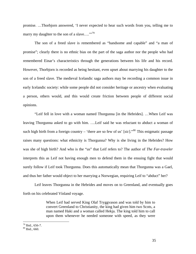<span id="page-34-0"></span>promise. …Thorbjorn answered, 'I never expected to hear such words from you, telling me to marry my daughter to the son of a slave...."<sup>[79](#page-34-0)</sup>

The son of a freed slave is remembered as "handsome and capable" and "a man of promise"; clearly there is no ethnic bias on the part of the saga author nor the people who had remembered Einar's characteristics through the generations between his life and his record. However, Thorbjorn is recorded as being hesitant, even upset about marrying his daughter to the son of a freed slave. The medieval Icelandic saga authors may be recording a common issue in early Icelandic society: while some people did not consider heritage or ancestry when evaluating a person, others would, and this would create friction between people of different social opinions.

"Leif fell in love with a woman named Thorgunna [in the Hebrides]. …When Leif was leaving Thorgunna asked to go with him. ….Leif said he was reluctant to abduct a woman of such high birth from a foreign country – 'there are so few of us'  $[sic]$ <sup>30</sup>. This enigmatic passage raises many questions: what ethnicity is Thorgunna? Why is she living in the Hebrides? How was she of high birth? And who is the "us" that Leif refers to? The author of *The Far-traveler* interprets this as Leif not having enough men to defend them in the ensuing fight that would surely follow if Leif took Thorgunna. Does this automatically mean that Thorgunna was a Gael, and thus her father would object to her marrying a Norwegian, requiring Leif to "abduct" her?

Leif leaves Thorgunna in the Hebrides and moves on to Greenland, and eventually goes forth on his celebrated Vínland voyage.

> When Leif had served King Olaf Tryggvason and was told by him to convert Greenland to Christianity, the king had given him two Scots, a man named Haki and a woman called Hekja. The king told him to call upon them whenever he needed someone with speed, as they were

 $79$  Ibid., 656-7.

<sup>80</sup> Ibid., 660.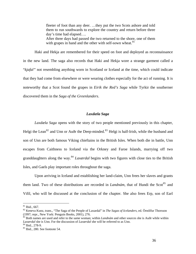fleeter of foot than any deer. …they put the two Scots ashore and told them to run southwards to explore the country and return before three day's time had elapsed…. After three days had passed the two returned to the shore, one of them with grapes in hand and the other with self-sown wheat.  $81$ 

<span id="page-35-0"></span>Haki and Hekja are remembered for their speed on foot and deployed as reconnaissance in the new land. The saga also records that Haki and Hekja wore a strange garment called a "*kjafal"* not resembling anything worn in Scotland or Iceland at the time, which could indicate that they had come from elsewhere or were wearing clothes especially for the act of running. It is noteworthy that a Scot found the grapes in *Eirik the Red's Saga* while Tyrkir the southerner discovered them in the *Saga of the Greenlanders*.

## *Laxdæla Saga*

*Laxdæla Saga* opens with the story of two people mentioned previously in this chapter, Helgi the Lean<sup>[82](#page-35-0)</sup> and Unn or Auðr the Deep-minded.<sup>[83](#page-35-0)</sup> Helgi is half-Irish, while the husband and son of Unn are both famous Viking chieftains in the British Isles. When both die in battle, Unn escapes from Caithness to Iceland via the Orkney and Faroe Islands, marrying off two granddaughters along the way.[84](#page-35-0) *Laxærdal* begins with two figures with close ties to the British Isles, and Gaels play important roles throughout the saga.

 Upon arriving in Iceland and establishing her land-claim, Unn frees her slaves and grants them land. Two of these distributions are recorded in *Landnám*, that of Hundi the Scot<sup>[85](#page-35-0)</sup> and Vifil, who will be discussed at the conclusion of the chapter. She also frees Erp, son of Earl

 $81$  Ibid., 667.

<sup>82</sup> Keneva Kunz, trans., "The Saga of the People of Laxardal" in *The Sagas of Icelanders*, ed. Örnólfur Thorsson (1997; repr., New York: Penguin Books, 2001), 276.

<sup>83</sup> Both names are used and refer to the same woman; within *Landnám* and other sources she is Auðr while within *Laxærdal* she is Unn. For the discussion of *Laxærdal* she will be referred to as Unn. 84 Ibid., 278-9.

<sup>85</sup> Ibid., 280. See footnote 54.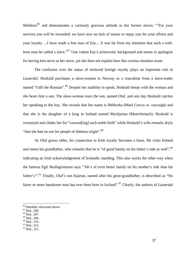<span id="page-36-0"></span>Meldoon<sup>[86](#page-36-0)</sup> and demonstrates a curiously gracious attitude to her former slaves: "For your services you will be rewarded; we have now no lack of means to repay you for your efforts and your loyalty. ...I have made a free man of Erp.... It was far from my intention that such a well-born man be called a slave."<sup>[87](#page-36-0)</sup> Unn values Erp's aristocratic background and seems to apologize for having him serve as her slave, yet she does not explain how this curious situation arose.

The confusion over the status of enslaved foreign royalty plays an important role in *Laxærdal*. Hoskuld purchases a slave-woman in Norway as a concubine from a slave-trader named "Gilli the Russian".<sup>[88](#page-36-0)</sup> Despite her inability to speak, Hoskuld sleeps with the woman and she bears him a son. The slave-woman rears the son, named Olaf, and one day Hoskuld catches her speaking to the boy. She reveals that her name is Melkorka (Mael Corcra or -curcaigh) and that she is the daughter of a king in Ireland named Myrkjartan (Muirchertach). Hoskuld is overjoyed and chides her for "conceal[ing] such noble birth" while Hoskuld's wife remarks dryly "that she had no use for people of dubious origin".<sup>[89](#page-36-0)</sup>

As Olaf grows older, his connection to Irish royalty becomes a boon. He visits Ireland and meets his grandfather, who remarks that he is "of good family on his father's side as well",  $\frac{90}{20}$  $\frac{90}{20}$  $\frac{90}{20}$ indicating an Irish acknowledgement of Icelandic standing. This also works the other way when the famous Egil Skallagrimsson says "'He's of even better family on his mother's side than his father's".<sup>[91](#page-36-0)</sup> Finally, Olaf's son Kjartan, named after his great-grandfather, is described as "No fairer or more handsome man has ever been born in Iceland".[92](#page-36-0) Clearly, the authors of *Laxærdal*

 $\overline{a}$ 

88 Ibid., 287.

<sup>86</sup> Maeldún, discussed above.

<sup>87</sup> Ibid., 280.

<sup>89</sup> Ibid., 290.

<sup>&</sup>lt;sup>90</sup> Ibid., 310.

 $91$  Ibid., 313.

<sup>&</sup>lt;sup>92</sup> Ibid., 321.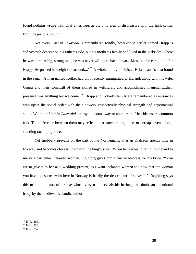<span id="page-37-0"></span>found nothing wrong with Olaf's heritage, as the only sign of displeasure with the Irish comes from the jealous Jorunn.

Not every Gael in *Laxærdal* is remembered fondly, however. A settler named Hrapp is "of Scottish descent on his father's side, but his mother's family had lived in the Hebrides, where he was born. A big, strong man, he was never willing to back down... Most people cared little for Hrapp. He pushed his neighbors around...."<sup>[93](#page-37-0)</sup> A whole family of sinister Hebrideans is also found in the saga: "A man named Kotkel had only recently immigrated to Iceland, along with his wife, Grima and their sons...all of them skilled in witchcraft and accomplished magicians...their presence was anything but welcome".<sup>[94](#page-37-0)</sup> Hrapp and Kotkel's family are remembered as nuisances who upset the social order with their powers, respectively physical strength and supernatural skills. While the Irish in *Laxærdal* are royal in some way or another, the Hebrideans are common folk. The difference between them may reflect an aristocratic prejudice, or perhaps even a longstanding racial prejudice.

Yet snobbery prevails on the part of the Norwegians. Kjartan Olafsson spends time in Norway and becomes close to Ingibjorg, the king's sister. When he readies to return to Iceland to marry a particular Icelandic woman, Ingibjorg gives him a fine head-dress for his bride. "'You are to give it to her as a wedding present, as I want Icelandic women to know that the woman you have consorted with here in Norway is hardly the descendant of slaves".<sup>[95](#page-37-0)</sup> Ingibjorg says this to the grandson of a slave whose very name reveals his heritage, no doubt an intentional irony by the medieval Icelandic author.

<sup>93</sup> Ibid., 285.

<sup>&</sup>lt;sup>94</sup> Ibid., 333.

<sup>&</sup>lt;sup>95</sup> Ibid., 357.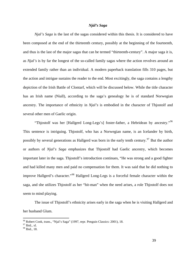### *Njál's Saga*

<span id="page-38-0"></span>*Njal's Saga* is the last of the sagas considered within this thesis. It is considered to have been composed at the end of the thirteenth century, possibly at the beginning of the fourteenth, and thus is the last of the major sagas that can be termed "thirteenth-century". A major saga it is, as *Njal's* is by far the longest of the so-called family sagas where the action revolves around an extended family rather than an individual. A modern paperback translation fills 310 pages, but the action and intrigue sustains the reader to the end. Most excitingly, the saga contains a lengthy depiction of the Irish Battle of Clontarf, which will be discussed below. While the title character has an Irish name (Niall), according to the saga's genealogy he is of standard Norwegian ancestry. The importance of ethnicity in *Njal's* is embodied in the character of Thjostolf and several other men of Gaelic origin.

"Thjostolf was her [Hallgerd Long-Legs's] foster-father, a Hebridean by ancestry."[96](#page-38-0) This sentence is intriguing. Thjostolf, who has a Norwegian name, is an Icelander by birth, possibly by several generations as Hallgerd was born in the early tenth century.<sup>[97](#page-38-0)</sup> But the author or authors of *Njal's Saga* emphasizes that Thjostolf had Gaelic ancestry, which becomes important later in the saga. Thjostolf's introduction continues, "He was strong and a good fighter and had killed many men and paid no compensation for them. It was said that he did nothing to improve Hallgerd's character."[98](#page-38-0) Hallgerd Long-Legs is a forceful female character within the saga, and she utilizes Thjostolf as her "hit-man" when the need arises, a role Thjostolf does not seem to mind playing.

The issue of Thjostolf's ethnicity arises early in the saga when he is visiting Hallgerd and her husband Glum.

<sup>&</sup>lt;sup>96</sup> Robert Cook, trans., "Njal's Saga" (1997, repr. Penguin Classics: 2001), 18.

<sup>97</sup> Ibid., xl.

<sup>98</sup> Ibid., 18.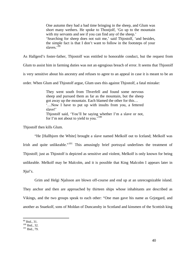One autumn they had a bad time bringing in the sheep, and Glum was short many wethers. He spoke to Thostjolf, 'Go up to the mountain with my servants and see if you can find any of the sheep.' 'Searching for sheep does not suit me,' said Thjostolf, 'and besides, the simple fact is that I don't want to follow in the footsteps of your slaves.'<sup>[99](#page-39-0)</sup>

<span id="page-39-0"></span>As Hallgerd's foster-father, Thjostolf was entitled to honorable conduct, but the request from

Glum to assist him in farming duties was not an egregious breach of error. It seems that Thjostolf

is very sensitive about his ancestry and refuses to agree to an appeal in case it is meant to be an

order. When Glum and Thjostolf argue, Glum uses this against Thjostolf, a fatal mistake:

They went south from Thverfell and found some nervous sheep and pursued them as far as the mountain, but the sheep got away up the mountain. Each blamed the other for this… '…Now I have to put up with insults from you, a fettered slave!' Thjostolf said, 'You'll be saying whether I'm a slave or not, for I'm not about to yield to you.' $100$ 

Thjostolf then kills Glum.

"He [Hallbjorn the White] brought a slave named Melkolf out to Iceland; Melkolf was Irish and quite unlikeable."<sup>[101](#page-39-0)</sup> This amusingly brief portrayal underlines the treatment of Thjostolf; just as Thjostolf is depicted as sensitive and violent, Melkolf is only known for being unlikeable. Melkolf may be Malcolm, and it is possible that King Malcolm I appears later in *Njal's*.

Grim and Helgi Njalsson are blown off-course and end up at an unrecognizable island. They anchor and then are approached by thirteen ships whose inhabitants are described as Vikings, and the two groups speak to each other: "One man gave his name as Grjotgard, and another as Snaekolf, sons of Moldan of Duncansby in Scotland and kinsmen of the Scottish king

<sup>&</sup>lt;sup>99</sup> Ibid., 31.

 $\frac{100}{101}$  Ibid., 32.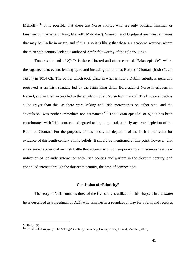<span id="page-40-0"></span>Melkolf."<sup>[102](#page-40-0)</sup> It is possible that these are Norse vikings who are only political kinsmen or kinsmen by marriage of King Melkolf (Malcolm?). Snaekolf and Grjotgard are unusual names that may be Gaelic in origin, and if this is so it is likely that these are seaborne warriors whom the thirteenth-century Icelandic author of *Njal's* felt worthy of the title "Viking".

Towards the end of *Njal's* is the celebrated and oft-researched "Brian episode", where the saga recounts events leading up to and including the famous Battle of Clontarf (Irish *Cluain Tarbh*) in 1014 CE. The battle, which took place in what is now a Dublin suburb, is generally portrayed as an Irish struggle led by the High King Brian Bóru against Norse interlopers in Ireland, and an Irish victory led to the expulsion of all Norse from Ireland. The historical truth is a lot grayer than this, as there were Viking and Irish mercenaries on either side, and the "expulsion" was neither immediate nor permanent.<sup>[103](#page-40-0)</sup> The "Brian episode" of *Njal's* has been corroborated with Irish sources and agreed to be, in general, a fairly accurate depiction of the Battle of Clontarf. For the purposes of this thesis, the depiction of the Irish is sufficient for evidence of thirteenth-century ethnic beliefs. It should be mentioned at this point, however, that an extended account of an Irish battle that accords with contemporary foreign sources is a clear indication of Icelandic interaction with Irish politics and warfare in the eleventh century, and continued interest through the thirteenth century, the time of composition.

#### **Conclusion of "Ethnicity"**

 The story of Vifil connects three of the five sources utilized in this chapter. In *Landnám*  he is described as a freedman of Auðr who asks her in a roundabout way for a farm and receives

<sup>&</sup>lt;sup>102</sup> Ibid., 136.

<sup>103</sup> Tomás Ó Carragáin, "The Vikings" (lecture, University College Cork, Ireland, March 3, 2008).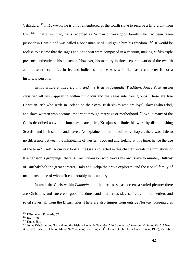<span id="page-41-0"></span>Vifilsdale.[104](#page-41-0) In *Laxærdal* he is only remembered as the fourth slave to receive a land grant from Unn.<sup>[105](#page-41-0)</sup> Finally, in *Eirik*, he is recorded as "a man of very good family who had been taken prisoner in Britain and was called a bondsman until Aud gave him his freedom".[106](#page-41-0) It would be foolish to assume that the sagas and *Landnám* were composed in a vacuum, making Vifil's triple presence authenticate his existence. However, his memory in three separate works of the twelfth and thirteenth centuries in Iceland indicates that he was well-liked as a character if not a historical persona.

In his article entitled *Ireland and the Irish in Icelandic Tradition*, Jónas Kristjánsson classified all Irish appearing within *Landnám* and the sagas into four groups. These are free Christian Irish who settle in Iceland on their own, Irish slaves who are loyal, slaves who rebel, and slave-women who become important through marriage or motherhood.<sup>[107](#page-41-0)</sup> While many of the Gaels described above fall into these categories, Kristjánsson limits his work by distinguishing Scottish and Irish settlers and slaves. As explained in the introductory chapter, there was little to no difference between the inhabitants of western Scotland and Ireland at this time, hence the use of the term "Gael". A cursory look at the Gaels collected in this chapter reveals the limitations of Kristjánsson's groupings: there is Karl Kylansson who forces his own slave to murder, Dufthak of Dufthaksholt the great sorcerer, Haki and Hekja the brave explorers, and the Kotkel family of magicians, none of whom fit comfortably in a category.

 Instead, the Gaels within *Landnám* and the earliest sagas present a varied picture: there are Christians and sorcerers, good freedmen and murderous slaves, free common settlers and royal slaves, all from the British Isles. There are also figures from outside Norway, presented as

<sup>&</sup>lt;sup>104</sup> Pálsson and Edwards, 52.<br><sup>105</sup> Kunz, 280.<br><sup>106</sup> Kunz, 654. <sup>106</sup> Kunz, 654. <sup>107</sup> Jónas Kristjánsson, "Ireland and the Irish in Icelandic Tradition," in *Ireland and Scandinavia in the Early Viking Age*, ed. Howard B. Clarke, Máire Ní Mhaonaigh and Ragnall Ó Floinn (Dublin: Four Courts Press, 1998), 259-76.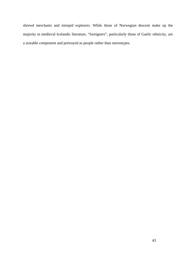shrewd merchants and intrepid explorers. While those of Norwegian descent make up the majority in medieval Icelandic literature, "foreigners", particularly those of Gaelic ethnicity, are a sizeable component and portrayed as people rather than stereotypes.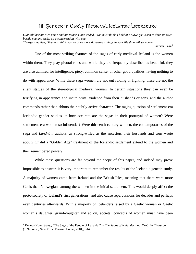# III. Gender in Early Medieval Icelandic Literature

<span id="page-43-0"></span>*Olaf told her his own name and his father's, and added, 'You must think it bold of a slave-girl's son to dare sit down beside you and strike up a conversation with you.' Thorgerd replied, 'You must think you've done more dangerous things in your life than talk to women.'*  Laxdæla Saga $<sup>1</sup>$  $<sup>1</sup>$  $<sup>1</sup>$ </sup>

One of the most striking features of the sagas of early medieval Iceland is the women within them. They play pivotal roles and while they are frequently described as beautiful, they are also admired for intelligence, piety, common sense, or other good qualities having nothing to do with appearance. While these saga women are not out raiding or fighting, these are not the silent statues of the stereotypical medieval woman. In certain situations they can even be terrifying in appearance and incite brutal violence from their husbands or sons, and the author commends rather than abhors their subtly active character. The raging question of settlement-era Icelandic gender studies is: how accurate are the sagas in their portrayal of women? Were settlement-era women so influential? Were thirteenth-century women, the contemporaries of the saga and *Landnám* authors, as strong-willed as the ancestors their husbands and sons wrote about? Or did a "Golden Age" treatment of the Icelandic settlement extend to the women and their remembered power?

While these questions are far beyond the scope of this paper, and indeed may prove impossible to answer, it is very important to remember the results of the Icelandic genetic study. A majority of women came from Ireland and the British Isles, meaning that there were more Gaels than Norwegians among the women in the initial settlement. This would deeply affect the proto-society of Iceland's first generations, and also cause repercussions for decades and perhaps even centuries afterwards. With a majority of Icelanders raised by a Gaelic woman or Gaelic woman's daughter, grand-daughter and so on, societal concepts of women must have been

<sup>&</sup>lt;sup>1</sup> Keneva Kunz, trans., "The Saga of the People of Laxardal" in *The Sagas of Icelanders*, ed. Örnólfur Thorsson (1997; repr., New York: Penguin Books, 2001), 314.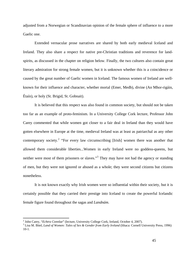<span id="page-44-0"></span>adjusted from a Norwegian or Scandinavian opinion of the female sphere of influence to a more Gaelic one.

Extended vernacular prose narratives are shared by both early medieval Iceland and Ireland. They also share a respect for native pre-Christian traditions and reverence for landspirits, as discussed in the chapter on religion below. Finally, the two cultures also contain great literary admiration for strong female women, but it is unknown whether this is a coincidence or caused by the great number of Gaelic women in Iceland. The famous women of Ireland are wellknown for their influence and character, whether mortal (Emer, Medb), divine (An Mhor-rigáin, Étaín), or holy (St. Brigid, St. Gobnait).

It is believed that this respect was also found in common society, but should not be taken too far as an example of proto-feminism. In a University College Cork lecture, Professor John Carey commented that while women got closer to a fair deal in Ireland than they would have gotten elsewhere in Europe at the time, medieval Ireland was at least as patriarchal as any other contemporary society.<sup>[2](#page-44-0)</sup> "For every law circumscribing [Irish] women there was another that allowed them considerable liberties...Women in early Ireland were no goddess-queens, but neither were most of them prisoners or slaves."<sup>[3](#page-44-0)</sup> They may have not had the agency or standing of men, but they were not ignored or abused as a whole; they were second citizens but citizens nonetheless.

It is not known exactly why Irish women were so influential within their society, but it is certainly possible that they carried their prestige into Iceland to create the powerful Icelandic female figure found throughout the sagas and *Landnám*.

<sup>&</sup>lt;sup>2</sup> John Carey, "*Echtra Connlae*" (lecture, University College Cork, Ireland, October 4, 2007).<br><sup>3</sup> Lise M. Bitel, *Land of Waman; Tales of Sax fr. Condar from Early Ireland* (Ithega: Corpell U

Lisa M. Bitel, *Land of Women: Tales of Sex & Gender from Early Ireland* (Ithaca: Cornell University Press, 1996) 10-1.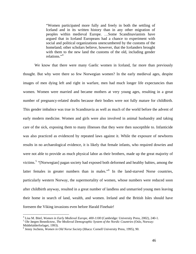<span id="page-45-0"></span>"Women participated more fully and freely in both the settling of Iceland and in its written history than in any other migration of peoples within medieval Europe. …Some Scandinavianists have argued that in Iceland Europeans had a chance to experiment with social and political organizations unencumbered by the customs of the homeland; other scholars believe, however, that the Icelanders brought with them to the new land the customs of the old, including gender relations."<sup>[4](#page-45-0)</sup>

We know that there were many Gaelic women in Iceland, far more than previously thought. But why were there so few Norwegian women? In the early medieval ages, despite images of men dying left and right in warfare, men had much longer life expectancies than women. Women were married and became mothers at very young ages, resulting in a great number of pregnancy-related deaths because their bodies were not fully mature for childbirth. This gender imbalnce was true in Scandinavia as well as much of the world before the advent of early modern medicine. Women and girls were also involved in animal husbandry and taking care of the sick, exposing them to many illnesses that they were then susceptible to. Infanticide was also practiced as evidenced by repeated laws against it. While the exposure of newborns results in no archaeological evidence, it is likely that female infants, who required dowries and were not able to provide as much physical labor as their brothers, made up the great majority of victims.<sup>[5](#page-45-0)</sup> "[Norwegian] pagan society had exposed both deformed and healthy babies, among the latter females in greater numbers than in males."<sup>[6](#page-45-0)</sup> In the land-starved Norse countries, particularly western Norway, the supermortality of women, whose numbers were reduced soon after childbirth anyway, resulted in a great number of landless and unmarried young men leaving their home in search of land, wealth, and women. Ireland and the British Isles should have foreseen the Viking invasions even before Harald Finehair!

<sup>&</sup>lt;sup>4</sup> Lisa M. Bitel, *Women in Early Medieval Europe, 400-1100* (Cambridge: University Press, 2002), 240-1.<br><sup>5</sup> Ole Jarcan Banedistow, *The Medieval Demographic System of the Nordie Countries* (Oslo, Norwow,

Ole Jørgen Benedictow, *The Medieval Demographic System of the Nordic Countries* (Oslo, Norway: Middelalderforlaget, 1993).

<sup>6</sup> Jenny Jochens, *Women in Old Norse Society* (Ithaca: Cornell University Press, 1995), 90.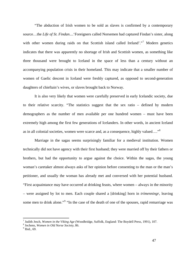<span id="page-46-0"></span>"The abduction of Irish women to be sold as slaves is confirmed by a contemporary source…the *Life of St. Findan*....'Foreigners called Norsemen had captured Findan's sister, along with other women during raids on that Scottish island called Ireland'."<sup>[7](#page-46-0)</sup> Modern genetics indicates that there was apparently no shortage of Irish and Scottish women, as something like three thousand were brought to Iceland in the space of less than a century without an accompanying population crisis in their homeland. This may indicate that a smaller number of women of Gaelic descent in Iceland were freshly captured, as opposed to second-generation daughters of chieftain's wives, or slaves brought back to Norway.

It is also very likely that women were carefully preserved in early Icelandic society, due to their relative scarcity. "The statistics suggest that the sex ratio – defined by modern demographers as the number of men available per one hundred women – must have been extremely high among the first few generations of Icelanders. In other words, in ancient Iceland as in all colonial societies, women were scarce and, as a consequence, highly valued…."[8](#page-46-0)

Marriage in the sagas seems surprisingly familiar for a medieval institution. Women technically did not have agency with their first husband; they were married off by their fathers or brothers, but had the opportunity to argue against the choice. Within the sagas, the young woman's caretaker almost always asks of her opinion before consenting to the man or the man's petitioner, and usually the woman has already met and conversed with her potential husband. "First acquaintance may have occurred at drinking feasts, where women – always in the minority – were assigned by lot to men. Each couple shared a [drinking] horn in *trímenningr*, leaving some men to drink alone."<sup>[9](#page-46-0)</sup> "In the case of the death of one of the spouses, rapid remarriage was

<sup>&</sup>lt;sup>7</sup> Judith Jesch, *Women in the Viking Age* (Woodbridge, Suffolk, England: The Boydell Press, 1991), 107.

<sup>&</sup>lt;sup>8</sup> Jochens, *Women in Old Norse Society*, 86.

 $<sup>9</sup>$  Ibid., 69.</sup>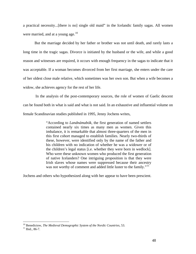<span id="page-47-0"></span>a practical necessity...[there is no] single old maid" in the Icelandic family sagas. All women were married, and at a young age.<sup>[10](#page-47-0)</sup>

But the marriage decided by her father or brother was not until death, and rarely lasts a long time in the tragic sagas. Divorce is initiated by the husband or the wife, and while a good reason and witnesses are required, it occurs with enough frequency in the sagas to indicate that it was acceptable. If a woman becomes divorced from her first marriage, she enters under the care of her oldest close male relative, which sometimes was her own son. But when a wife becomes a widow, she achieves agency for the rest of her life.

 In the analysis of the post-contemporary sources, the role of women of Gaelic descent can be found both in what is said and what is not said. In an exhaustive and influential volume on female Scandinavian studies published in 1995, Jenny Jochens writes,

> "According to *Landnámabók*, the first generation of named settlers contained nearly six times as many men as women. Given this imbalance, it is remarkable that almost three-quarters of the men in this first cohort managed to establish families. Nearly two-thirds of these, however, were identified only by the name of the father and his children with no indication of whether he was a widower or of the children's legal status [i.e. whether they were born in wedlock]. Who were these unknown women who produced the first generation of native Icelanders? One intriguing proposition is that they were Irish slaves whose names were suppressed because their ancestry was not worthy of comment and added little luster to the family."<sup>[11](#page-47-0)</sup>

Jochens and others who hypothesized along with her appear to have been prescient.

<sup>&</sup>lt;sup>10</sup> Benedictow, *The Medieval Demographic System of the Nordic Countries*, 53. <sup>11</sup> Ibid., 86-7.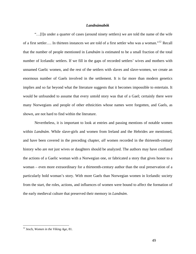#### *Landnámabók*

<span id="page-48-0"></span> "…[I]n under a quarter of cases (around ninety settlers) we are told the name of the wife of a first settler…. In thirteen instances we are told of a first settler who was a woman."[12](#page-48-0) Recall that the number of people mentioned in *Landnám* is estimated to be a small fraction of the total number of Icelandic settlers. If we fill in the gaps of recorded settlers' wives and mothers with unnamed Gaelic women, and the rest of the settlers with slaves and slave-women, we create an enormous number of Gaels involved in the settlement. It is far more than modern genetics implies and so far beyond what the literature suggests that it becomes impossible to entertain. It would be unfounded to assume that every untold story was that of a Gael; certainly there were many Norwegians and people of other ethnicities whose names were forgotten, and Gaels, as shown, are not hard to find within the literature.

 Nevertheless, it is important to look at entries and passing mentions of notable women within *Landnám*. While slave-girls and women from Ireland and the Hebrides are mentioned, and have been covered in the preceding chapter, *all* women recorded in the thirteenth-century history who are *not* just wives or daughters should be analyzed. The authors may have conflated the actions of a Gaelic woman with a Norwegian one, or fabricated a story that gives honor to a woman – even more extraordinary for a thirteenth-century author than the oral preservation of a particularly bold woman's story. With more Gaels than Norwegian women in Icelandic society from the start, the roles, actions, and influences of women were bound to affect the formation of the early medieval culture that preserved their memory in *Landnám*.

1

<sup>12</sup> Jesch, *Women in the Viking Age*, 81.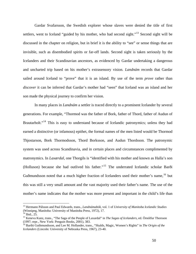<span id="page-49-0"></span> Gardar Svafarsson, the Swedish explorer whose slaves were denied the title of first settlers, went to Iceland "guided by his mother, who had second sight."<sup>[13](#page-49-0)</sup> Second sight will be discussed in the chapter on religion, but in brief it is the ability to "see" or sense things that are invisible, such as disembodied spirits or far-off lands. Second sight is taken seriously by the Icelanders and their Scandinavian ancestors, as evidenced by Gardar undertaking a dangerous and uncharted trip based on his mother's extrasensory vision. *Landnám* records that Gardar sailed around Iceland to "prove" that it is an island. By use of the term *prove* rather than *discover* it can be inferred that Gardar's mother had "seen" that Iceland was an island and her son made the physical journey to confirm her vision.

 In many places in *Landnám* a settler is traced directly to a prominent Icelander by several generations. For example, "Thormod was the father of Bork, father of Thord, father of Audun of Brautarholt."<sup>[14](#page-49-0)</sup> This is easy to understand because of Icelandic patronymics; unless they had earned a distinctive (or infamous) epithet, the formal names of the men listed would be Thormod Thjostarson, Bork Thormodsson, Thord Borksson, and Audun Thordsson. The patronymic system was used across Scandinavia, and in certain places and circumstances complimented by matronymics. In *Laxærdal*, one Thorgils is "identified with his mother and known as Halla's son (Holluson) because she had outlived his father."[15](#page-49-0) The underrated Icelandic scholar Barði Guðmundsson noted that a much higher fraction of Icelanders used their mother's name, <sup>[16](#page-49-0)</sup> but this was still a very small amount and the vast majority used their father's name. The use of the mother's name indicates that the mother was more present and important in the child's life than

1

<sup>13</sup> Hermann Pálsson and Paul Edwards, trans., *Landnámabók*, vol. 1 of *University of Manitoba Icelandic Studies* (Winnipeg, Manitoba: University of Manitoba Press, 1972), 17.

 $14$  Ibid., 25.

<sup>15</sup> Keneva Kunz, trans., "The Saga of the People of Laxardal" in *The Sagas of Icelanders*, ed. Örnólfur Thorsson (1997; repr., New York: Penguin Books, 2001), 383.

<sup>16</sup> Barthi Guthmundsson, and Lee M. Hollander, trans., "Skalds, Magic, Women's Rights" in *The Origin of the Icelanders* (Lincoln: University of Nebraska Press, 1967), 23-40.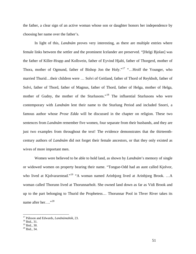<span id="page-50-0"></span>the father, a clear sign of an active woman whose son or daughter honors her independence by choosing her name over the father's.

In light of this, *Landnám* proves very interesting, as there are multiple entries where female links between the settler and the prominent Icelander are preserved. "[Helgi Bjolan] was the father of Killer-Hrapp and Kollsvein, father of Eyvind Hjalti, father of Thorgerd, mother of Thora, mother of Ogmund, father of Bishop Jon the Holy."<sup>[17](#page-50-0)</sup> "...Hrolf the Younger, who married Thurid…their children were … Solvi of Geitland, father of Thord of Reykholt, father of Solvi, father of Thord, father of Magnus, father of Thord, father of Helga, mother of Helga, mother of Gudny, the mother of the Sturlusons."<sup>[18](#page-50-0)</sup> The influential Sturlusons who were contemporary with *Landnám* lent their name to the Sturlung Period and included Snorri, a famous author whose *Prose Edda* will be discussed in the chapter on religion. These two sentences from *Landnám* remember five women, four separate from their husbands, and they are just two examples from throughout the text! The evidence demonstrates that the thirteenthcentury authors of *Landnám* did not forget their female ancestors, or that they only existed as wives of more important men.

Women were believed to be able to hold land, as shown by *Landnám*'s memory of single or widowed women on property bearing their name. "Tongue-Odd had an aunt called Kjolvor, who lived at Kjolvararstead."<sup>[19](#page-50-0)</sup> "A woman named Arinbjorg lived at Arinbjorg Brook. ...A woman called Thorunn lived at Thorunnarholt. She owned land down as far as Vidi Brook and up to the part belonging to Thurid the Prophetess… Thorunnar Pool in Thver River takes its name after her…."<sup>[20](#page-50-0)</sup>

<sup>&</sup>lt;sup>17</sup> Pálsson and Edwards, *Landnámabók*, 23.<br><sup>18</sup> Ibid., 31.

 $^{18}$  Ibid., 31.<br> $^{19}$  Ibid., 30.

 $20$  Ibid., 34.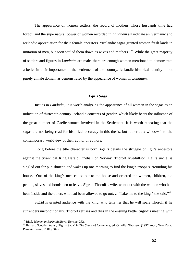<span id="page-51-0"></span>The appearance of women settlers, the record of mothers whose husbands time had forgot, and the supernatural power of women recorded in *Landnám* all indicate an Germanic and Icelandic appreciation for their female ancestors. "Icelandic sagas granted women fresh lands in imitation of men, but soon settled them down as wives and mothers."<sup>[21](#page-51-0)</sup> While the great majority of settlers and figures in *Landnám* are male, there are enough women mentioned to demonstrate a belief in their importance in the settlement of the country. Icelandic historical identity is not purely a male domain as demonstrated by the appearance of women in *Landnám*.

## *Egil's Saga*

 Just as in *Landnám*, it is worth analyzing the appearance of all women in the sagas as an indication of thirteenth-century Icelandic concepts of gender, which likely bears the influence of the great number of Gaelic women involved in the Settlement. It is worth repeating that the sagas are not being read for historical accuracy in this thesis, but rather as a window into the contemporary worldview of their author or authors.

 Long before the title character is born, *Egil's* details the struggle of Egil's ancestors against the tyrannical King Harald Finehair of Norway. Thorolf Kvedulfson, Egil's uncle, is singled out for punishment, and wakes up one morning to find the king's troops surrounding his house. "One of the king's men called out to the house and ordered the women, children, old people, slaves and bondsmen to leave. Sigrid, Thorolf's wife, went out with the women who had been inside and the others who had been allowed to go out.  $\ldots$  Take me to the king,' she said."<sup>[22](#page-51-0)</sup>

Sigrid is granted audience with the king, who tells her that he will spare Thorolf if he surrenders unconditionally. Thorolf refuses and dies in the ensuing battle. Sigrid's meeting with

<sup>&</sup>lt;sup>21</sup> Bitel, Women in Early Medieval Europe, 262.

<sup>&</sup>lt;sup>22</sup> Bernard Scudder, trans., "Egil's Saga" in *The Sagas of Icelanders*, ed. Örnólfur Thorsson (1997; repr., New York: Penguin Books, 2001), 34-5.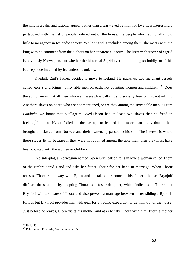<span id="page-52-0"></span>the king is a calm and rational appeal, rather than a teary-eyed petition for love. It is interestingly juxtaposed with the list of people ordered out of the house, the people who traditionally hold little to no agency in Icelandic society. While Sigrid is included among them, she meets with the king with no comment from the authors on her apparent audacity. The literary character of Sigrid is obviously Norwegian, but whether the historical Sigrid ever met the king so boldly, or if this is an episode invented by Icelanders, is unknown.

 Kvedulf, Egil's father, decides to move to Iceland. He packs up two merchant vessels called *knörrs* and brings "thirty able men on each, not counting women and children."<sup>[23](#page-52-0)</sup> Does the author mean that all men who went were physically fit and socially free, or just not infirm? Are there slaves on board who are not mentioned, or are they among the sixty "able men"? From *Landnám* we know that Skallagrim Kvedulfsson had at least two slaves that he freed in Iceland,<sup>[24](#page-52-0)</sup> and as Kvedulf died on the passage to Iceland it is more than likely that he had brought the slaves from Norway and their ownership passed to his son. The interest is where these slaves fit in, because if they were not counted among the able men, then they must have been counted with the women or children.

 In a side-plot, a Norwegian named Bjorn Brynjolfson falls in love a woman called Thora of the Embroidered Hand and asks her father Thorir for her hand in marriage. When Thorir refuses, Thora runs away with Bjorn and he takes her home to his father's house. Brynjolf diffuses the situation by adopting Thora as a foster-daughter, which indicates to Thorir that Brynjolf will take care of Thora and also prevent a marriage between foster-siblings. Bjorn is furious but Brynjolf provides him with gear for a trading expedition to get him out of the house. Just before he leaves, Bjorn visits his mother and asks to take Thora with him. Bjorn's mother

 $^{23}$  Ibid., 43.

<sup>24</sup> Pálsson and Edwards, *Landnámabók*, 35.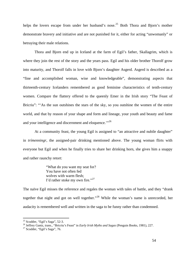<span id="page-53-0"></span>helps the lovers escape from under her husband's nose.<sup>[25](#page-53-0)</sup> Both Thora and Bjorn's mother demonstrate bravery and initiative and are not punished for it, either for acting "unwomanly" or betraying their male relations.

 Thora and Bjorn end up in Iceland at the farm of Egil's father, Skallagrim, which is where they join the rest of the story and the years pass. Egil and his older brother Thorolf grow into maturity, and Thorolf falls in love with Bjorn's daughter Asgerd. Asgerd is described as a "fine and accomplished woman, wise and knowledgeable", demonstrating aspects that thirteenth-century Icelanders remembered as good feminine characteristics of tenth-century women. Compare the flattery offered to the queenly Emer in the Irish story "The Feast of Bricriu": "As the sun outshines the stars of the sky, so you outshine the women of the entire world, and that by reason of your shape and form and lineage, your youth and beauty and fame and your intelligence and discernment and eloquence."<sup>[26](#page-53-0)</sup>

At a community feast, the young Egil is assigned to "an attractive and nubile daughter" in *trímenningr*, the assigned-pair drinking mentioned above. The young woman flirts with everyone but Egil and when he finally tries to share her drinking horn, she gives him a snappy and rather raunchy retort:

> "What do you want my seat for? You have not often fed wolves with warm flesh; I'd rather stoke my own fire."<sup>[27](#page-53-0)</sup>

The naïve Egil misses the reference and regales the woman with tales of battle, and they "drank together that night and got on well together."[28](#page-53-0) While the woman's name is unrecorded, her audacity is remembered well and written in the saga to be funny rather than condemned.

 $25$  Scudder, "Egil's Saga", 52-3.

<sup>26</sup> Jeffrey Gantz, trans., "Bricriu's Feast" in *Early Irish Myths and Sagas* (Penguin Books, 1981), 227. 27 Scudder, "Egil's Saga", 76.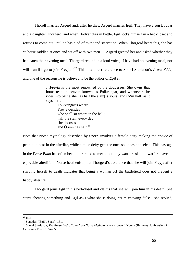<span id="page-54-0"></span> Thorolf marries Asgerd and, after he dies, Asgerd marries Egil. They have a son Bodvar and a daughter Thorgerd, and when Bodvar dies in battle, Egil locks himself in a bed-closet and refuses to come out until he has died of thirst and starvation. When Thorgerd hears this, she has "a horse saddled at once and set off with two men…. Asgerd greeted her and asked whether they had eaten their evening meal. Thorgerd replied in a loud voice, 'I have had no evening meal, nor will I until I go to join Freyja."<sup>[29](#page-54-0)</sup> This is a direct reference to Snorri Sturluson's *Prose Edda*, and one of the reasons he is believed to be the author of *Egil's*.

> …Freyja is the most renowned of the goddesses. She owns that homestead in heaven known as Fólkvangar, and whenever she rides into battle she has half the slain['s souls] and Óðin half, as it says here:

> > Fólkvangar's where Freyja decides who shall sit where in the hall; half the slain every day she chooses and Óðinn has half. $30$

Note that Norse mythology described by Snorri involves a female deity making the *choice* of people to host in the afterlife, while a male deity gets the ones she does not select. This passage in the *Prose Edda* has often been interpreted to mean that only warriors slain in warfare have an enjoyable afterlife in Norse heathenism, but Thorgerd's assurance that she will join Freyja after starving herself to death indicates that being a woman off the battlefield does not prevent a happy afterlife.

 Thorgerd joins Egil in his bed-closet and claims that she will join him in his death. She starts chewing something and Egil asks what she is doing. "'I'm chewing dulse,' she replied,

 $28$  Ibid.

 $29$  Scudder, "Egil's Saga", 151.

<sup>30</sup> Snorri Sturluson, *The Prose Edda: Tales from Norse Mythology*, trans. Jean I. Young (Berkeley: University of California Press, 1954), 53.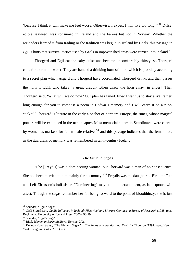<span id="page-55-0"></span>'because I think it will make me feel worse. Otherwise, I expect I will live too long.'"[31](#page-55-0) Dulse, edible seaweed, was consumed in Ireland and the Faroes but not in Norway. Whether the Icelanders learned it from trading or the tradition was begun in Iceland by Gaels, this passage in *Egil's* hints that survival tactics used by Gaels in impoverished areas were carried into Iceland.<sup>[32](#page-55-0)</sup>

Thorgerd and Egil eat the salty dulse and become uncomfortably thirsty, so Thorgerd calls for a drink of water. They are handed a drinking horn of milk, which is probably according to a secret plan which Asgerd and Thorgerd have coordinated. Thorgerd drinks and then passes the horn to Egil, who takes "a great draught…then threw the horn away [in anger]. Then Thorgerd said, 'What will we do now? Our plan has failed. Now I want us to stay alive, father, long enough for you to compose a poem in Bodvar's memory and I will carve it on a rune-stick."<sup>[33](#page-55-0)</sup> Thorgerd is literate in the early alphabet of northern Europe, the runes, whose magical powers will be explained in the next chapter. Most memorial stones in Scandinavia were carved by women as markers for fallen male relatives<sup>[34](#page-55-0)</sup> and this passage indicates that the female role as the guardians of memory was remembered in tenth-century Iceland.

### *The Vínland Sagas*

"She [Freydis] was a domineering woman, but Thorvard was a man of no consequence. She had been married to him mainly for his money."<sup>[35](#page-55-0)</sup> Freydis was the daughter of Eirik the Red and Leif Eiriksson's half-sister. "Domineering" may be an understatement, as later quotes will attest. Though the sagas remember her for being forward to the point of bloodthirsty, she is just

1

 $31$  Scudder, "Egil's Saga", 151.

<sup>32</sup> Gísli Sigurðsson, *Gaelic Influence in Iceland: Historical and Literary Contacts, a Survey of Research* (1988, repr. Reykjavík: University of Iceland Press, 2000), 98-99.

 $33$  Scudder, "Egil's Saga", 151.<br> $34$  Bitel, Women in Early Medieval Europe, 272.

<sup>34</sup> Bitel, *Women in Early Medieval Europe*, 272. 35 Keneva Kunz, trans., "The Vínland Sagas" in *The Sagas of Icelanders*, ed. Örnólfur Thorsson (1997; repr., New York: Penguin Books, 2001), 636.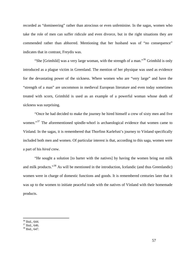<span id="page-56-0"></span>recorded as "domineering" rather than atrocious or even unfeminine. In the sagas, women who take the role of men can suffer ridicule and even divorce, but in the right situations they are commended rather than abhorred. Mentioning that her husband was of "no consequence" indicates that in contrast, Freydis was.

"She [Grimhild] was a very large woman, with the strength of a man."<sup>[36](#page-56-0)</sup> Grimhild is only introduced as a plague victim in Greenland. The mention of her physique was used as evidence for the devastating power of the sickness. Where women who are "very large" and have the "strength of a man" are uncommon in medieval European literature and even today sometimes treated with scorn, Grimhild is used as an example of a powerful woman whose death of sickness was surprising.

"Once he had decided to make the journey he hired himself a crew of sixty men and five women."<sup>[37](#page-56-0)</sup> The aforementioned spindle-whorl is archaeological evidence that women came to Vínland. In the sagas, it is remembered that Thorfinn Karlefsni's journey to Vínland specifically included both men and women. Of particular interest is that, according to this saga, women were a part of his *hired* crew.

"He sought a solution [to barter with the natives] by having the women bring out milk and milk products."<sup>[38](#page-56-0)</sup> As will be mentioned in the introduction, Icelandic (and thus Greenlandic) women were in charge of domestic functions and goods. It is remembered centuries later that it was up to the women to initiate peaceful trade with the natives of Vínland with their homemade products.

<sup>36</sup> Ibid., 644.

 $37$  Ibid., 646.

<sup>38</sup> Ibid., 647.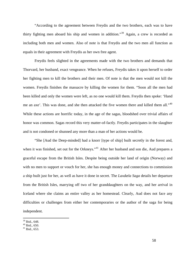<span id="page-57-0"></span>"According to the agreement between Freydis and the two brothers, each was to have thirty fighting men aboard his ship and women in addition."[39](#page-57-0) Again, a crew is recorded as including both men and women. Also of note is that Freydis and the two men all function as equals in their agreement with Freydis as her own free agent.

Freydis feels slighted in the agreements made with the two brothers and demands that Thorvard, her husband, exact vengeance. When he refuses, Freydis takes it upon herself to order her fighting men to kill the brothers and their men. Of note is that the men would not kill the women. Freydis finishes the massacre by killing the women for them. "Soon all the men had been killed and only the women were left, as no one would kill them. Freydis then spoke: 'Hand me an axe'. This was done, and she then attacked the five women there and killed them all."<sup>[40](#page-57-0)</sup> While these actions are horrific today, in the age of the sagas, bloodshed over trivial affairs of honor was common. Sagas record this very matter-of-factly. Freydis participates in the slaughter and is not condoned or shunned any more than a man of her actions would be.

"She [Aud the Deep-minded] had a knorr [type of ship] built secretly in the forest and, when it was finished, set out for the Orkneys."<sup>[41](#page-57-0)</sup> After her husband and son die, Aud prepares a graceful escape from the British Isles. Despite being outside her land of origin (Norway) and with no men to support or vouch for her, she has enough money and connections to commission a ship built just for her, as well as have it done in secret. The *Laxdæla Saga* details her departure from the British Isles, marrying off two of her granddaughters on the way, and her arrival in Iceland where she claims an entire valley as her homestead. Clearly, Aud does not face any difficulties or challenges from either her contemporaries or the author of the saga for being independent.

<sup>39</sup> Ibid., 648.

 $40$  Ibid., 650.

 $41$  Ibid., 653.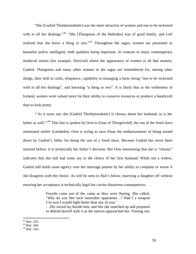<span id="page-58-0"></span>"She [Gudrid Thorbjornsdottir] was the most attractive of women and one to be reckoned with in all her dealings."<sup>[42](#page-58-0)</sup> "She [Thorgunna of the Hebrides] was of good family, and Leif realized that she knew a thing or two."<sup>[43](#page-58-0)</sup> Throughout the sagas, women are presented as beautiful and/or intelligent; both qualities being important. In contrast to many contemporary medieval stories (for example, *Parzival*) where the appearance of women is all that matters, Gudrid, Thorgunna and many other women in the sagas are remembered for, among other things, their skill at crafts, eloquence, capability in managing a farm, being "one to be reckoned with in all her dealings", and knowing "a thing or two". It is likely that in the wilderness of Iceland, women were valued more for their ability to conserve resources or produce a handicraft than to look pretty.

"As it turns out, she [Gudrid Thorbjornsdottir] is choosy about her husband, as is her father as well.<sup>"[44](#page-58-0)</sup> This line is spoken by Orm to Einar of Thorgeirsfell, the son of the freed slave mentioned earlier (*Landnám*). Orm is trying to save Einar the embarrassment of being turned down by Gudrid's father for being the son of a freed slave. Because Gudrid has never been married before, it is technically her father's decision. But Orm mentioning that she is "choosy" indicates that she still had some say in the choice of her first husband. While not a widow, Gudrid still holds some agency over her marriage partner by her ability to complain or worse if she disagrees with the choice. As will be seen in *Njal's* below, marrying a daughter off without ensuring her acceptance is technically legal but carries disastrous consequences.

> Freydis came out of the camp as they were fleeing. She called, 'Why do you flee such miserable opponents…? Had I a weapon I'm sure I would fight better than any of you.'

> …His sword lay beside him, and this she snatched up and prepared to defend herself with it as the natives approached her. Freeing one

 $42$  Ibid., 655.

 $43$  Ibid., 660.

 $44$  Ibid., 656.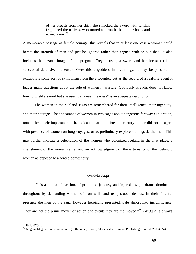of her breasts from her shift, she smacked the sword with it. This frightened the natives, who turned and ran back to their boats and rowed away.<sup>[45](#page-59-0)</sup>

<span id="page-59-0"></span>A memorable passage of female courage, this reveals that in at least one case a woman could berate the strength of men and just be ignored rather than argued with or punished. It also includes the bizarre image of the pregnant Freydis using a sword and her breast (!) in a successful defensive maneuver. Were this a goddess in mythology, it may be possible to extrapolate some sort of symbolism from the encounter, but as the record of a real-life event it leaves many questions about the role of women in warfare. Obviously Freydis does not know how to wield a sword but she uses it anyway; "fearless" is an adequate description.

 The women in the Vínland sagas are remembered for their intelligence, their ingenuity, and their courage. The appearance of women in two sagas about dangerous faraway exploration, nonetheless their importance in it, indicates that the thirteenth century author did not disagree with presence of women on long voyages, or as preliminary explorers alongside the men. This may further indicate a celebration of the women who colonized Iceland in the first place, a cherishment of the woman settler and an acknowledgment of the externality of the Icelandic woman as opposed to a forced domesticity.

# *Laxdæla Saga*

 "It is a drama of passion, of pride and jealousy and injured love, a drama dominated throughout by demanding women of iron wills and tempestuous desires. In their forceful presence the men of the saga, however heroically presented, pale almost into insignificance. They are not the prime mover of action and event; they are the moved."<sup>[46](#page-59-0)</sup> *Laxdæla* is always

1

 $45$  Ibid., 670-1.

<sup>46</sup> Magnus Magnusson, *Iceland Saga* (1987; repr., Stroud, Glouchester: Tempus Publishing Limited, 2005), 244.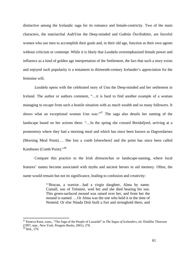<span id="page-60-0"></span>distinctive among the Icelandic saga for its romance and female-centricity. Two of the main characters, the matriarchal Auð/Unn the Deep-minded and Guðrún Ósvífsdóttir, are forceful women who use men to accomplish their goals and, in their old age, function as their own agents without criticism or contempt. While it is likely that *Laxdæla* overemphasized female power and influence as a kind of golden age interpretation of the Settlement, the fact that such a story exists and enjoyed such popularity is a testament to thirteenth-century Icelander's appreciation for the feminine will.

*Laxdæla* opens with the celebrated story of Unn the Deep-minded and her settlement in Iceland. The author or authors comment, "…it is hard to find another example of a woman managing to escape from such a hostile situation with as much wealth and so many followers. It shows what an exceptional woman Unn was."[47](#page-60-0) The saga also details her naming of the landscape based on her actions there. "…In the spring she crossed Breidafjord, arriving at a promontory where they had a morning meal and which has since been known as Dagverdarnes (Morning Meal Point)…. She lost a comb [elsewhere] and the point has since been called Kambsnes (Comb Point)."[48](#page-60-0)

Compare this practice to the Irish *dinnsenchas* or landscape-naming, where local features' names become associated with myths and ancient heroes to aid memory. Often, the name would remain but not its significance, leading to confusion and creativity:

> "'Bracan, a warrior…had a virgin daughter, Alma by name. Cumall, son of Trénmór, wed her and she died bearing his son. This green-surfaced mound was raised over her, and from her the mound is named. …Or Alma was the one who held it in the time of Nemeid. Or else Núadu Drúi built a fort and stronghold there, and

<sup>47</sup> Keneva Kunz, trans., "The Saga of the People of Laxardal" in *The Sagas of Icelanders*, ed. Örnólfur Thorsson (1997; repr., New York: Penguin Books, 2001), 278.

<sup>48</sup> Ibid., 279.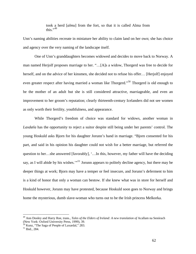took a herd [*almu*] from the fort, so that it is called Alma from this $"$ <sup>[49](#page-61-0)</sup>

<span id="page-61-0"></span>Unn's naming abilities recreate in miniature her ability to claim land on her own; she has choice and agency over the very naming of the landscape itself.

One of Unn's granddaughters becomes widowed and decides to move back to Norway. A man named Herjolf proposes marriage to her. "…[A]s a widow, Thorgerd was free to decide for herself, and on the advice of her kinsmen, she decided not to refuse his offer… [Herjolf] enjoyed even greater respect after having married a woman like Thorgerd."<sup>[50](#page-61-0)</sup> Thorgerd is old enough to be the mother of an adult but she is still considered attractive, marriageable, and even an improvement to her groom's reputation; clearly thirteenth-century Icelanders did not see women as only worth their fertility, youthfulness, and appearance.

While Thorgerd's freedom of choice was standard for widows, another woman in *Laxdæla* has the opportunity to reject a suitor despite still being under her parents' control. The young Hoskuld asks Bjorn for his daughter Jorunn's hand in marriage. "Bjorn consented for his part, and said in his opinion his daughter could not wish for a better marriage, but referred the question to her…she answered [favorably], '…In this, however, my father will have the deciding say, as I will abide by his wishes."<sup>[51](#page-61-0)</sup> Jorunn appears to politely decline agency, but there may be deeper things at work; Bjorn may have a temper or feel insecure, and Jorunn's deferment to him is a kind of honor that only a woman can bestow. If she knew what was in store for herself and Hoskuld however, Jorunn may have protested, because Hoskuld soon goes to Norway and brings home the mysterious, dumb slave-woman who turns out to be the Irish princess Melkorka.

<sup>&</sup>lt;sup>49</sup> Ann Dooley and Harry Roe, trans., *Tales of the Elders of Ireland: A new translation of Acallam na Senórach* (New York: Oxford University Press, 1999), 39.<br><sup>50</sup> Kunz, "The Saga of People of Laxardal," 283.

<sup>51</sup> Ibid., 284.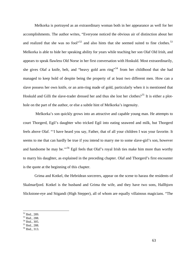<span id="page-62-0"></span>Melkorka is portrayed as an extraordinary woman both in her appearance as well for her accomplishments. The author writes, "Everyone noticed the obvious air of distinction about her and realized that she was no fool"<sup>[52](#page-62-0)</sup> and also hints that she seemed suited to fine clothes.<sup>[53](#page-62-0)</sup> Melkorka is able to hide her speaking ability for years while teaching her son Olaf Old Irish, and appears to speak flawless Old Norse in her first conversation with Hoskuld. Most extraordinarily, she gives Olaf a knife, belt, and "heavy gold arm ring"<sup>[54](#page-62-0)</sup> from her childhood that she had managed to keep hold of despite being the property of at least two different men. How can a slave possess her own knife, or an arm-ring made of gold, particularly when it is mentioned that Hoskuld and Gilli the slave-trader dressed her and thus she lost her clothes?<sup>[55](#page-62-0)</sup> It is either a plothole on the part of the author, or else a subtle hint of Melkorka's ingenuity.

 Melkorka's son quickly grows into an attractive and capable young man. He attempts to court Thorgerd, Egil's daughter who tricked Egil into eating seaweed and milk, but Thorgerd feels above Olaf. "'I have heard you say, Father, that of all your children I was your favorite. It seems to me that can hardly be true if you intend to marry me to some slave-girl's son, however and handsome he may be."<sup>[56](#page-62-0)</sup> Egil feels that Olaf's royal Irish ties make him more than worthy to marry his daughter, as explained in the preceding chapter. Olaf and Thorgerd's first encounter is the quote at the beginning of this chapter.

Grima and Kotkel, the Hebridean sorcerers, appear on the scene to harass the residents of Skalmarfjord. Kotkel is the husband and Grima the wife, and they have two sons, Hallbjorn Slickstone-eye and Stigandi (High Stepper), all of whom are equally villainous magicians. "The

<sup>52</sup> Ibid., 289.

<sup>53</sup> Ibid., 288.

<sup>54</sup> Ibid., 305.

<sup>55</sup> Ibid., 288.

<sup>56</sup> Ibid., 313.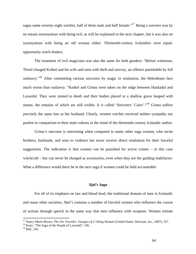<span id="page-63-0"></span>sagas name seventy-eight witches, half of them male and half female."<sup>[57](#page-63-0)</sup> Being a sorcerer was by no means synonymous with being evil, as will be explained in the next chapter, but it was also no synonymous with being an old woman either. Thirteenth-century Icelanders were equalopportunity witch-finders.

The treatment of evil magicians was also the same for both genders: "Before witnesses, Thord charged Kotkel and his wife and sons with theft and sorcery, an offence punishable by full outlawry."[58](#page-63-0) After committing various atrocities by magic in retaliation, the Hebrideans face much worse than outlawry. "Kotkel and Grima were taken on the ridge between Haukadal and Laxardal. They were stoned to death and their bodies placed in a shallow grave heaped with stones, the remains of which are still visible. It is called 'Sorcerers' Cairn'."[59](#page-63-0) Grima suffers precisely the same fate as her husband. Clearly, women witches received neither sympathy nor pardon in comparison to their male cohorts in the mind of the thirteenth-century Icelandic author.

Grima's outcome is interesting when compared to many other saga women, who incite brothers, husbands, and sons to violence but never receive direct retaliation for their forceful suggestions. The indication is that women can be punished for active crimes – in this case witchcraft – but can never be charged as accessories, even when they are the guiding malefactor. What a difference would there be in the next saga if women could be held accountable:

#### *Njal's Saga*

For all of its emphasis on law and blood-feud, the traditional domain of men in Icelandic and many other societies, *Njal's* contains a number of forceful women who influence the course of actions through speech in the same way that men influence with weapons. Women initiate

<sup>&</sup>lt;sup>57</sup> Nancy Marie Brown, *The Far Traveler: Voyages of a Viking Woman* (United States: Harcourt, Inc., 2007), 247.<br><sup>58</sup> Kunz, "The Saga of the People of Laxardal", 336.

<sup>&</sup>lt;sup>58</sup> Kunz, "The Saga of the People of Laxardal", 336.<br><sup>59</sup> Ibid., 341.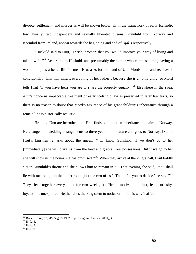<span id="page-64-0"></span>divorce, settlement, and murder as will be shown below, all in the framework of early Icelandic law. Finally, two independent and sexually liberated queens, Gunnhild from Norway and Kormlod from Ireland, appear towards the beginning and end of *Njal's* respectively.

"Hoskuld said to Hrut, 'I wish, brother, that you would improve your way of living and take a wife."<sup>[60](#page-64-0)</sup> According to Hoskuld, and presumably the author who composed this, having a woman implies a better life for men. Hrut asks for the hand of Unn Mordsdottir and receives it conditionally; Unn will inherit everything of her father's because she is an only child, so Mord tells Hrut "if you have heirs you are to share the property equally."[61](#page-64-0) Elsewhere in the saga, *Njal's* concerns impeccable treatment of early Icelandic law as preserved in later law texts, so there is no reason to doubt that Mord's assurance of his grandchildren's inheritance through a female line is historically realistic.

Hrut and Unn are betrothed, but Hrut finds out about an inheritance to claim in Norway. He changes the wedding arrangements to three years in the future and goes to Norway. One of Hrut's kinsmen remarks about the queen, "'…I know Gunnhild: if we don't go to her [immediately] she will drive us from the land and grab all our possessions. But if we go to her she will show us the honor she has promised."<sup>52</sup> When they arrive at the king's hall, Hrut boldly sits in Gunnhild's throne and she allows him to remain in it. "That evening she said, 'You shall lie with me tonight in the upper room, just the two of us.' 'That's for you to decide,' he said."<sup>[63](#page-64-0)</sup> They sleep together every night for two weeks, but Hrut's motivation – lust, fear, curiosity, loyalty – is unexplored. Neither does the king seem to notice or mind his wife's affair.

1

 $60$  Robert Cook, "Njal's Saga" (1997, repr. Penguin Classics: 2001), 4.

 $61$  Ibid., 5.

 $62$  Ibid., 7.

 $63$  Ibid., 9.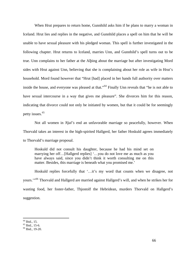<span id="page-65-0"></span>When Hrut prepares to return home, Gunnhild asks him if he plans to marry a woman in Iceland. Hrut lies and replies in the negative, and Gunnhild places a spell on him that he will be unable to have sexual pleasure with his pledged woman. This spell is further investigated in the following chapter. Hrut returns to Iceland, marries Unn, and Gunnhild's spell turns out to be true. Unn complains to her father at the Alþing about the marriage but after investigating Mord sides with Hrut against Unn, believing that she is complaining about her role as wife in Hrut's household. Mord found however that "Hrut [had] placed in her hands full authority over matters inside the house, and everyone was pleased at that."<sup>[64](#page-65-0)</sup> Finally Unn reveals that "he is not able to have sexual intercourse in a way that gives me pleasure". She divorces him for this reason, indicating that divorce could not only be initiated by women, but that it could be for seemingly petty issues.<sup>[65](#page-65-0)</sup>

Not all women in *Njal's* end an unfavorable marriage so peacefully, however. When Thorvald takes an interest in the high-spirited Hallgerd, her father Hoskuld agrees immediately to Thorvald's marriage proposal.

Hoskuld did not consult his daughter, because he had his mind set on marrying her off…[Hallgerd replies] '…you do not love me as much as you have always said, since you didn't think it worth consulting me on this matter. Besides, this marriage is beneath what you promised me.'

Hoskuld replies forcefully that '…it's my word that counts when we disagree, not yours.'"[66](#page-65-0) Thorvald and Hallgerd are married against Hallgerd's will, and when he strikes her for wasting food, her foster-father, Thjostolf the Hebridean, murders Thorvald on Hallgerd's suggestion.

<sup>64</sup> Ibid., 15.

 $65$  Ibid., 15-6.

<sup>66</sup> Ibid., 19-20.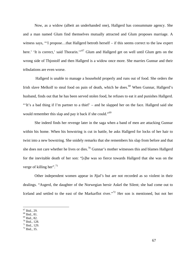<span id="page-66-0"></span>Now, as a widow (albeit an underhanded one), Hallgerd has consummate agency. She and a man named Glum find themselves mutually attracted and Glum proposes marriage. A witness says, "'I propose…that Hallgerd betroth herself – if this seems correct to the law expert here.' 'It is correct,' said Thorarin.'"<sup>[67](#page-66-0)</sup> Glum and Hallgerd get on well until Glum gets on the wrong side of Thjostolf and then Hallgerd is a widow once more. She marries Gunnar and their tribulations are even worse.

 Hallgerd is unable to manage a household properly and runs out of food. She orders the Irish slave Melkolf to steal food on pain of death, which he does.<sup>[68](#page-66-0)</sup> When Gunnar, Hallgerd's husband, finds out that he has been served stolen food, he refuses to eat it and punishes Hallgerd. "'It's a bad thing if I'm partner to a thief' – and he slapped her on the face. Hallgerd said she would remember this slap and pay it back if she could."<sup>[69](#page-66-0)</sup>

She indeed finds her revenge later in the saga when a band of men are attacking Gunnar within his home. When his bowstring is cut in battle, he asks Hallgerd for locks of her hair to twist into a new bowstring. She snidely remarks that she remembers his slap from before and that she does not care whether he lives or dies.<sup>[70](#page-66-0)</sup> Gunnar's mother witnesses this and blames Hallgerd for the inevitable death of her son: "[s]he was so fierce towards Hallgerd that she was on the verge of killing her".  $71$ 

 Other independent women appear in *Njal's* but are not recorded as so violent in their dealings. "Asgerd, the daughter of the Norwegian hersir Askel the Silent; she had come out to Iceland and settled to the east of the Markarflot river."<sup>[72](#page-66-0)</sup> Her son is mentioned, but not her

- 68 Ibid., 81.
- 69 Ibid., 82.
- 70 Ibid., 128.
- $71$  Ibid., 129.
- $72$  Ibid., 35.

<sup>67</sup> Ibid., 29.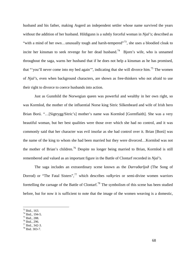<span id="page-67-0"></span>husband and his father, making Asgerd an independent settler whose name survived the years without the addition of her husband. Hildigunn is a subtly forceful woman in *Njal's*; described as "with a mind of her own...unusually tough and harsh-tempered"<sup>[73](#page-67-0)</sup>, she uses a bloodied cloak to incite her kinsman to seek revenge for her dead husband.<sup>[74](#page-67-0)</sup> Bjorn's wife, who is unnamed throughout the saga, warns her husband that if he does not help a kinsman as he has promised, that "'you'll never come into my bed again'", indicating that she will divorce him.<sup>[75](#page-67-0)</sup> The women of *Njal's*, even when background characters, are shown as free-thinkers who not afraid to use their right to divorce to coerce husbands into action.

Just as Gunnhild the Norwegian queen was powerful and wealthy in her own right, so was Kormlod, the mother of the influential Norse king Sitric Silkenbeard and wife of Irish hero Brian Ború. "…[Sigtrygg/Sitric's] mother's name was Kormlod [Gormflaith]. She was a very beautiful woman, but her best qualities were those over which she had no control, and it was commonly said that her character was evil insofar as she had control over it. Brian [Ború] was the name of the king to whom she had been married but they were divorced…Kormlod was not the mother of Brian's children.<sup>[76](#page-67-0)</sup> Despite no longer being married to Brian, Kormlod is still remembered and valued as an important figure in the Battle of Clontarf recorded in *Njal's.*

 The saga includes an extraordinary scene known as the *Darraðarljoð* (The Song of Dorrod) or "The Fatal Sisters",<sup>[77](#page-67-0)</sup> which describes *valkyries* or semi-divine women warriors foretelling the carnage of the Battle of Clontarf.[78](#page-67-0) The symbolism of this scene has been studied before, but for now it is sufficient to note that the image of the women weaving is a domestic,

 $73$  Ibid., 163.

<sup>74</sup> Ibid., 194-5.

<sup>75</sup> Ibid., 288.

<sup>76</sup> Ibid., 296.

 $77$  Ibid., 342-3.

<sup>78</sup> Ibid. 303-7.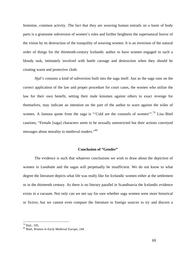<span id="page-68-0"></span>feminine, common activity. The fact that they are weaving human entrails on a loom of body parts is a gruesome subversion of women's roles and further heightens the supernatural horror of the vision by its destruction of the tranquility of weaving women. It is an inversion of the natural order of things for the thirteenth-century Icelandic author to have women engaged in such a bloody task, intimately involved with battle carnage and destruction when they should be creating warm and protective cloth.

*Njal's* contains a kind of subversion built into the saga itself. Just as the saga runs on the correct application of the law and proper procedure for court cases, the women who utilize the law for their own benefit, setting their male kinsmen against others to exact revenge for themselves, may indicate an intention on the part of the author to warn against the wiles of women. A famous quote from the saga is "Cold are the counsels of women".<sup>[79](#page-68-0)</sup> Lisa Bitel cautions, "Female [saga] characters seem to be sexually unrestricted but their actions conveyed messages about morality to medieval readers."[80](#page-68-0)

#### **Conclusion of "Gender"**

 The evidence is such that whatever conclusions we wish to draw about the depiction of women in *Landnám* and the sagas will perpetually be insufficient. We do not know to what degree the literature depicts what life was really like for Icelandic women either at the settlement or in the thirteenth century. As there is no literary parallel in Scandinavia the Icelandic evidence exists in a vacuum. Not only can we not say for sure whether saga women were more historical or fictive, but we cannot even compare the literature to foreign sources to try and discern a

<sup>79</sup> Ibid., 195.

<sup>80</sup> Bitel, *Women in Early Medieval Europe*, 244.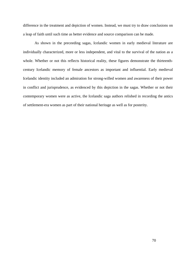difference in the treatment and depiction of women. Instead, we must try to draw conclusions on a leap of faith until such time as better evidence and source comparison can be made.

 As shown in the preceeding sagas, Icelandic women in early medieval literature are individually characterized, more or less independent, and vital to the survival of the nation as a whole. Whether or not this reflects historical reality, these figures demonstrate the thirteenthcentury Icelandic memory of female ancestors as important and influential. Early medieval Icelandic identity included an admiration for strong-willed women and awareness of their power in conflict and jurisprudence, as evidenced by this depiction in the sagas. Whether or not their contemporary women were as active, the Icelandic saga authors relished in recording the antics of settlement-era women as part of their national heritage as well as for posterity.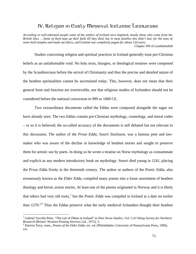# IV. Religion in Early Medieval Icelandic Literature

<span id="page-70-0"></span>*According to well-informed people some of the settlers of Iceland were baptized, mostly those who came from the British Isles. …Some of them kept up their faith till they died, but in most families this didn't last, for the sons of some built temples and made sacrifices, and Iceland was completely pagan for about 120 years.*  Chapter 399 of *Landnámabók*

Studies concerning religion and spiritual practices in Iceland generally treat pre-Christian beliefs as an unfathomable void. No holy texts, liturgies, or theological treatises were composed by the Scandinavians before the arrival of Christianity and thus the precise and detailed nature of the heathen spiritualities cannot be ascertained today. This, however, does not mean that their general form and function are irretrievable, nor that religious studies of Icelanders should not be considered before the national conversion in 999 or 1000 CE.

 Two extraordinary documents called the Eddas were composed alongside the sagas we have already seen. The two Eddas contain pre-Christian mythology, cosmology, and moral codes – or so it is believed; the so-called accuracy of the documents is still debated but not relevant to this discussion. The author of the *Prose Edda*, Snorri Sturluson, was a famous poet and lawmaker who was aware of the decline in knowledge of heathen stories and sought to preserve them for artistic use by poets. In doing so he wrote a treatise on Norse mythology as consummate and explicit as any modern introductory book on mythology. Snorri died young in 1241, placing the *Prose Edda* firmly in the thirteenth century. The author or authors of the *Poetic Edda*, also erroneously known as the *Elder Edda*, compiled many poems into a loose assortment of heathen theology and heroic action stories. At least one of the poems originated in Norway and it is likely that others had very old roots,<sup>[1](#page-70-0)</sup> but the *Poetic Edda* was compiled in Iceland at a date no earlier than 1[2](#page-70-0)70."<sup>2</sup> Thus the Eddas preserve what the early medieval Icelanders thought their heathen

<sup>&</sup>lt;sup>1</sup> Gabriel Turville-Petre, "The cult of Óðinn in Iceland" in *Nine Norse Studies*, Vol. 5 of *Viking Society for Northern Research* (Bristol: Western Printing Services Ltd., 1972), 3.

Patricia Terry, trans., *Poems of the Elder Edda*, rev. ed. (Philadelphia: University of Pennsylvania Press, 1990), xvi.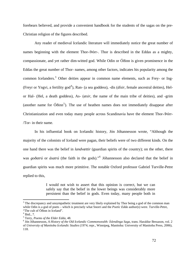<span id="page-71-0"></span>forebears believed, and provide a convenient handbook for the students of the sagas on the pre-Christian religion of the figures described.

 Any reader of medieval Icelandic literature will immediately notice the great number of names beginning with the element Thor-/Þórr-. Thor is described in the Eddas as a mighty, compassionate, and yet rather dim-witted god. While Odin or Óðinn is given prominence in the Eddas the great number of Thor- names, among other factors, indicates his popularity among the common Icelanders.<sup>[3](#page-71-0)</sup> Other deities appear in common name elements, such as Frey- or Ing-(Freyr or Yngvi, a fertility god<sup>[4](#page-71-0)</sup>), Ran- (a sea goddess), -dis (*dísir*, female ancestral deities), Helor Hal- (Hel, a death goddess), As- (*æsir*, the name of the main tribe of deities), and -grim (another name for  $\acute{O}$ ðinn<sup>[5](#page-71-0)</sup>). The use of heathen names does not immediately disappear after Christianization and even today many people across Scandinavia have the element Thor-/Þórr- /Tor- in their name.

 In his influential book on Icelandic history, Jón Jóhannesson wrote, "Although the majority of the colonists of Iceland were pagan, their beliefs were of two different kinds. On the one hand there was the belief in *landvættir* (guardian spirits of the country); on the other, there was *goðatrú* or *ásatrú* (the faith in the gods)."[6](#page-71-0) Jóhannesson also declared that the belief in guardian spirits was much more primitive. The notable Oxford professor Gabriel Turville-Petre replied to this,

> I would not wish to assert that this opinion is correct, but we can safely say that the belief in the lower beings was considerably more persistent than the belief in gods. Even today, many people both in

<sup>&</sup>lt;sup>3</sup> The discrepancy and unsympathetic treatment are very likely explained by Thor being a god of the common man while Odin is a god of poets – which is precisely what Snorri and the *Poetic Edda* author(s) were. Turville-Petre, "The cult of Óðinn in Iceland".

 $<sup>4</sup>$  Ibid., 7.</sup>

<sup>&</sup>lt;sup>5</sup> Terry, *Poems of the Elder Edda*, 48.<br><sup>6</sup> Lép Jébennesson, A History of the Oi

Jón Jóhannesson, *A History of the Old Icelandic Commonwealth: Íslendinga Saga*, trans. Haraldur Bessason, vol. 2 of *University of Manitoba Icelandic Studies* (1974; repr., Winnipeg, Manitoba: University of Manitoba Press, 2006), 118.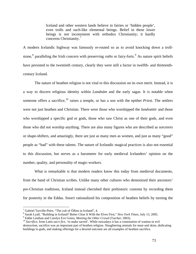Iceland and other western lands believe in fairies or 'hidden people', even trolls and such-like elemental beings. Belief in these lower beings is not inconsistent with orthodox Christianity; it hardly concerns Christianity.[7](#page-72-0)

<span id="page-72-0"></span>A modern Icelandic highway was famously re-routed so as to avoid knocking down a troll-stone,<sup>[8](#page-72-0)</sup> paralleling the Irish concern with preserving *raths* or fairy-forts.<sup>[9](#page-72-0)</sup> As nature spirit beliefs have persisted to the twentieth century, clearly they were still a factor in twelfth- and thirteenthcentury Iceland.

 The nature of heathen religion is not vital to this discussion on its own merit. Instead, it is a way to discern religious identity within *Landnám* and the early sagas. It is notable when someone offers a sacrifice,<sup>[10](#page-72-0)</sup> raises a temple, or has a son with the epithet *Priest*. The settlers were not just heathen and Christian. There were those who worshipped the *landvættir* and those who worshipped a specific god or gods, those who saw Christ as one of their gods, and even those who did not worship anything. There are also many figures who are described as sorcerers or shape-shifters, and amazingly, there are just as many men as women, and just as many "good" people as "bad" with these talents. The nature of Icelandic magical practices is also not essential to this discussion, but serves as a barometer for early medieval Icelanders' opinion on the number, quality, and personality of magic-workers.

What is remarkable is that modern readers know this today from medieval documents, from the hand of Christian scribes. Unlike many other cultures who demonized their ancestors' pre-Christian traditions, Iceland instead cherished their prehistoric customs by recording them for posterity in the Eddas. Snorri rationalized his composition of heathen beliefs by turning the

<sup>&</sup>lt;sup>7</sup> Gabriel Turville-Petre, "The cult of Óðinn in Iceland", 4.

<sup>&</sup>lt;sup>8</sup> Sarah Lyall, "Building in Iceland? Better Clear It With the Elves First," *New York Times*, July 13, 2005.

<sup>&</sup>lt;sup>9</sup> Eddie Lenihan and Carolyn Eve Green, *Meeting the Other Crowd* (Tarcher: 2003).<br><sup>10</sup> *Sacrifice*, from Latin *sacri fice*, 'to make sacred'. While nowadays it has a connotation of wanton or evil destruction, sacrifice was an important part of heathen religion. Slaughtering animals for meat and skins, dedicating buildings to gods, and making offerings for a desired outcome are all examples of heathen sacrifice.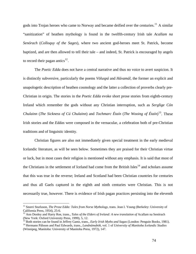<span id="page-73-0"></span>gods into Trojan heroes who came to Norway and became deified over the centuries.<sup>[11](#page-73-0)</sup> A similar "sanitization" of heathen mythology is found in the twelfth-century Irish tale *Acallam na Senórach* (*Colloquy of the Sages*), where two ancient god-heroes meet St. Patrick, become baptized, and are then allowed to tell their tale – and indeed, St. Patrick is encouraged by angels to record their pagan antics $^{12}$  $^{12}$  $^{12}$ .

The *Poetic Edda* does not have a central narrative and thus no voice to avert suspicion. It is distinctly subversive, particularly the poems *Völuspá* and *Hávamál*, the former an explicit and unapologetic description of heathen cosmology and the latter a collection of proverbs clearly pre-Christian in origin. The stories in the *Poetic Edda* evoke short prose stories from eighth-century Ireland which remember the gods without any Christian interruption, such as *Serglige Cón Chulainn* (*The Sickness of Cú Chulainn*) and *Tochmarc Étaín* (*The Wooing of Étaín*) [13](#page-73-0). These Irish stories and the *Eddas* were composed in the vernacular, a celebration both of pre-Christian traditions and of linguistic identity.

Christian figures are also not immediately given special treatment in the early medieval Icelandic literature, as will be seen below. Sometimes they are praised for their Christian virtue or luck, but in most cases their religion is mentioned without any emphasis. It is said that most of the Christians in the settlement of Iceland had come from the British Isles $14$  and scholars assume that this was true in the reverse; Ireland and Scotland had been Christian countries for centuries and thus all Gaels captured in the eighth and ninth centuries were Christian. This is not necessarily true, however. There is evidence of Irish pagan practices persisting into the eleventh

<sup>&</sup>lt;sup>11</sup> Snorri Sturluson, *The Prose Edda: Tales from Norse Mythology*, trans. Jean I. Young (Berkeley: University of California Press, 1954), 25-6.

<sup>&</sup>lt;sup>12</sup> Ann Dooley and Harry Roe, trans., *Tales of the Elders of Ireland: A new translation of Acallam na Senórach* (New York: Oxford University Press, 1999), 5, 12.<br><sup>13</sup> Both stories can be found in Jeffrey Gantz, trans., *Early Irish Myths and Sagas* (London: Penguin Books, 1981).<br><sup>14</sup> Hermann Pálsson and Paul Edwards, trans., *Landná* 

<sup>(</sup>Winnipeg, Manitoba: University of Manitoba Press, 1972), 147.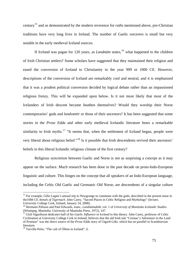<span id="page-74-0"></span>century[15](#page-74-0) and as demonstrated by the modern reverence for *raths* mentioned above, pre-Christian traditions have very long lives in Ireland. The number of Gaelic sorcerers is small but very notable in the early medieval Iceland sources.

If Iceland was pagan for 120 years, as *Landnám* states,<sup>[16](#page-74-0)</sup> what happened to the children of Irish Christian settlers? Some scholars have suggested that they maintained their religion and eased the conversion of Iceland to Christianity in the year 999 or 1000 CE. However, descriptions of the conversion of Iceland are remarkably cool and neutral, and it is emphasized that it was a prudent political conversion decided by logical debate rather than an impassioned religious frenzy. This will be expanded upon below. Is it not more likely that most of the Icelanders of Irish descent became heathen themselves? Would they worship their Norse contemporaries' gods and *landvættir* or those of their ancestors? It has been suggested that some stories in the *Prose Edda* and other early medieval Icelandic literature bears a remarkable similarity to Irish myths.<sup>[17](#page-74-0)</sup> "It seems that, when the settlement of Iceland began, people were very liberal about religious belief."<sup>[18](#page-74-0)</sup> Is it possible that Irish descendents revived their ancestors' beliefs in this liberal Icelandic religious climate of the first century?

 Religious syncretism between Gaelic and Norse is not as surprising a concept as it may appear on the surface. Much research has been done in the past decade on proto-Indo-European linguistic and culture. This hinges on the concept that all speakers of an Indo-European language, including the Celtic Old Gaelic and Germanic Old Norse, are descendents of a singular culture

<sup>&</sup>lt;sup>15</sup> For example, Gilla Lugán's annual trip to Newgrange to commune with the gods, described in the present tense in the1084 CE *Annals of Tigernach*. John Carey, "Sacred Places in Celtic Religion and Mythology" (lecture, University College Cork, Ireland, January 24, 2008).

<sup>16</sup> Hermann Pálsson and Paul Edwards, trans., *Landnámabók*, vol. 1 of *University of Manitoba Icelandic Studies* (Winnipeg, Manitoba: University of Manitoba Press, 1972), 147.

<sup>&</sup>lt;sup>17</sup> Gísli Sigurðsson dedicates half of his *Gaelic Influence in Iceland* to this theory. John Carey, professor of Celtic Civilization at University College Cork in Ireland, believes that the old Irish tale "Cormac's Adventure in the Land of Promise" was the direct source of the *Prose Edda* story of Utgarð-Lóki, which has no parallel in Scandinavian literature.

 $18$  Turville-Petre, "The cult of Óðinn in Iceland", 6.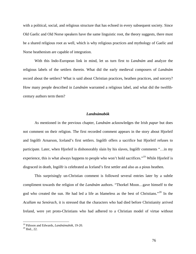<span id="page-75-0"></span>with a political, social, and religious structure that has echoed in every subsequent society. Since Old Gaelic and Old Norse speakers have the same linguistic root, the theory suggests, there must be a shared religious root as well, which is why religious practices and mythology of Gaelic and Norse heathenism are capable of integration.

With this Indo-European link in mind, let us turn first to *Landnám* and analyze the religious labels of the settlers therein. What did the early medieval composers of *Landnám* record about the settlers? What is said about Christian practices, heathen practices, and sorcery? How many people described in *Landnám* warranted a religious label, and what did the twelfthcentury authors term them?

#### *Landnámabók*

 As mentioned in the previous chapter, *Landnám* acknowledges the Irish *papar* but does not comment on their religion. The first recorded comment appears in the story about Hjorleif and Ingólfr Arnarson, Iceland's first settlers. Ingólfr offers a sacrifice but Hjorleif refuses to participate. Later, when Hjorleif is dishonorably slain by his slaves, Ingólfr comments "…in my experience, this is what always happens to people who won't hold sacrifices."<sup>[19](#page-75-0)</sup> While Hjorleif is disgraced in death, Ingólfr is celebrated as Iceland's first settler and also as a pious heathen.

This surprisingly un-Christian comment is followed several entries later by a subtle compliment towards the religion of the *Landnám* authors. "Thorkel Moon…gave himself to the god who created the sun. He had led a life as blameless as the best of Christians."[20](#page-75-0) In the *Acallam na Senórach*, it is stressed that the characters who had died before Christianity arrived Ireland, were yet proto-Christians who had adhered to a Christian model of virtue without

<sup>&</sup>lt;sup>19</sup> Pálsson and Edwards, *Landnámabók*, 19-20.<br><sup>20</sup> Ibid., 22.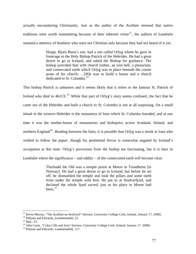<span id="page-76-0"></span>actually encountering Christianity. Just as the author of the *Acallam* stressed that native traditions were worth transmitting because of their inherent virtue<sup>[21](#page-76-0)</sup>, the authors of *Landnám* retained a memory of heathens who were not Christian only because they had not heard of it yet.

> Hrapp, Bjorn Buna's son, had a son called Orlyg whom he gave in fosterage to the Holy Bishop Patrick of the Hebrides. He had a great desire to go to Iceland, and asked the Bishop for guidance. The bishop provided him with church timber, an iron bell, a plenarium, and consecrated earth which Orlyg was to place beneath the corner posts of his church. …[H]e was to build a house and a church dedicated to St. Columba. $^{22}$  $^{22}$  $^{22}$

This bishop Patrick is unknown and it seems likely that it refers to the famous St. Patrick of Ireland who died in  $461CE.<sup>23</sup>$  $461CE.<sup>23</sup>$  $461CE.<sup>23</sup>$  While that part of Orlyg's story seems confused, the fact that he came out of the Hebrides and built a church to St. Columba is not at all surprising. On a small island in the western Hebrides is the monastery of Iona which St. Columba founded, and at one time it was the mother-house of monasteries and bishoprics across Scotland, Ireland, and northern England<sup>[24](#page-76-0)</sup>. Reading between the lines, it is possible that Orlyg was a monk at Iona who wished to follow the *papar*, though his penitential fervor is somewhat negated by Iceland's occupation at this time. Orlyg's provisions from the bishop are fascinating, but it is later in *Landnám* where the significance – and oddity – of the consecrated earth will become clear.

> Thorhadd the Old was a temple priest at Moere in Trondheim [in Norway]. He had a great desire to go to Iceland, but before he set off, he dismantled the temple and took the pillars and some earth from under the temple with him. He put in at Stodvarfjord, and declared the whole fjord sacred, just as his place in Moere had been. $25$

<sup>&</sup>lt;sup>21</sup> Kevin Murray, "The *Acallam na Senórach*" (lecture, University College Cork, Ireland, January 17, 2008).<br><sup>22</sup> Pálsson and Edwards, *Landnámabók*, 23.<br><sup>23</sup> Ibid., 23.

<sup>24</sup> John Carey, "Colm Cille and Iona" (lecture, University College Cork, Ireland, January 17, 2008). 25 Pálsson and Edwards, *Landnámabók*, 117.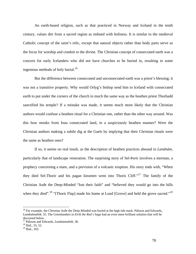<span id="page-77-0"></span>An earth-based religion, such as that practiced in Norway and Iceland in the tenth century, values dirt from a sacred region as imbued with holiness. It is similar to the medieval Catholic concept of the saint's relic, except that natural objects rather than body parts serve as the focus for worship and conduit to the divine. The Christian concept of consecrated earth was a concern for early Icelanders who did not have churches to be buried in, resulting in some ingenious methods of holy burial. $^{26}$  $^{26}$  $^{26}$ 

But the difference between consecrated and unconsecrated earth was a priest's blessing; it was not a transitive property. Why would Orlyg's bishop send him to Iceland with consecrated earth to put under the corners of the church in much the same way as the heathen priest Thorhadd sanctified his temple? If a mistake was made, it seems much more likely that the Christian authors would confuse a heathen ritual for a Christian one, rather than the other way around. Was this how monks from Iona consecrated land, in a suspiciously heathen manner? Were the Christian authors making a subtle dig at the Gaels by implying that their Christian rituals were the same as heathen ones?

 If so, it seems no real insult, as the description of heathen practices abound in *Landnám*, particularly that of landscape veneration. The surprising story of Sel-Þorir involves a merman, a prophecy concerning a mare, and a prevision of a volcanic eruption. His story ends with, "When they died Sel-Thorir and his pagan kinsmen went into Thoris Cliff."[27](#page-77-0) The family of the Christian Auðr the Deep-Minded "lost their faith" and "believed they would go into the hills when they died".<sup>[28](#page-77-0)</sup> "[Thorir Flap] made his home at Lund [Grove] and held the grove sacred."<sup>[29](#page-77-0)</sup>

<u>.</u>

<sup>&</sup>lt;sup>26</sup> For example, the Christian Auðr the Deep-Minded was buried at the high tide mark. Pálsson and Edwards, *Landnámabók*, 55. The Greenlanders in *Eírik the Red´s Saga* had an even more brilliant solution that will be discussed below.

<sup>27</sup> Pálsson and Edwards, *Landnámabók*, 38. 28 Ibid., 55, 52.

 $29$  Ibid., 103.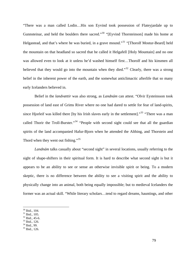<span id="page-78-0"></span>"There was a man called Lodin…His son Eyvind took possession of Flateyjardale up to Gunnsteinar, and held the boulders there sacred."<sup>[30](#page-78-0)</sup> "[Eyvind Thorsteinson] made his home at Helgastead, and that's where he was buried, in a grave mound."<sup>[31](#page-78-0)</sup> "[Thorolf Mostur-Beard] held the mountain on that headland so sacred that he called it Helgafell [Holy Mountain] and no one was allowed even to look at it unless he'd washed himself first…Thorolf and his kinsmen all believed that they would go into the mountain when they died."<sup>[32](#page-78-0)</sup> Clearly, there was a strong belief in the inherent power of the earth, and the somewhat anticlimactic afterlife that so many early Icelanders believed in.

 Belief in the *landvættir* was also strong, as *Landnám* can attest. "Olvir Eysteinsson took possession of land east of Grims River where no one had dared to settle for fear of land-spirits, since Hjorleif was killed there [by his Irish slaves early in the settlement]."<sup>[33](#page-78-0)</sup> "There was a man called Thorir the Troll-Burster."<sup>[34](#page-78-0)</sup> "People with second sight could see that all the guardian spirits of the land accompanied Hafur-Bjorn when he attended the Althing, and Thorstein and Thord when they went out fishing."<sup>[35](#page-78-0)</sup>

*Landnám* talks casually about "second sight" in several locations, usually referring to the sight of shape-shifters in their spiritual form. It is hard to describe what second sight is but it appears to be an ability to see or sense an otherwise invisible spirit or being. To a modern skeptic, there is no difference between the ability to see a visiting spirit and the ability to physically change into an animal, both being equally impossible; but to medieval Icelanders the former was an actual skill. "While literary scholars…tend to regard dreams, hauntings, and other

- $31$  Ibid., 105.
- 32 Ibid., 45-6.
- 33 Ibid., 126.
- $34$  Ibid., 99.
- 35 Ibid., 126.

<sup>30</sup> Ibid., 104.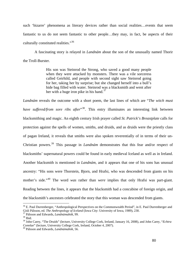<span id="page-79-0"></span>such 'bizarre' phenomena as literary devices rather than social realities…events that seem fantastic to us do not seem fantastic to other people…they may, in fact, be aspects of their culturally constituted realities."[36](#page-79-0)

 A fascinating story is relayed in *Landnám* about the son of the unusually named Thorir the Troll-Burster.

> His son was Steinrod the Strong, who saved a good many people when they were attacked by monsters. There was a vile sorceress called Geirhild, and people with second sight saw Steinrod going for her, taking her by surprise; but she changed herself into a bull's hide bag filled with water. Steinrod was a blacksmith and went after her with a huge iron pike in his hand.<sup>[37](#page-79-0)</sup>

*Landnám* reveals the outcome with a short poem, the last lines of which are "*The witch must have suffered/from sore ribs after*<sup>[38](#page-79-0)</sup>. This entry illuminates an interesting link between blacksmithing and magic. An eighth century Irish prayer called *St. Patrick's Breastplate* calls for protection against the spells of women, smiths, and druids, and as druids were the priestly class of pagan Ireland, it reveals that smiths were also spoken reverentially of in terms of their un-Christian powers.[39](#page-79-0) This passage in *Landnám* demonstrates that this fear and/or respect of blacksmiths' supernatural powers could be found in early medieval Iceland as well as in Ireland. Another blacksmith is mentioned in *Landnám*, and it appears that one of his sons has unusual ancestry: "His sons were Thorstein, Bjorn, and Hrafsi, who was descended from giants on his mother's side."[40](#page-79-0) The word *was* rather than *were* implies that only Hrafsi was part-giant. Reading between the lines, it appears that the blacksmith had a concubine of foreign origin, and the blacksmith's ancestors celebrated the story that this woman was descended from giants.

<sup>&</sup>lt;sup>36</sup> E. Paul Durrenberger, "Anthropological Perspectives on the Commonwealth Period", in E. Paul Durrenberger and Gísli Pálsson, ed. *The Anthropology of Iceland* (Iowa City: University of Iowa, 1989), 230.<br><sup>37</sup> Pálsson and Edwards, *Landnámabók*, 99.<br><sup>38</sup> Ibid

<sup>39</sup> John Carey, "The Druids" (lecture, University College Cork, Ireland, January 16, 2008), and John Carey, "*Echtra Connlae*" (lecture, University College Cork, Ireland, October 4, 2007). 40 Pálsson and Edwards, *Landnámabók*, 56.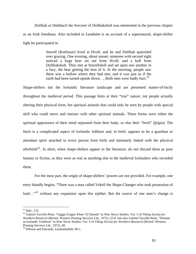<span id="page-80-0"></span> Dufthak or Dubthach the Sorcerer of Dufthaksholt was mentioned in the previous chapter as an Irish freedman. Also included in *Landnám* is an account of a supernatural, shape-shifter fight he participated in.

> Storolf [Ketilsson] lived at Hvoll, and he and Dufthak quarreled over grazing. One evening, about sunset, someone with second sight noticed a huge bear set out from Hvoll, and a bull from Dufthaksholt. They met at Storolfsboll and set upon one another in a fury, the bear getting the best of it. In the morning, people saw there was a hollow where they had met, and it was just as if the earth had been turned upside down. ...Both men were badly hurt.<sup>[41](#page-80-0)</sup>

Shape-shifters dot the Icelandic literature landscape and are presented matter-of-factly throughout the medieval period. This passage hints at their "true" nature; not people actually altering their physical form, but spiritual animals that could only be seen by people with special skill who could move and interact with other spiritual animals. These forms were either the spiritual appearance of their mind separated from their body, or else their "fetch" (*fylgia*). The fetch is a complicated aspect of Icelandic folklore and, in brief, appears to be a guardian or attendant spirit attached to every person from birth and intimately linked with the physical afterbirth<sup>[42](#page-80-0)</sup>. In short, when shape-shifters appear in the literature, do not discard them as pure fantasy or fiction, as they were as real as anything else to the medieval Icelanders who recorded them.

 For the most part, the origin of shape-shifters' powers are not provided. For example, one entry blandly begins, "There was a man called Vekell the Shape-Changer who took possession of land…<sup>[43](#page-80-0)</sup> without any expansion upon this epithet. But the source of one man's change is

<sup>&</sup>lt;u>.</u>  $41$  Ibid., 133.

<sup>42</sup> Gabriel Turville-Petre, "*Liggja Fylgjur Þínar Til Íslands*" in *Nine Norse Studies*, Vol. 5 of *Viking Society for Northern Research* (Bristol: Western Printing Services Ltd., 1972), 52-8. See also Gabriel Turville-Petre, "Dreams in Icelandic Tradition" in *Nine Norse Studies*, Vol. 5 of *Viking Society for Northern Research* (Bristol: Western Printing Services Ltd., 1972), 48.

<sup>43</sup> Pálsson and Edwards, *Landnámabók*, 90-1.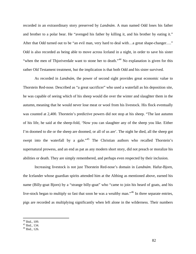<span id="page-81-0"></span>recorded in an extraordinary story preserved by *Landnám*. A man named Odd loses his father and brother to a polar bear. He "avenged his father by killing it, and his brother by eating it." After that Odd turned out to be "an evil man, very hard to deal with...a great shape-changer...." Odd is also recorded as being able to move across Iceland in a night, in order to save his sister "when the men of Thjoriverdale want to stone her to death."<sup>[44](#page-81-0)</sup> No explanation is given for this rather Old Testament treatment, but the implication is that both Odd and his sister survived.

As recorded in *Landnám*, the power of second sight provides great economic value to Thorstein Red-nose*.* Described as "a great sacrificer" who used a waterfall as his deposition site, he was capable of seeing which of his sheep would die over the winter and slaughter them in the autumn, meaning that he would never lose meat or wool from his livestock. His flock eventually was counted at 2,400. Thorstein's predictive powers did not stop at his sheep. "The last autumn of his life, he said at the sheep-fold, 'Now you can slaughter any of the sheep you like. Either I'm doomed to die or the sheep are doomed, or all of us are'. The night he died, all the sheep got swept into the waterfall by a gale."<sup>[45](#page-81-0)</sup> The Christian authors who recalled Thorstein's supernatural prowess, and an end as pat as any modern short story, did not preach or moralize his abilities or death. They are simply remembered, and perhaps even respected by their inclusion.

Increasing livestock is not just Thorstein Red-nose's domain in *Landnám*. Hafur-Bjorn, the Icelander whose guardian spirits attended him at the Althing as mentioned above, earned his name (Billy-goat Bjorn) by a "strange billy-goat" who "came to join his heard of goats, and his live-stock began to multiply so fast that soon he was a wealthy man."<sup>[46](#page-81-0)</sup> In three separate entries, pigs are recorded as multiplying significantly when left alone in the wilderness. Their numbers

 $44$  Ibid., 109.

<sup>45</sup> Ibid., 134.

<sup>46</sup> Ibid., 126.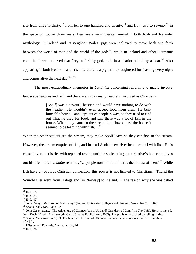<span id="page-82-0"></span>rise from three to thirty,  $47$  from ten to one hundred and twenty,  $48$  and from two to seventy  $49$  in the space of two or three years. Pigs are a very magical animal in both Irish and Icelandic mythology. In Ireland and its neighbor Wales, pigs were believed to move back and forth between the world of man and the world of the gods<sup>[50](#page-82-0)</sup>, while in Iceland and other Germanic countries it was believed that Frey, a fertility god, rode in a chariot pulled by a boar.<sup>[51](#page-82-0)</sup> Also appearing in both Icelandic and Irish literature is a pig that is slaughtered for feasting every night and comes alive the next day.<sup>[52](#page-82-0), [53](#page-82-0)</sup>

The most extraordinary memories in *Landnám* concerning religion and magic involve landscape features and fish, and there are just as many heathens involved as Christians.

> [Asolf] was a devout Christian and would have nothing to do with the heathen. He wouldn't even accept food from them. He built himself a house...and kept out of people's way, so they tried to find out what he used for food, and saw there was a lot of fish in the house. When they came to the stream that flowed past the house it seemed to be teeming with fish....<sup>[54](#page-82-0)</sup>

When the other settlers see the stream, they make Asolf leave so they can fish in the stream. However, the stream empties of fish, and instead Asolf's new river becomes full with fish. He is chased over his district with repeated results until he seeks refuge at a relative's house and lives out his life there. *Landnám* remarks, "…people now think of him as the holiest of men."[55](#page-82-0) While fish have an obvious Christian connection, this power is not limited to Christians. "Thurid the Sound-Filler went from Halogaland [in Norway] to Iceland…. The reason why she was called

 $47$  Ibid., 60.

<sup>48</sup> Ibid., 85.

 $49$  Ibid., 97.

 $^{50}$  John Carey, "Math son of Mathonwy" (lecture, University College Cork, Ireland, November 29, 2007).<br><sup>51</sup> Snorri, *The Prose Edda*, 82.

<sup>&</sup>lt;sup>52</sup> John Carey, trans., "The Adventure of Cormac [son of Art and] Grandson of Conn", in *The Celtic Heroic Age*, ed.<br>John Koch (4<sup>th</sup> ed., Aberystwyth: Celtic Studies Publications, 2005). The pig is only cooked by telling  $53$  Snorri, The Prose Edda, 63. The boar is in the hall of Óðinn and serves the warriors who live there in their afterlife.

<sup>54</sup> Pálsson and Edwards, *Landnámabók*, 26. 55 Ibid., 26.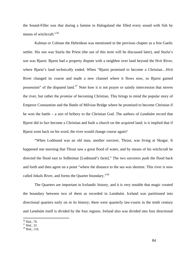<span id="page-83-0"></span>the Sound-Filler was that during a famine in Halogaland she filled every sound with fish by means of witchcraft."<sup>[56](#page-83-0)</sup>

 Kalman or Colman the Hebridean was mentioned in the previous chapter as a free Gaelic settler. His son was Sturla the Priest (the use of this term will be discussed later), and Sturla's son was Bjarni. Bjarni had a property dispute with a neighbor over land beyond the Hvit River, where Bjarni's land technically ended. When "Bjarni promised to become a Christian…Hvit River changed its course and made a new channel where it flows now, so Bjarni gained possession" of the disputed land.<sup>[57](#page-83-0)</sup> Note how it is not prayer or saintly intercession that moves the river, but rather the *promise* of becoming Christian. This brings to mind the popular story of Emperor Constantine and the Battle of Milvian Bridge where he promised to become Christian if he won the battle – a sort of bribery to the Christian God. The authors of *Landnám* record that Bjarni did in fact become a Christian and built a church on the acquired land; is it implied that if Bjarni went back on his word, the river would change course again?

 "When Lodmund was an old man, another sorcerer, Thrasi, was living at Skogar. It happened one morning that Thrasi saw a great flood of water, and by means of his witchcraft he directed the flood east to Solheimar [Lodmund's farm]." The two sorcerers push the flood back and forth and then agree on a point "where the distance to the sea was shortest. This river is now called Jokuls River, and forms the Quarter boundary."<sup>[58](#page-83-0)</sup>

The Quarters are important in Icelandic history, and it is very notable that magic created the boundary between two of them as recorded in *Landnám*. Iceland was partitioned into directional quarters early on in its history; there were quarterly law-courts in the tenth century and *Landnám* itself is divided by the four regions. Ireland also was divided into four directional

<sup>56</sup> Ibid., 70.

<sup>57</sup> Ibid., 32.

<sup>58</sup> Ibid., 116.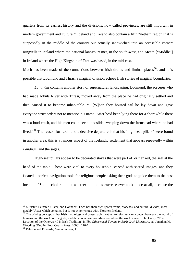<span id="page-84-0"></span>quarters from its earliest history and the divisions, now called provinces, are still important in modern government and culture.<sup>[59](#page-84-0)</sup> Iceland and Ireland also contain a fifth "nether" region that is supposedly in the middle of the country but actually sandwiched into an accessible corner: Þingvellr in Iceland where the national law-court met, in the south-west, and Meath ["Middle"] in Ireland where the High Kingship of Tara was based, in the mid-east.

Much has been made of the connections between Irish druids and liminal places<sup>[60](#page-84-0)</sup>, and it is possible that Lodmund and Thrasi's magical division echoes Irish stories of magical boundaries.

*Landnám* contains another story of supernatural landscaping. Lodmund, the sorcerer who had made Jokuls River with Thrasi, moved away from the place he had originally settled and then caused it to become inhabitable. "…[W]hen they hoisted sail he lay down and gave everyone strict orders not to mention his name. After he'd been lying there for a short while there was a loud crash, and his men could see a landslide sweeping down the farmstead where he had lived."<sup>[61](#page-84-0)</sup> The reason for Lodmund's decisive departure is that his "high-seat pillars" were found in another area; this is a famous aspect of the Icelandic settlement that appears repeatedly within *Landnám* and the sagas.

 High-seat pillars appear to be decorated staves that were part of, or flanked, the seat at the head of the table. These were vital to every household, carved with sacred images, and they floated – perfect navigation tools for religious people asking their gods to guide them to the best location. "Some scholars doubt whether this pious exercise ever took place at all, because the

<sup>&</sup>lt;sup>59</sup> Munster, Leinster, Ulster, and Connacht. Each has their own sports teams, dioceses, and cultural divides, most notably Ulster which contains, but is not synonymous with, Northern Ireland.

 $60$  The driving concept is that Irish mythology and presumably heathen religion runs on contact between the world of humans and the world of the gods, and thus boundaries or edges are where the worlds meet. John Carey, "The Location of the Otherworld in Irish Tradition" in *The Otherworld Voyage in Early Irish Literature*, ed. Jonathan M. Wooding (Dublin: Four Courts Press, 2000), 116-7.

<sup>61</sup> Pálsson and Edwards, *Landnámabók*, 116.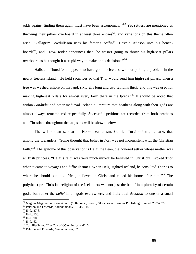<span id="page-85-0"></span>odds against finding them again must have been astronomical."[62](#page-85-0) Yet settlers are mentioned as throwing their pillars overboard in at least three entries<sup>[63](#page-85-0)</sup>, and variations on this theme often arise. Skallagrim Kvedulfsson uses his father's coffin<sup>[64](#page-85-0)</sup>, Hastein Atlason uses his bench-boards<sup>[65](#page-85-0)</sup>, and Crow-Heidar announces that "he wasn't going to throw his high-seat pillars overboard as he thought it a stupid way to make one's decisions."66

Hallstein Thorolfsson appears to have gone to Iceland without pillars, a problem in the nearly treeless island. "He held sacrifices so that Thor would send him high-seat pillars. Then a tree was washed ashore on his land, sixty ells long and two fathoms thick, and this was used for making high-seat pillars for almost every farm there in the fjords."<sup>[67](#page-85-0)</sup> It should be noted that within *Landnám* and other medieval Icelandic literature that heathens along with their gods are almost always remembered respectfully. Successful petitions are recorded from both heathens and Christians throughout the sagas, as will be shown below.

The well-known scholar of Norse heathenism, Gabriel Turville-Petre, remarks that among the Icelanders, "Some thought that belief in Þórr was not inconsistent with the Christian faith."[68](#page-85-0) The epitome of this observation is Helgi the Lean, the honored settler whose mother was an Irish princess. "Helgi's faith was very much mixed: he believed in Christ but invoked Thor when it came to voyages and difficult times. When Helgi sighted Iceland, he consulted Thor as to where he should put in…. Helgi believed in Christ and called his home after him."<sup>[69](#page-85-0)</sup> The polytheist pre-Christian religion of the Icelanders was not just the belief in a plurality of certain gods, but rather the *belief* in all gods everywhere, and individual *devotion* to one or a small

<sup>62</sup> Magnus Magnusson, *Iceland Saga* (1987; repr., Stroud, Glouchester: Tempus Publishing Limited, 2005), 76. 63 Pálsson and Edwards, *Landnámabók*, 21, 45, 116. 64 Ibid., 27-8.

<sup>65</sup> Ibid., 138.

<sup>66</sup> Ibid., 90.

 $67$  Ibid., 62.

<sup>68</sup> Turville-Petre, "The Cult of Óðinn in Iceland", 6.

<sup>69</sup> Pálsson and Edwards, *Landnámabók*, 97.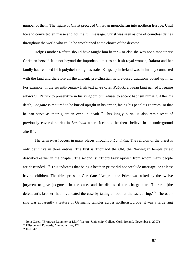<span id="page-86-0"></span>number of them. The figure of Christ preceded Christian monotheism into northern Europe. Until Iceland converted en masse and got the full message, Christ was seen as one of countless deities throughout the world who could be worshipped at the choice of the devotee.

Helgi's mother Rafarta should have taught him better – or else she was not a monotheist Christian herself. It is not beyond the improbable that as an Irish royal woman, Rafarta and her family had retained Irish polytheist religious traits. Kingship in Ireland was intimately connected with the land and therefore all the ancient, pre-Christian nature-based traditions bound up in it. For example, in the seventh-century Irish text *Lives of St. Patrick*, a pagan king named Loegaire allows St. Patrick to proselytize in his kingdom but refuses to accept baptism himself. After his death, Loegaire is required to be buried upright in his armor, facing his people's enemies, so that he can serve as their guardian even in death.<sup>[70](#page-86-0)</sup> This kingly burial is also reminiscent of previously covered stories in *Landnám* where Icelandic heathens believe in an underground afterlife.

The term *priest* occurs in many places throughout *Landnám*. The religion of the priest is only definitive in three entries. The first is Thorhadd the Old, the Norwegian temple priest described earlier in the chapter. The second is: "Thord Frey's-priest, from whom many people are descended."<sup>[71](#page-86-0)</sup> This indicates that being a heathen priest did not preclude marriage, or at least having children. The third priest is Christian: "Arngrim the Priest was asked by the twelve jurymen to give judgment in the case, and he dismissed the charge after Thorarin [the defendant's brother] had invalidated the case by taking an oath at the sacred ring."<sup>[72](#page-86-0)</sup> The oathring was apparently a feature of Germanic temples across northern Europe; it was a large ring

<u>.</u>

<sup>&</sup>lt;sup>70</sup> John Carey, "Branwen Daughter of Llyr" (lecture, University College Cork, Ireland, November 8, 2007).<br><sup>71</sup> Pálsson and Edwards, *Landnámabók*, 122.<br><sup>72</sup> Ibid., 42.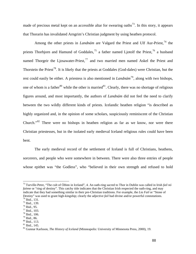<span id="page-87-0"></span>made of precious metal kept on an accessible altar for swearing oaths<sup>[73](#page-87-0)</sup>. In this story, it appears that Thorarin has invalidated Arngrim's Christian judgment by using heathen protocol.

Among the other priests in *Landnám* are Valgard the Priest and Ulf Aur-Priest,<sup>[74](#page-87-0)</sup> the priests Thorbjorn and Hamund of Goddales,<sup>[75](#page-87-0)</sup> a father named Ljotolf the Priest,<sup>[76](#page-87-0)</sup> a husband named Thorgeir the Ljosawater-Priest, $^{77}$  $^{77}$  $^{77}$  and two married men named Askel the Priest and Thorstein the Priest<sup>[78](#page-87-0)</sup>. It is likely that the priests at Goddales (God-dales) were Christian, but the rest could easily be either. A priestess is also mentioned in *Landnám*[79](#page-87-0), along with two bishops, one of whom is a father<sup>[80](#page-87-0)</sup> while the other is married<sup>[81](#page-87-0)</sup>. Clearly, there was no shortage of religious figures around, and most importantly, the authors of *Landnám* did not feel the need to clarify between the two wildly different kinds of priests. Icelandic heathen religion "is described as highly organized and, in the opinion of some scholars, suspiciously reminiscent of the Christian Church."[82](#page-87-0) There were no bishops in heathen religion as far as we know, nor were there Christian priestesses, but in the isolated early medieval Iceland religious rules could have been bent.

The early medieval record of the settlement of Iceland is full of Christians, heathens, sorcerers, and people who were somewhere in between. There were also three entries of people whose epithet was "the Godless", who "believed in their own strength and refused to hold

<sup>73</sup> Turville-Petre, "The cult of Óðinn in Iceland", 4. An oath-ring sacred to Thor in Dublin was called in Irish *fa il nó faínne* or "ring of destiny". This catchy title indicates that the Christian Irish respected the oath-ring, and may indicate that they had something similar in their pre-Christian traditions. For example, the *Lia Fail* or "Stone o f Destiny" was used to grant high-kingship; clearly the adjective *fail* had divine and/or powerful connotations. 74 Ibid., 131.

 $75$  Ibid., 139.

 $76$  Ibid., 95.

<sup>77</sup> Ibid., 103.

 $78$  Ibid., 106.

 $79$  Ibid., 86.

<sup>80</sup> Ibid., 113.

<sup>81</sup> Ibid., 145.

<sup>&</sup>lt;sup>82</sup> Gunnar Karlsson, *The History of Iceland* (Minneapolis: University of Minnesota Press, 2000), 19.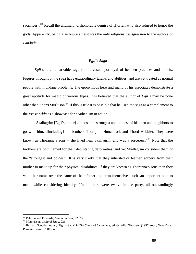<span id="page-88-0"></span>sacrifices".<sup>[83](#page-88-0)</sup> Recall the untimely, dishonorable demise of Hjorleif who also refused to honor the gods. Apparently, being a self-sure atheist was the only religious transgression to the authors of Landnám.

# *Egil's Saga*

other than Snorri Sturluson.<sup>[84](#page-88-0)</sup> If this is true it is possible that he used the saga as a complement to the *Prose Edda* as a showcase for heathenism in action. *Egil's* is a remarkable saga for its casual portrayal of heathen practices and beliefs. Figures throughout the saga have extraordinary talents and abilities, and are yet treated as normal people with mundane problems. The eponymous hero and many of his associates demonstrate a great aptitude for magic of various types. It is believed that the author of *Egil's* may be none

 "Skallagrim [Egil's father] …chose the strongest and boldest of his men and neighbors to go with him…[including] the brothers Thorbjorn Hunchback and Thord Hobbler. They were known as Thoranna's sons – she lived near Skallagrim and was a sorceress."<sup>[85](#page-88-0)</sup> Note that the brothers are both named for their debilitating deformities, and yet Skallagrim considers them of the "strongest and boldest". It is very likely that they inherited or learned sorcery from their mother to make up for their physical disabilities. If they are known as Thoranna's sons then they value her name over the name of their father and term themselves such, an important note to make while considering identity. "In all there were twelve in the party, all outstandingly

*ók*, 22, 35.

<sup>&</sup>lt;sup>83</sup> Pálsson and Edwards, *Landnámabók*, 22, 35.<br><sup>84</sup> Magnusson, *Iceland Saga*, 236.<br><sup>85</sup> Bernard Scudder, trans., ''Egil's Saga'' in *The Sagas of Icelanders*, ed. Örnólfur Thorsson (1997; repr., New York: Penguin Books, 2001), 40.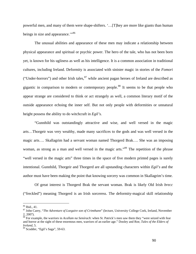<span id="page-89-0"></span>powerf ul men, and many of them were shape-shifters. '…[T]hey are more like giants than human beings in size and appearance."<sup>[86](#page-89-0)</sup>

appear strange are considered to think or act strangely as well, a common literary motif of the outside appearance echoing the inner self. But not only people with deformities or unnatural The unusual abilities and appearance of these men may indicate a relationship between physical appearance and spiritual or psychic power. The hero of the tale, who has not been born yet, is known for his ugliness as well as his intelligence. It is a common association in traditional cultures, including Ireland. Deformity is associated with sinister magic in stories of the *Fomori* ("Under-horrors") and other Irish tales, $^{87}$  $^{87}$  $^{87}$  while ancient pagan heroes of Ireland are described as gigantic in comparison to modern or contemporary people.<sup>[88](#page-89-0)</sup> It seems to be that people who height possess the ability to do witchcraft in *Egil's.* 

intentio nal. Gunnhild, Thorgeir and Thorgerd are all upstanding characters within *Egil's* and the "Gunnhild was outstandingly attractive and wise, and well versed in the magic arts…Thorgeir was very wealthy, made many sacrifices to the gods and was well versed in the magic arts…. Skallagrim had a servant woman named Thorgerd Brak…. She was an imposing woman, as strong as a man and well versed in the magic arts."<sup>[89](#page-89-0)</sup> The repetition of the phrase "well versed in the magic arts" three times in the space of five modern printed pages is surely author must have been making the point that knowing sorcery was common in Skallagrim's time.

Of great interest is Thorgerd Brak the servant woman. Brak is likely Old Irish *brecc*  ("freckled") meaning Thorgerd is an Irish sorceress. The deformity-magical skill relationship

<sup>86</sup> Ibid., 41.

<sup>&</sup>lt;sup>87</sup> John Carey, "The Adventure of Loegaire son of Crimthann" (lecture, University College Cork, Ireland, November 2, 2007).

r and horror at the sight of these enormous men, warriors of an earlier age." Dooley and Roe, *Tales of the Elders of* 88 For example, the warriors in *Acallam na Senórach*: when St. Patrick's men saw them they "were seized with fea *Ireland*, 5.

<sup>89</sup> Scudder, "Egil's Saga", 59-63.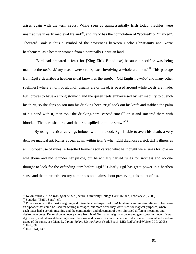<span id="page-90-0"></span>arises again with the term *brecc*. While seen as quintessentially Irish today, freckles were unattractive in early medieval Ireland<sup>[90](#page-90-0)</sup>, and *brecc* has the connotation of "spotted" or "marked". Thorgerd Brak is thus a symbol of the crossroads between Gaelic Christianity and Norse heathenism, as a heathen woman from a nominally Christian land.

his thirst, so she slips poison into his drinking horn. "Egil took out his knife and stabbed the palm of his hand with it, then took the drinking-horn, carved runes<sup>[92](#page-90-0)</sup> on it and smeared them with "Bard had prepared a feast for [King Eirik Blood-axe] because a sacrifice was being made to the *dísir*…Many toasts were drunk, each involving a whole ale-horn."<sup>[91](#page-90-0)</sup> This passage from *Egil's* describes a heathen ritual known as the *sumbel* (Old English *cymbol* and many other spellings) where a horn of alcohol, usually ale or mead, is passed around while toasts are made. Egil proves to have a strong stomach and the queen feels embarrassed by her inability to quench blood.... The horn shattered and the drink spilled on to the straw."<sup>[93](#page-90-0)</sup>

whalebone and hid it under her pillow, but he actually carved runes for sickness and no one By using mystical carvings imbued with his blood, Egil is able to avert his death, a very delicate magical art. Runes appear again within *Egil's* when Egil diagnoses a sick girl's illness as an improper use of runes. A besotted farmer's son carved what he thought were runes for love on thought to look for the offending item before Egil.<sup>[94](#page-91-0)</sup> Clearly Egil has great power in a heathen sense and the thirteenth-century author has no qualms about preserving this talent of his.

<sup>90</sup> Kevin Murray, "*The Wooing of Ailbe*" (lecture, University College Cork, Ireland, February 29, 2008).

<sup>&</sup>lt;sup>91</sup> Scudder, "Egil's Saga", 67.

<sup>&</sup>lt;sup>92</sup> Runes are one of the most intriguing and misunderstood aspects of pre-Christian Scandinavian religion. They were an alphabet that could be used for writing messages, but more often they were used for magical purposes, where each letter had a certain meaning and the combination and placement of them signified different meanings and desired outcomes. Runes show up everywhere from Nazi Germany insignia to decorated gemstones in modern New Age shops, and intense debate rages over their use and design. For an excellent introduction to historical and modern usage of the runes, see Diana L. Paxon, *Taking Up the Runes* (York Beach, ME: Red Wheel/Weiser LLC, 2005).  $93$  Ibid., 68.

<sup>&</sup>lt;sup>94</sup> Ibid., 141, 147.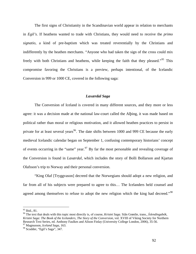<span id="page-91-0"></span> The first signs of Christianity in the Scandinavian world appear in relation to merchants in *Egil's*. If heathens wanted to trade with Christians, they would need to receive the *primo signatio*, a kind of pre-baptism which was treated reverentially by the Christians and indifferently by the heathen merchants. "Anyone who had taken the sign of the cross could mix freely with both Christians and heathens, while keeping the faith that they pleased."<sup>95</sup> This compromise favoring the Christians is a preview, perhaps intentional, of the Icelandic Conversion in 999 or 1000 CE, covered in the following saga:

### *Laxærdal Saga*

medieval Icelandic calendar began on September 1, confusing contemporary historians' concept The Conversion of Iceland is covered in many different sources, and they more or less agree: it was a decision made at the national law-court called the Alþing, it was made based on political rather than moral or religious motivation, and it allowed heathen practices to persist in private for at least several years<sup>[96](#page-91-0)</sup>. The date shifts between 1000 and 999 CE because the early of events occurring in the "same" year.<sup>[97](#page-91-0)</sup> By far the most personable and revealing coverage of the Conversion is found in *Laxærdal*, which includes the story of Bolli Bollarson and Kjartan Olafsson's trip to Norway and their personal conversion.

 "King Olaf [Tryggvason] decreed that the Norwegians should adopt a new religion, and far from all of his subjects were prepared to agree to this… The Icelanders held counsel and agreed among themselves to refuse to adopt the new religion which the king had decreed."<sup>[98](#page-92-0)</sup>

<u>.</u>

. 97 Magnusson, *Iceland Saga*, 163

<sup>&</sup>lt;sup>95</sup> Ibid., 81.

Kristni Saga: The Book of the Icelanders, The Story of the Conversion, vol. XVIII of Viking Society for Northern Research Text Series, ed. Anthony Faulkes and Alison Finlay (University College London, 2006), 35-56. 96 The text that deals with this topic most directly is, of course, *Kristni Saga*. Siân Grønlie, trans., *Íslendingabók,* 

<sup>98</sup> Scudder, "Egil's Saga", 347.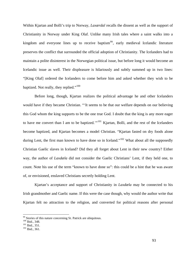<span id="page-92-0"></span>Within Kjartan and Bolli's trip to Norway, *Laxærdal* recalls the dissent as well as the support of Christianity in Norway under King Olaf. Unlike many Irish tales where a saint walks into a kingdom and everyone lines up to receive baptism<sup>[99](#page-92-0)</sup>, early medieval Icelandic literature preserves the conflict that surrounded the official adoption of Christianity. The Icelanders had to maintain a polite disinterest in the Norwegian political issue, but before long it would become an Icelandic issue as well. Their displeasure is hilariously and subtly summed up in two lines: "[King Olaf] ordered the Icelanders to come before him and asked whether they wish to be baptized. Not really, they replied."<sup>[100](#page-92-0)</sup>

Christian Gaelic slaves in Iceland? Did they all forget about Lent in their new country? Either Before long, though, Kjartan realizes the political advantage he and other Icelanders would have if they became Christian. "'It seems to be that our welfare depends on our believing this God whom the king supports to be the one true God. I doubt that the king is any more eager to have me convert than I am to be baptized."<sup>[101](#page-92-0)</sup> Kjartan, Bolli, and the rest of the Icelanders become baptized, and Kjartan becomes a model Christian. "Kjartan fasted on dry foods alone during Lent, the first man known to have done so in Iceland."<sup>[102](#page-92-0)</sup> What about all the supposedly way, the author of *Laxdæla* did not consider the Gaelic Christians' Lent, if they held one, to count. Note his use of the term "known to have done so": this could be a hint that he was aware of, or envisioned, enslaved Christians secretly holding Lent.

 Kjartan's acceptance and support of Christianity in *Laxdæla* may be connected to his Irish grandmother and Gaelic name. If this were the case though, why would the author write that Kjartan felt no attraction to the religion, and converted for political reasons after personal

<sup>&</sup>lt;sup>99</sup> Stories of this nature concerning St. Patrick are ubiquitous.

 $\frac{101}{102}$  Ibid., 351.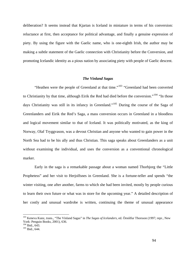<span id="page-93-0"></span>deliberation? It seems instead that Kjartan is Iceland in miniature in terms of his conversion: reluctance at first, then acceptance for political advantage, and finally a genuine expression of piety. By using the figure with the Gaelic name, who is one-eighth Irish, the author may be making a subtle statement of the Gaelic connection with Christianity before the Conversion, and promot ing Icelandic identity as a pious nation by associating piety with people of Gaelic descent.

#### *The Vínland Sagas*

Norway, Olaf Tryggvason, was a devout Christian and anyone who wanted to gain power in the North S ea had to be his ally and thus Christian. This saga speaks about Greenlanders as a unit "Heathen were the people of Greenland at that time."<sup>[103](#page-93-0)</sup> "Greenland had been converted to Christianity by that time, although Eirik the Red had died before the conversion."<sup>[104](#page-93-0)</sup> "In those days Christianity was still in its infancy in Greenland."<sup>[105](#page-93-0)</sup> During the course of the Saga of Greenlanders and Eirik the Red's Saga, a mass conversion occurs in Greenland in a bloodless and logical movement similar to that of Iceland. It was politically motivated, as the king of without examining the individual, and uses the conversion as a conventional chronological marker.

to learn their own future or what was in store for the upcoming year." A detailed description of her costly and unusual wardrobe is written, continuing the theme of unusual appearance Early in the saga is a remarkable passage about a woman named Thorbjorg the "Little Prophetess" and her visit to Herjolfsnes in Greenland. She is a fortune-teller and spends "the winter visiting, one after another, farms to which she had been invited, mostly by people curious

<sup>103</sup> Keneva Kunz, trans., "The Vínland Sagas" in *The Sagas of Icelanders*, ed. Örnólfur Thorsson (1997; repr., New York: Penguin Books, 2001), 636.<br><sup>104</sup> Ibid.. 643.

 $105$  Ibid., 644.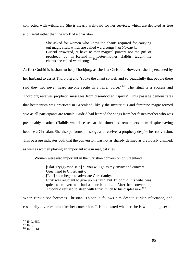<span id="page-94-0"></span>connected with witchcraft. She is clearly well-paid for her services, which are depicted as true and useful rath er than the work of a charlatan.

> out magic rites, which are called ward songs [*varðlokkur*]…. prophecy, but in Iceland my foster-mother, Halldis, taught me She asked for women who knew the chants required for carrying Gudrid answered, 'I have neither magical powers nor the gift of chants she called ward songs.'[106](#page-94-0)

[presumably heathen \(Halldis was deceased at this time\) an](#page-94-0)d remembers them despite having become a Christian. She also performs the songs and receives a prophecy despite her conversion. This passage indicates both that the conversion was not as sharply defined as previously claimed, as well as wom en playing an important role in magical rites. [At first Gudrid is hesitant to help Thorbjorg, as she is a Christian. However, she is persuaded by](#page-94-0)  [her husband to assist Thorbjorg and "spoke the chant so well and so beautifully that people there](#page-94-0)  [said they had never heard anyone recite in a fairer voice."](#page-94-0)<sup>107</sup> The ritual is a success and [Thorbjorg receives prophetic messages from disembodied "spirits". This passage demonstrates](#page-94-0)  [that heathenism was practiced in Greenland, likely the mysterious and feminine magic termed](#page-94-0)  *seið* [as all participants are female. Gudrid had learned the songs from her foster-mother who was](#page-94-0) 

Women were also important in the Christian conversion of Greenland.

[Olaf Tryggvason said] '...you will go as my envoy and convert [Leif] soon began to advocate Christianity… quick to convert and had a church built…. After her conversion, Greenland to Christianity.' Eirik was reluctant to give up his faith, but Thjodhild [his wife] was Thjodhild refused to sleep with Eirik, much to his displeasure.<sup>108</sup>

essentially divorces him after her conversion. It is not stated whether she is withholding sexual When Eirik's son becomes Christian, Thjodhild follows him despite Eirik's reluctance, and

 $106$  Ibid., 659.

 $\frac{107}{108}$  Ibid., 661.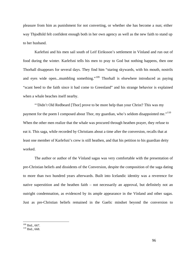<span id="page-95-0"></span>pleasur e from him as punishment for not converting, or whether she has become a nun; either way Thjodhild felt confident enough both in her own agency as well as the new faith to stand up to her husband.

Thorhall disappears for several days. They find him "staring skywards, with his mouth, nostrils and eyes wide open...mumbling something."<sup>[109](#page-95-0)</sup> Thorhall is elsewhere introduced as paying Karlefsni and his men sail south of Leif Eiriksson's settlement in Vínland and run out of food during the winter. Karlefsni tells his men to pray to God but nothing happens, then one "scant heed to the faith since it had come to Greenland" and his strange behavior is explained when a whale beaches itself nearby.

When the other men realize that the whale was procured through heathen prayer, they refuse to ""Didn't Old Redbeard [Thor] prove to be more help than your Christ? This was my payment for the poem I composed about Thor, my guardian, who's seldom disappointed me."<sup>110</sup> eat it. This saga, while recorded by Christians about a time after the conversion, recalls that at least one member of Karlefsni's crew is still heathen, and that his petition to his guardian deity worked.

outright condemnation, as evidenced by its ample appearance in the Vínland and other sagas. Just as pre-Christian beliefs remained in the Gaelic mindset beyond the conversion to The author or author of the Vínland sagas was very comfortable with the presentation of pre-Christian beliefs and dissidents of the Conversion, despite the composition of the saga dating to more than two hundred years afterwards. Built into Icelandic identity was a reverence for native superstition and the heathen faith – not necessarily an approval, but definitely not an

 $109$  Ibid., 667.

 $110$  Ibid., 668.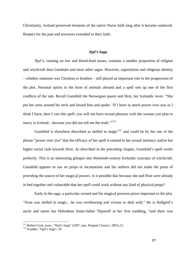<span id="page-96-0"></span>Christia nity, Iceland preserved elements of the native Norse faith long after it became outlawed. Respect for the past and ancestors extended to their faith.

# *Njal's Saga*

the plot. Personal spirits in the form of animals abound and a spell sets up one of the first conflic ts of the tale. Recall Gunnhild the Norwegian queen and Hrut, her Icelandic lover. "She *Njal's*, running on law and blood-feud issues, contains a smaller proportion of religion and witchcraft than *Landnám* and most other sagas. However, superstition and religious identity – whether someone was Christian or heathen – still played an important role in the progression of put her arms around his neck and kissed him and spoke: 'If I have as much power over you as I think I have, then I cast this spell: you will not have sexual pleasure with the woman you plan to marry in Iceland...because you did not tell me the truth."<sup>[111](#page-96-0)</sup>

[higher social rank towards Hrut. As described in the preceding chapter, Gunnhild's spell wo](#page-96-0)rks perfect ly. This is an interesting glimpse into thirteenth-century Icelandic concepts of witchcraft: [Gunnhild is elsewhere described as skilled in magic](#page-96-0) $112$  and could be by her use of the [phrase "power over you" that the efficacy of her spell is related to her sexual intimacy and/or her](#page-96-0)  Gunnhild appears to use no props or incantations and the authors did not make the point of providing the source of her magical powers. Is it possible that because she and Hrut were already in bed together and vulnerable that her spell could work without any kind of physical props?

Early in the saga, a particular wizard and his magical prowess prove important to the plot. "Svan was skilled in magic…he was overbearing and vicious to deal with." He is Hallgerd's uncle and meets her Hebridean foster-father Thjostolf at her first wedding, "and there was

<sup>&</sup>lt;sup>111</sup> Robert Cook, trans., "Njal's Saga" (1997, repr. Penguin Classics: 2001),13.

 $112$  Scudder, "Egil's Saga", 59.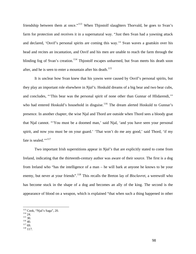<span id="page-97-0"></span>friendship between them at once."[113](#page-97-0) When Thjostolf slaughters Thorvald, he goes to Svan's farm for protection and receives it in a supernatural way. "Just then Svan had a yawning attack and de clared, 'Osvif's personal spirits are coming this way.'" Svan waves a goatskin over his head and recites an incantation, and Osvif and his men are unable to reach the farm through the blinding fog of Svan's creation.<sup>[114](#page-97-0)</sup> Thjostolf escapes unharmed, but Svan meets his death soon after, and he is seen to enter a mountain after his death.<sup>[115](#page-97-0)</sup>

[who had entered H](#page-97-0)oskuld's household in disguise.<sup>116</sup> The dream alerted Hoskuld to Gunnar's presenc e. In another chapter, the wise Njal and Thord are outside when Thord sees a bloody goat [It is unclear how Svan knew that his yawns were caused by Osvif's personal spirits, but](#page-97-0)  they play an important role elsewhere in *Njal's*[. Hoskuld dreams of a big bear and two bear cubs,](#page-97-0)  [and concludes, "'This bear was the personal spirit of none other than Gunnar of Hlidarendi,'"](#page-97-0)  that Njal cannot. "'You must be a doomed man,' said Njal, 'and you have seen your personal spirit, and now you must be on your guard.' 'That won't do me any good,' said Thord, 'if my fate is sealed."<sup>[117](#page-97-0)</sup>

[has become stu](#page-98-0)ck in the shape of a dog and becomes an ally of the king. The second is the appearance of blood on a weapon, which is explained "that when such a thing happened in other [Two important Irish superstitions appear in](#page-97-0) *Njal's* that are explicitly stated to come from [Ireland, indicating that the thirteenth-century author was aware of their source. The first is a dog](#page-97-0)  [from Ireland who "has the intelligence of a man – he will bark at anyone he knows to be your](#page-97-0)  [enemy, but never at your friends".](#page-97-0)<sup>118</sup> [This recalls the Breton lay of](#page-98-0) *Bisclavret*, a werewolf who

<sup>&</sup>lt;sup>113</sup> Cook, "Njal's Saga", 20.<br><sup>114</sup> 24.<br><sup>115</sup> 30.<br><sup>116</sup> 40.<br><sup>117</sup> 69.<br><sup>118</sup> 117.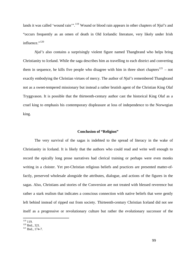<span id="page-98-0"></span>lands it was called 'wound rain'".<sup>[119](#page-98-0)</sup> Wound or blood rain appears in other chapters of *Njal's* and "occurs frequently as an omen of death in Old Icelandic literature, very likely under Irish influence."<sup>[120](#page-98-0)</sup>

not as a sweet-tempered missionary but instead a rather brutish agent of the Christian King Olaf ryggvason. It is possible that the thirteenth-century author cast the historical King Olaf as a T cruel king to emphasis his contemporary displeasure at loss of independence to the Norwegian king. *Njal's* also contains a surprisingly violent figure named Thangbrand who helps bring Christianity to Iceland. While the saga describes him as travelling to each district and converting them in sequence, he kills five people who disagree with him in three short chapters<sup>[121](#page-98-0)</sup> – not exactly embodying the Christian virtues of mercy. The author of *Njal's* remembered Thangbrand

#### **Conclusion of "Religion"**

left behind instead of ripped out from society. Thirteenth-century Christian Iceland did not see The very survival of the sagas is indebted to the spread of literacy in the wake of Christianity in Iceland. It is likely that the authors who could read and write well enough to record the epically long prose narratives had clerical training or perhaps were even monks writing in a cloister. Yet pre-Christian religious beliefs and practices are presented matter-offactly, preserved wholesale alongside the attributes, dialogue, and actions of the figures in the sagas. Also, Christians and stories of the Conversion are not treated with blessed reverence but rather a stark realism that indicates a conscious connection with native beliefs that were gently itself as a progressive or revolutionary culture but rather the evolutionary successor of the

 $119$  119.

 $\frac{120}{121}$  Ibid., 321.<br><sup>121</sup> Ibid., 174-7.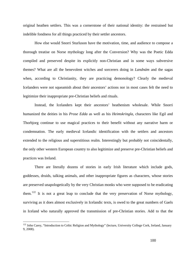<span id="page-99-0"></span>original heathen settlers. This was a cornerstone of their national identity: the restrained but indelible fondness for all things practiced by their settler ancestors.

 How else would Snorri Sturluson have the motivation, time, and audience to compose a thorough treatise on Norse mythology long after the Conversion? Why was the Poetic Edda compiled and preserved despite its explicitly non-Christian and in some ways subversive themes? What are all the benevolent witches and sorcerers doing in *Landnám* and the sagas when, according to Christianity, they are practicing demonology? Clearly the medieval Icelanders were not squeamish about their ancestors' actions nor in most cases felt the need to legitimize their inappropriate pre-Christian beliefs and rituals.

Thorbjorg continue to use magical practices to their benefit without any narrative harm or Instead, the Icelanders kept their ancestors' heathenism wholesale. While Snorri humanized the deities in his *Prose Edda* as well as his *Heimskringla*, characters like Egil and condemnation. The early medieval Icelandic identification with the settlers and ancestors extended to the religious and superstitious realm. Interestingly but probably not coincidentally, the only other western European country to also legitimize and preserve pre-Christian beliefs and practices was Ireland.

surviving as it does almost exclusively in Icelandic texts, is owed to the great numbers of Gaels in Iceland who naturally approved the transmission of pre-Christian stories. Add to that the There are literally dozens of stories in early Irish literature which include gods, goddesses, druids, talking animals, and other inappropriate figures as characters, whose stories are preserved unapologetically by the very Christian monks who were supposed to be eradicating them.<sup>[122](#page-99-0)</sup> It is not a great leap to conclude that the very preservation of Norse mythology,

<sup>&</sup>lt;sup>122</sup> John Carey, "Introduction to Celtic Religion and Mythology" (lecture, University College Cork, Ireland, January 9, 2008).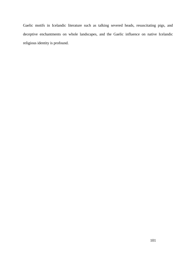Gaelic motifs in Icelandic literature such as talking severed heads, resuscitating pigs, and deceptive enchantments on whole landscapes, and the Gaelic influence on native Icelandic religious identity is profound.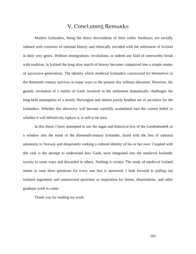# V. Concluding Remarks

Modern Icelanders, being the direct descendents of their settler forebears, are socially imbued with centuries of national history and ethnically encoded with the settlement of Iceland in their very genes. Without immigrations, revolutions, or indeed any kind of noteworthy break with tradition, in Iceland the long slow march of history becomes compacted into a simple matter of successive generations. The identity which medieval Icelanders constructed for themselves in the thirteenth century survives in many ways to the present day without alteration. However, the genetic revelation of a surfeit of Gaels involved in the settlement dramatically challenges the long-held assumption of a mostly Norwegian and almost purely heathen set of ancestors for the Icelanders. Whether this discovery will become carefully assimilated into the current belief or whether it will definitively replace it, is still to be seen.

In this thesis I have attempted to use the sagas and historical text of the *Landnámabók* as a window into the mind of the thirteenth-century Icelander, faced with the loss of national autonomy to Norway and desperately seeking a cultural identity of his or her own. Coupled with this task is the attempt to understand how Gaels were integrated into the medieval Icelandic society in some ways and discarded in others. Nothing is certain. The study of medieval Iceland seems to raise three questions for every one that is answered. I look forward to pulling out isolated arguments and unanswered questions as inspiration for theses, dissertations, and other graduate work to come.

Thank you for reading my work.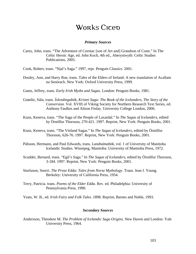# Works Cicep

### *Primary Sources*

Celtic Heroic Age, ed. John Koch, 4th ed., Aberystwyth: Celtic Studies Carey, John, trans. "The Adventure of Cormac [son of Art and] Grandson of Conn." In The Publications, 2005.

Cook, Robert, trans. "Njal's Saga." 1997, repr. Penguin Classics: 2001.

Dooley, Ann, and Harry Roe, trans. Tales of the Elders of Ireland: A new translation of Acallam na Senórach. New York: Oxford University Press, 1999.

Gantz, Jeffrey, trans. *Early Irish Myths and Sagas*. London: Penguin Books, 1981.

- *e*  Grønlie, Siân, trans. *Íslendingabók, Kristni Saga: The Book of the Icelanders, The Story of th Conversion.* Vol. XVIII of Viking Society for Northern Research Text Series, ed. Anthony Faulkes and Alison Finlay. University College London, 2006.
- Kunz, Keneva, trans. "The Saga of the People of Laxardal." In *The Sagas of Icelanders*, edited . by Örnólfur Thorsson, 270-421. 1997. Reprint, New York: Penguin Books, 2001

Kunz, Keneva, trans. "The Vínland Sagas." In *The Sagas of Icelanders*, edited by Örnólfur Thorsson, 626-76. 1997. Reprint, New York: Penguin Books, 2001.

- Pálsson, Hermann, and Paul Edwards, trans. *Landnámabók*, vol. 1 of University of Manitoba Icelandic Studies. Winnipeg, Manitoba: University of Manitoba Press, 1972.
- Scudder, Bernard, trans. "Egil's Saga." In *The Sagas of Icelanders*, edited by Örnólfur Thorsson, 3-184. 1997. Reprint, New York: Penguin Books, 2001.
- Berkeley: University of California Press, 1954. Sturluson, Snorri. *The Prose Edda: Tales from Norse Mythology.* Trans. Jean I. Young.
- Pennsylvania Press, 1990. Terry, Patricia. trans. *Poems of the Elder Edda.* Rev. ed. Philadelphia: University of

Yeats, W. B., ed. *Irish Fairy and Folk Tales.* 1898. Reprint, Barnes and Noble, 1993.

# *Secondary Sources*

Andersson, Theodore M. *The Problem of Icelandic Saga Origins*. New Haven and London: Yale University Press, 1964.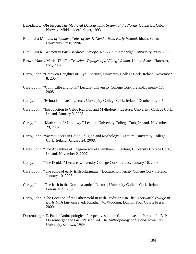- Benedictow, Ole Jørgen. *The Medieval Demographic System of the Nordic Countries.* Oslo, Norway: Middelalderforlaget, 1993.
- Bitel, Lisa M. *Land of Women: Tales of Sex & Gender from Early Ireland*. Ithaca: Cornell University Press, 1996.
- Bitel, Lisa M. Women in Early Medieval Europe, 400-1100. Cambridge: University Press, 2002.
- Brown, Nancy Marie. *The Far Traveler: Voyages of a Viking Woman.* United States: Harcourt, Inc., 2007.
- Carey, John. "Branwen Daughter of Llyr." Lecture, University College Cork, Ireland. November . 8, 2007
- Carey, John. "Colm Cille and Iona." Lecture, University College Cork, Ireland. January 17, 2008.
- Carey, John. "E chtra Connlae." Lecture, University College Cork, Ireland. October 4, 2007.
- Carey, John. "Introduction to Celtic Religion and Mythology." Lecture, University College Cork, Ireland. January 9, 2008.
- Carey, John. "Math son of Mathonwy." Lecture, University College Cork, Ireland. November 29, 2007.
- Carey, John. "Sacred Places in Celtic Religion and Mythology." Lecture, University College Cork, Ireland. January 24, 2008.
- Carey, John. "The Adventure of Loegaire son of Crimthann." Lecture, University College Cork, Ireland. November 2, 2007.
- Carey, John. "The Druids." Lecture, University College Cork, Ireland. January 16, 2008.
- Carey, John. "The ethos of early Irish pilgrimage." Lecture, University College Cork, Ireland, January 10, 2008.
- Carey, John. "The Irish in the North Atlantic." Lecture, University College Cork, Ireland, February 21, 2008.
- Carey, John. "The Location of the Otherworld in Irish Tradition." in *The Otherworld Voyage in* 2000. *Early Irish Literature*, ed. Jonathan M. Wooding, Dublin: Four Courts Press,
- Durrenberger, E. Paul. "Anthropological Perspectives on the Commonwealth Period." In E. Paul Durrenberger and Gísli Pálsson, ed. *The Anthropology of Iceland*. Iowa City: University of Iowa, 1989.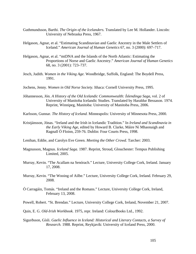- Guthmundsson, Barthi. *The Origin of the Icelanders.* Translated by Lee M. Hollander. Lincoln: University of Nebraska Press, 1967.
- Helgason, Agnar, et al. "Estimating Scandinavian and Gaelic Ancestry in the Male Settlers of Iceland." *American Journal of Human Genetics* 67, no. 3 (2000): 697–717.
- Helgason, Agnar, et al. "mtDNA and the Islands of the North Atlantic: Estimating the Proportions of Norse and Gaelic Ancestry." *American Journal of Human Genetics*  68, no. 3 (2001): 723–737.
- Jesch, Judith. Women in the Viking Age. Woodbridge, Suffolk, England: The Boydell Press, 1991.
- Jochens, Jenny. Women in Old Norse Society. Ithaca: Cornell University Press, 1995.
- University of Manitoba Icelandic Studies. Translated by Haraldur Bessason. 1974. Reprint, Winnipeg, Manitoba: University of Manitoba Press, 2006. Jóhannesson, Jón. *A History of the Old Icelandic Commonwealth: Íslendinga Saga*, vol. 2 of

Karlsson, Gunnar. *The History of Iceland*. Minneapolis: University of Minnesota Press, 2000.

- Kristjánsson, Jónas. "Ireland and the Irish in Icelandic Tradition." In *Ireland and Scandinavia in the Early Viking Age*, edited by Howard B. Clarke, Máire Ní Mhaonaigh and Ragnall Ó Floinn, 259-76. Dublin: Four Courts Press, 1998.
- Lenihan, Eddie, and Carolyn Eve Green. *Meeting the Other Crowd.* Tarcher: 2003.
- Magnusson, Magnus. *Iceland Saga.* 1987. Reprint, Stroud, Glouchester: Tempus Publishing Limited, 2005.
- Murray, Kevin. "The Acallam na Senórach." Lecture, University College Cork, Ireland. January 17, 2008.
- Murray, Kevin. "The Wooing of Ailbe." Lecture, University College Cork, Ireland. February 29, 2008.
- Ó Carragáin, Tomás. "Ireland and the Romans." Lecture, University College Cork, Ireland, February 13, 2008.
- Powell, Robert. "St. Brendan." Lecture, University College Cork, Ireland, November 21, 2007.
- Quin, E. G. *Old-Irish Workbook.* 1975, repr. Ireland: ColourBooks Ltd., 1992.
- Sigurðsson, Gísli. *Gaelic Influence in Iceland: Historical and Literary Contacts, a Survey of Research.* 1988. Reprint, Reykjavík: University of Iceland Press, 2000.